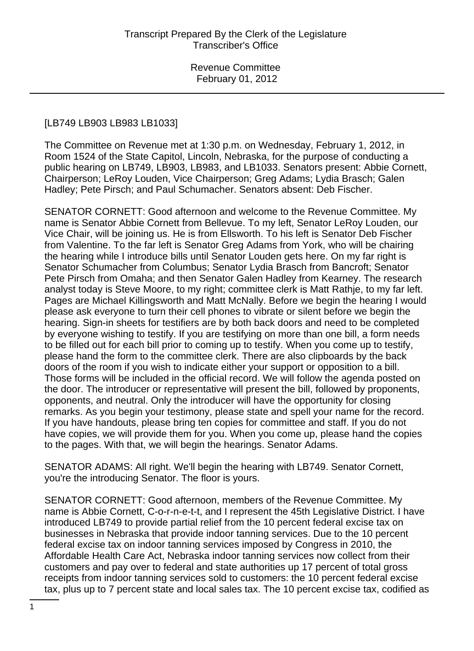### [LB749 LB903 LB983 LB1033]

The Committee on Revenue met at 1:30 p.m. on Wednesday, February 1, 2012, in Room 1524 of the State Capitol, Lincoln, Nebraska, for the purpose of conducting a public hearing on LB749, LB903, LB983, and LB1033. Senators present: Abbie Cornett, Chairperson; LeRoy Louden, Vice Chairperson; Greg Adams; Lydia Brasch; Galen Hadley; Pete Pirsch; and Paul Schumacher. Senators absent: Deb Fischer.

SENATOR CORNETT: Good afternoon and welcome to the Revenue Committee. My name is Senator Abbie Cornett from Bellevue. To my left, Senator LeRoy Louden, our Vice Chair, will be joining us. He is from Ellsworth. To his left is Senator Deb Fischer from Valentine. To the far left is Senator Greg Adams from York, who will be chairing the hearing while I introduce bills until Senator Louden gets here. On my far right is Senator Schumacher from Columbus; Senator Lydia Brasch from Bancroft; Senator Pete Pirsch from Omaha; and then Senator Galen Hadley from Kearney. The research analyst today is Steve Moore, to my right; committee clerk is Matt Rathje, to my far left. Pages are Michael Killingsworth and Matt McNally. Before we begin the hearing I would please ask everyone to turn their cell phones to vibrate or silent before we begin the hearing. Sign-in sheets for testifiers are by both back doors and need to be completed by everyone wishing to testify. If you are testifying on more than one bill, a form needs to be filled out for each bill prior to coming up to testify. When you come up to testify, please hand the form to the committee clerk. There are also clipboards by the back doors of the room if you wish to indicate either your support or opposition to a bill. Those forms will be included in the official record. We will follow the agenda posted on the door. The introducer or representative will present the bill, followed by proponents, opponents, and neutral. Only the introducer will have the opportunity for closing remarks. As you begin your testimony, please state and spell your name for the record. If you have handouts, please bring ten copies for committee and staff. If you do not have copies, we will provide them for you. When you come up, please hand the copies to the pages. With that, we will begin the hearings. Senator Adams.

SENATOR ADAMS: All right. We'll begin the hearing with LB749. Senator Cornett, you're the introducing Senator. The floor is yours.

SENATOR CORNETT: Good afternoon, members of the Revenue Committee. My name is Abbie Cornett, C-o-r-n-e-t-t, and I represent the 45th Legislative District. I have introduced LB749 to provide partial relief from the 10 percent federal excise tax on businesses in Nebraska that provide indoor tanning services. Due to the 10 percent federal excise tax on indoor tanning services imposed by Congress in 2010, the Affordable Health Care Act, Nebraska indoor tanning services now collect from their customers and pay over to federal and state authorities up 17 percent of total gross receipts from indoor tanning services sold to customers: the 10 percent federal excise tax, plus up to 7 percent state and local sales tax. The 10 percent excise tax, codified as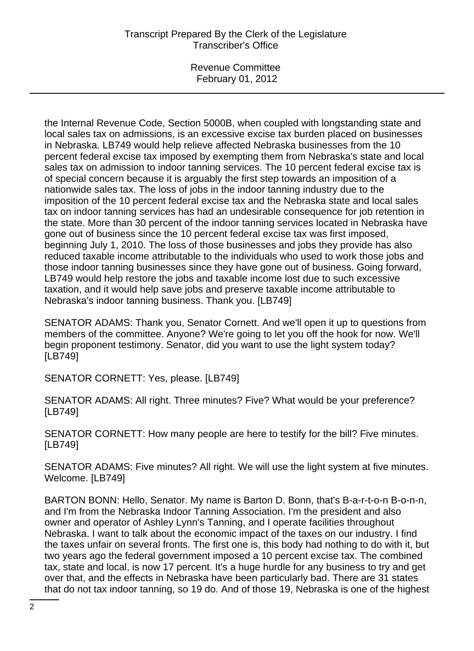Revenue Committee February 01, 2012

the Internal Revenue Code, Section 5000B, when coupled with longstanding state and local sales tax on admissions, is an excessive excise tax burden placed on businesses in Nebraska. LB749 would help relieve affected Nebraska businesses from the 10 percent federal excise tax imposed by exempting them from Nebraska's state and local sales tax on admission to indoor tanning services. The 10 percent federal excise tax is of special concern because it is arguably the first step towards an imposition of a nationwide sales tax. The loss of jobs in the indoor tanning industry due to the imposition of the 10 percent federal excise tax and the Nebraska state and local sales tax on indoor tanning services has had an undesirable consequence for job retention in the state. More than 30 percent of the indoor tanning services located in Nebraska have gone out of business since the 10 percent federal excise tax was first imposed, beginning July 1, 2010. The loss of those businesses and jobs they provide has also reduced taxable income attributable to the individuals who used to work those jobs and those indoor tanning businesses since they have gone out of business. Going forward, LB749 would help restore the jobs and taxable income lost due to such excessive taxation, and it would help save jobs and preserve taxable income attributable to Nebraska's indoor tanning business. Thank you. [LB749]

SENATOR ADAMS: Thank you, Senator Cornett. And we'll open it up to questions from members of the committee. Anyone? We're going to let you off the hook for now. We'll begin proponent testimony. Senator, did you want to use the light system today? [LB749]

SENATOR CORNETT: Yes, please. [LB749]

SENATOR ADAMS: All right. Three minutes? Five? What would be your preference? [LB749]

SENATOR CORNETT: How many people are here to testify for the bill? Five minutes. [LB749]

SENATOR ADAMS: Five minutes? All right. We will use the light system at five minutes. Welcome. [LB749]

BARTON BONN: Hello, Senator. My name is Barton D. Bonn, that's B-a-r-t-o-n B-o-n-n, and I'm from the Nebraska Indoor Tanning Association. I'm the president and also owner and operator of Ashley Lynn's Tanning, and I operate facilities throughout Nebraska. I want to talk about the economic impact of the taxes on our industry. I find the taxes unfair on several fronts. The first one is, this body had nothing to do with it, but two years ago the federal government imposed a 10 percent excise tax. The combined tax, state and local, is now 17 percent. It's a huge hurdle for any business to try and get over that, and the effects in Nebraska have been particularly bad. There are 31 states that do not tax indoor tanning, so 19 do. And of those 19, Nebraska is one of the highest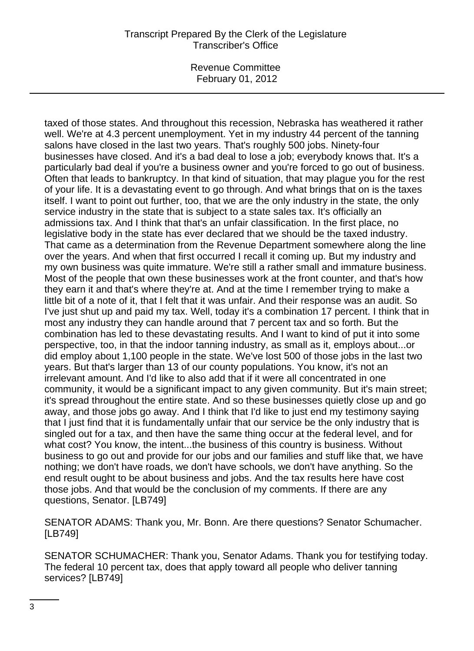Revenue Committee February 01, 2012

taxed of those states. And throughout this recession, Nebraska has weathered it rather well. We're at 4.3 percent unemployment. Yet in my industry 44 percent of the tanning salons have closed in the last two years. That's roughly 500 jobs. Ninety-four businesses have closed. And it's a bad deal to lose a job; everybody knows that. It's a particularly bad deal if you're a business owner and you're forced to go out of business. Often that leads to bankruptcy. In that kind of situation, that may plague you for the rest of your life. It is a devastating event to go through. And what brings that on is the taxes itself. I want to point out further, too, that we are the only industry in the state, the only service industry in the state that is subject to a state sales tax. It's officially an admissions tax. And I think that that's an unfair classification. In the first place, no legislative body in the state has ever declared that we should be the taxed industry. That came as a determination from the Revenue Department somewhere along the line over the years. And when that first occurred I recall it coming up. But my industry and my own business was quite immature. We're still a rather small and immature business. Most of the people that own these businesses work at the front counter, and that's how they earn it and that's where they're at. And at the time I remember trying to make a little bit of a note of it, that I felt that it was unfair. And their response was an audit. So I've just shut up and paid my tax. Well, today it's a combination 17 percent. I think that in most any industry they can handle around that 7 percent tax and so forth. But the combination has led to these devastating results. And I want to kind of put it into some perspective, too, in that the indoor tanning industry, as small as it, employs about...or did employ about 1,100 people in the state. We've lost 500 of those jobs in the last two years. But that's larger than 13 of our county populations. You know, it's not an irrelevant amount. And I'd like to also add that if it were all concentrated in one community, it would be a significant impact to any given community. But it's main street; it's spread throughout the entire state. And so these businesses quietly close up and go away, and those jobs go away. And I think that I'd like to just end my testimony saying that I just find that it is fundamentally unfair that our service be the only industry that is singled out for a tax, and then have the same thing occur at the federal level, and for what cost? You know, the intent...the business of this country is business. Without business to go out and provide for our jobs and our families and stuff like that, we have nothing; we don't have roads, we don't have schools, we don't have anything. So the end result ought to be about business and jobs. And the tax results here have cost those jobs. And that would be the conclusion of my comments. If there are any questions, Senator. [LB749]

SENATOR ADAMS: Thank you, Mr. Bonn. Are there questions? Senator Schumacher. [LB749]

SENATOR SCHUMACHER: Thank you, Senator Adams. Thank you for testifying today. The federal 10 percent tax, does that apply toward all people who deliver tanning services? [LB749]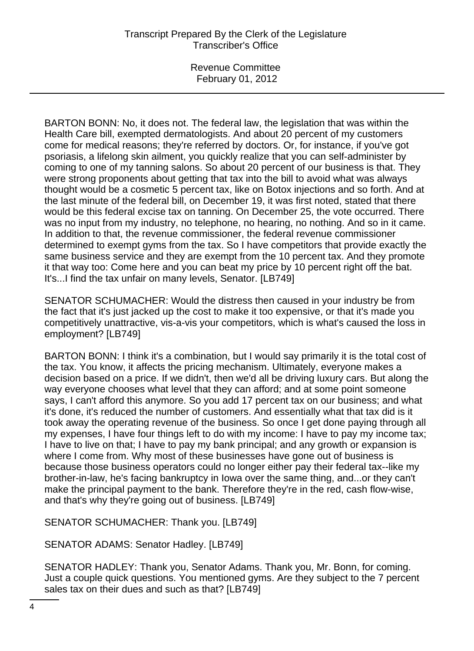Revenue Committee February 01, 2012

BARTON BONN: No, it does not. The federal law, the legislation that was within the Health Care bill, exempted dermatologists. And about 20 percent of my customers come for medical reasons; they're referred by doctors. Or, for instance, if you've got psoriasis, a lifelong skin ailment, you quickly realize that you can self-administer by coming to one of my tanning salons. So about 20 percent of our business is that. They were strong proponents about getting that tax into the bill to avoid what was always thought would be a cosmetic 5 percent tax, like on Botox injections and so forth. And at the last minute of the federal bill, on December 19, it was first noted, stated that there would be this federal excise tax on tanning. On December 25, the vote occurred. There was no input from my industry, no telephone, no hearing, no nothing. And so in it came. In addition to that, the revenue commissioner, the federal revenue commissioner determined to exempt gyms from the tax. So I have competitors that provide exactly the same business service and they are exempt from the 10 percent tax. And they promote it that way too: Come here and you can beat my price by 10 percent right off the bat. It's...I find the tax unfair on many levels, Senator. [LB749]

SENATOR SCHUMACHER: Would the distress then caused in your industry be from the fact that it's just jacked up the cost to make it too expensive, or that it's made you competitively unattractive, vis-a-vis your competitors, which is what's caused the loss in employment? [LB749]

BARTON BONN: I think it's a combination, but I would say primarily it is the total cost of the tax. You know, it affects the pricing mechanism. Ultimately, everyone makes a decision based on a price. If we didn't, then we'd all be driving luxury cars. But along the way everyone chooses what level that they can afford; and at some point someone says, I can't afford this anymore. So you add 17 percent tax on our business; and what it's done, it's reduced the number of customers. And essentially what that tax did is it took away the operating revenue of the business. So once I get done paying through all my expenses, I have four things left to do with my income: I have to pay my income tax; I have to live on that; I have to pay my bank principal; and any growth or expansion is where I come from. Why most of these businesses have gone out of business is because those business operators could no longer either pay their federal tax--like my brother-in-law, he's facing bankruptcy in Iowa over the same thing, and...or they can't make the principal payment to the bank. Therefore they're in the red, cash flow-wise, and that's why they're going out of business. [LB749]

SENATOR SCHUMACHER: Thank you. [LB749]

SENATOR ADAMS: Senator Hadley. [LB749]

SENATOR HADLEY: Thank you, Senator Adams. Thank you, Mr. Bonn, for coming. Just a couple quick questions. You mentioned gyms. Are they subject to the 7 percent sales tax on their dues and such as that? [LB749]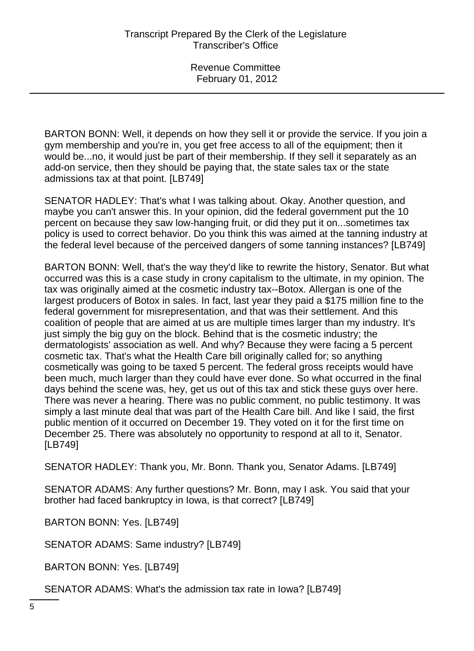BARTON BONN: Well, it depends on how they sell it or provide the service. If you join a gym membership and you're in, you get free access to all of the equipment; then it would be...no, it would just be part of their membership. If they sell it separately as an add-on service, then they should be paying that, the state sales tax or the state admissions tax at that point. [LB749]

SENATOR HADLEY: That's what I was talking about. Okay. Another question, and maybe you can't answer this. In your opinion, did the federal government put the 10 percent on because they saw low-hanging fruit, or did they put it on...sometimes tax policy is used to correct behavior. Do you think this was aimed at the tanning industry at the federal level because of the perceived dangers of some tanning instances? [LB749]

BARTON BONN: Well, that's the way they'd like to rewrite the history, Senator. But what occurred was this is a case study in crony capitalism to the ultimate, in my opinion. The tax was originally aimed at the cosmetic industry tax--Botox. Allergan is one of the largest producers of Botox in sales. In fact, last year they paid a \$175 million fine to the federal government for misrepresentation, and that was their settlement. And this coalition of people that are aimed at us are multiple times larger than my industry. It's just simply the big guy on the block. Behind that is the cosmetic industry; the dermatologists' association as well. And why? Because they were facing a 5 percent cosmetic tax. That's what the Health Care bill originally called for; so anything cosmetically was going to be taxed 5 percent. The federal gross receipts would have been much, much larger than they could have ever done. So what occurred in the final days behind the scene was, hey, get us out of this tax and stick these guys over here. There was never a hearing. There was no public comment, no public testimony. It was simply a last minute deal that was part of the Health Care bill. And like I said, the first public mention of it occurred on December 19. They voted on it for the first time on December 25. There was absolutely no opportunity to respond at all to it, Senator. [LB749]

SENATOR HADLEY: Thank you, Mr. Bonn. Thank you, Senator Adams. [LB749]

SENATOR ADAMS: Any further questions? Mr. Bonn, may I ask. You said that your brother had faced bankruptcy in Iowa, is that correct? [LB749]

BARTON BONN: Yes. [LB749]

SENATOR ADAMS: Same industry? [LB749]

BARTON BONN: Yes. [LB749]

SENATOR ADAMS: What's the admission tax rate in Iowa? [LB749]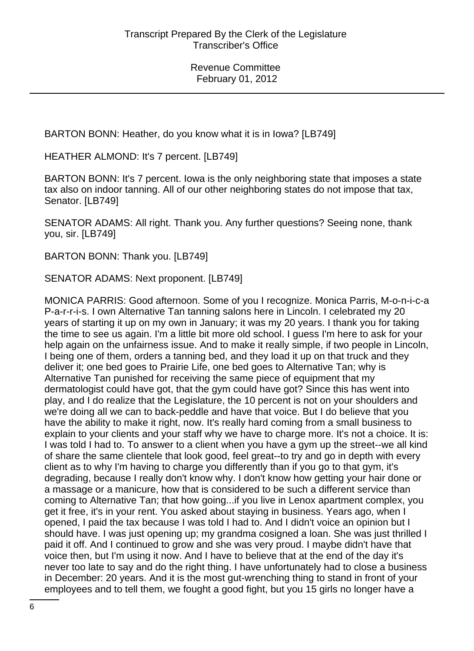BARTON BONN: Heather, do you know what it is in Iowa? [LB749]

HEATHER ALMOND: It's 7 percent. [LB749]

BARTON BONN: It's 7 percent. Iowa is the only neighboring state that imposes a state tax also on indoor tanning. All of our other neighboring states do not impose that tax, Senator. [LB749]

SENATOR ADAMS: All right. Thank you. Any further questions? Seeing none, thank you, sir. [LB749]

BARTON BONN: Thank you. [LB749]

SENATOR ADAMS: Next proponent. [LB749]

MONICA PARRIS: Good afternoon. Some of you I recognize. Monica Parris, M-o-n-i-c-a P-a-r-r-i-s. I own Alternative Tan tanning salons here in Lincoln. I celebrated my 20 years of starting it up on my own in January; it was my 20 years. I thank you for taking the time to see us again. I'm a little bit more old school. I guess I'm here to ask for your help again on the unfairness issue. And to make it really simple, if two people in Lincoln, I being one of them, orders a tanning bed, and they load it up on that truck and they deliver it; one bed goes to Prairie Life, one bed goes to Alternative Tan; why is Alternative Tan punished for receiving the same piece of equipment that my dermatologist could have got, that the gym could have got? Since this has went into play, and I do realize that the Legislature, the 10 percent is not on your shoulders and we're doing all we can to back-peddle and have that voice. But I do believe that you have the ability to make it right, now. It's really hard coming from a small business to explain to your clients and your staff why we have to charge more. It's not a choice. It is: I was told I had to. To answer to a client when you have a gym up the street--we all kind of share the same clientele that look good, feel great--to try and go in depth with every client as to why I'm having to charge you differently than if you go to that gym, it's degrading, because I really don't know why. I don't know how getting your hair done or a massage or a manicure, how that is considered to be such a different service than coming to Alternative Tan; that how going...if you live in Lenox apartment complex, you get it free, it's in your rent. You asked about staying in business. Years ago, when I opened, I paid the tax because I was told I had to. And I didn't voice an opinion but I should have. I was just opening up; my grandma cosigned a loan. She was just thrilled I paid it off. And I continued to grow and she was very proud. I maybe didn't have that voice then, but I'm using it now. And I have to believe that at the end of the day it's never too late to say and do the right thing. I have unfortunately had to close a business in December: 20 years. And it is the most gut-wrenching thing to stand in front of your employees and to tell them, we fought a good fight, but you 15 girls no longer have a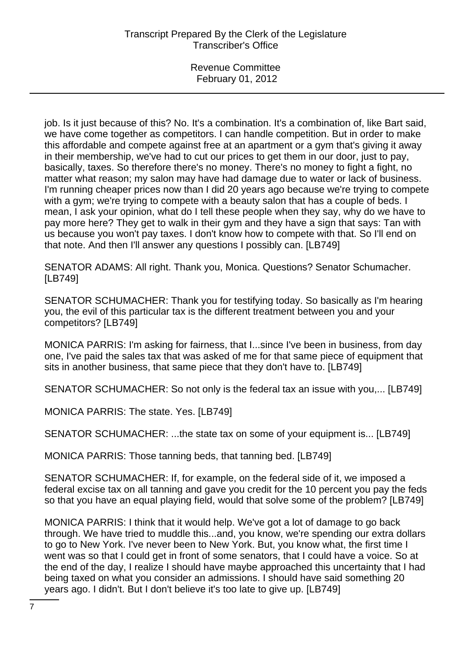job. Is it just because of this? No. It's a combination. It's a combination of, like Bart said, we have come together as competitors. I can handle competition. But in order to make this affordable and compete against free at an apartment or a gym that's giving it away in their membership, we've had to cut our prices to get them in our door, just to pay, basically, taxes. So therefore there's no money. There's no money to fight a fight, no matter what reason; my salon may have had damage due to water or lack of business. I'm running cheaper prices now than I did 20 years ago because we're trying to compete with a gym; we're trying to compete with a beauty salon that has a couple of beds. I mean, I ask your opinion, what do I tell these people when they say, why do we have to pay more here? They get to walk in their gym and they have a sign that says: Tan with us because you won't pay taxes. I don't know how to compete with that. So I'll end on that note. And then I'll answer any questions I possibly can. [LB749]

SENATOR ADAMS: All right. Thank you, Monica. Questions? Senator Schumacher. [LB749]

SENATOR SCHUMACHER: Thank you for testifying today. So basically as I'm hearing you, the evil of this particular tax is the different treatment between you and your competitors? [LB749]

MONICA PARRIS: I'm asking for fairness, that I...since I've been in business, from day one, I've paid the sales tax that was asked of me for that same piece of equipment that sits in another business, that same piece that they don't have to. [LB749]

SENATOR SCHUMACHER: So not only is the federal tax an issue with you,... [LB749]

MONICA PARRIS: The state. Yes. [LB749]

SENATOR SCHUMACHER: ...the state tax on some of your equipment is... [LB749]

MONICA PARRIS: Those tanning beds, that tanning bed. [LB749]

SENATOR SCHUMACHER: If, for example, on the federal side of it, we imposed a federal excise tax on all tanning and gave you credit for the 10 percent you pay the feds so that you have an equal playing field, would that solve some of the problem? [LB749]

MONICA PARRIS: I think that it would help. We've got a lot of damage to go back through. We have tried to muddle this...and, you know, we're spending our extra dollars to go to New York. I've never been to New York. But, you know what, the first time I went was so that I could get in front of some senators, that I could have a voice. So at the end of the day, I realize I should have maybe approached this uncertainty that I had being taxed on what you consider an admissions. I should have said something 20 years ago. I didn't. But I don't believe it's too late to give up. [LB749]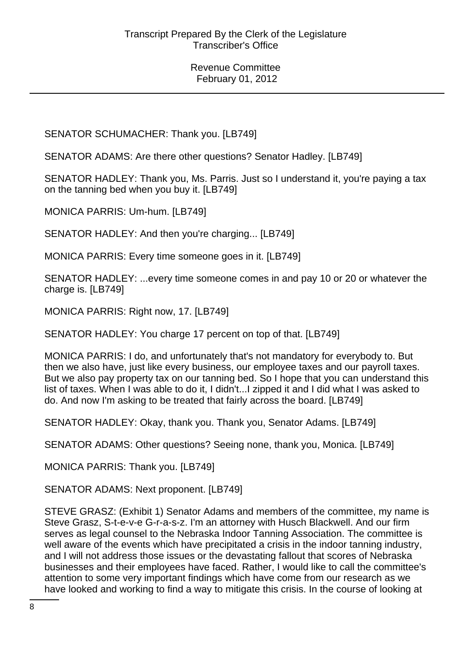SENATOR SCHUMACHER: Thank you. [LB749]

SENATOR ADAMS: Are there other questions? Senator Hadley. [LB749]

SENATOR HADLEY: Thank you, Ms. Parris. Just so I understand it, you're paying a tax on the tanning bed when you buy it. [LB749]

MONICA PARRIS: Um-hum. [LB749]

SENATOR HADLEY: And then you're charging... [LB749]

MONICA PARRIS: Every time someone goes in it. [LB749]

SENATOR HADLEY: ...every time someone comes in and pay 10 or 20 or whatever the charge is. [LB749]

MONICA PARRIS: Right now, 17. [LB749]

SENATOR HADLEY: You charge 17 percent on top of that. [LB749]

MONICA PARRIS: I do, and unfortunately that's not mandatory for everybody to. But then we also have, just like every business, our employee taxes and our payroll taxes. But we also pay property tax on our tanning bed. So I hope that you can understand this list of taxes. When I was able to do it, I didn't...I zipped it and I did what I was asked to do. And now I'm asking to be treated that fairly across the board. [LB749]

SENATOR HADLEY: Okay, thank you. Thank you, Senator Adams. [LB749]

SENATOR ADAMS: Other questions? Seeing none, thank you, Monica. [LB749]

MONICA PARRIS: Thank you. [LB749]

SENATOR ADAMS: Next proponent. [LB749]

STEVE GRASZ: (Exhibit 1) Senator Adams and members of the committee, my name is Steve Grasz, S-t-e-v-e G-r-a-s-z. I'm an attorney with Husch Blackwell. And our firm serves as legal counsel to the Nebraska Indoor Tanning Association. The committee is well aware of the events which have precipitated a crisis in the indoor tanning industry, and I will not address those issues or the devastating fallout that scores of Nebraska businesses and their employees have faced. Rather, I would like to call the committee's attention to some very important findings which have come from our research as we have looked and working to find a way to mitigate this crisis. In the course of looking at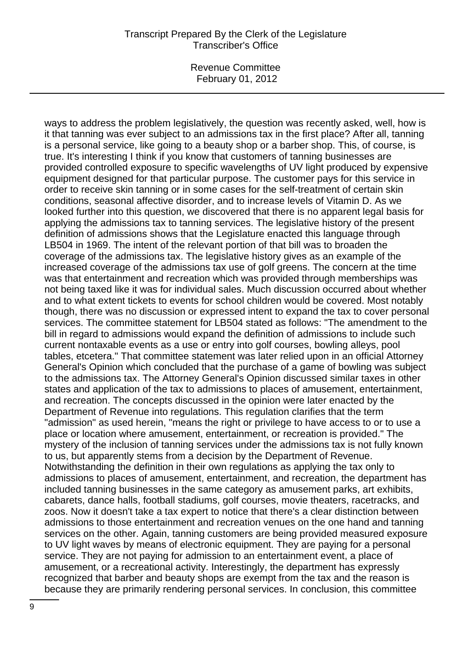Revenue Committee February 01, 2012

ways to address the problem legislatively, the question was recently asked, well, how is it that tanning was ever subject to an admissions tax in the first place? After all, tanning is a personal service, like going to a beauty shop or a barber shop. This, of course, is true. It's interesting I think if you know that customers of tanning businesses are provided controlled exposure to specific wavelengths of UV light produced by expensive equipment designed for that particular purpose. The customer pays for this service in order to receive skin tanning or in some cases for the self-treatment of certain skin conditions, seasonal affective disorder, and to increase levels of Vitamin D. As we looked further into this question, we discovered that there is no apparent legal basis for applying the admissions tax to tanning services. The legislative history of the present definition of admissions shows that the Legislature enacted this language through LB504 in 1969. The intent of the relevant portion of that bill was to broaden the coverage of the admissions tax. The legislative history gives as an example of the increased coverage of the admissions tax use of golf greens. The concern at the time was that entertainment and recreation which was provided through memberships was not being taxed like it was for individual sales. Much discussion occurred about whether and to what extent tickets to events for school children would be covered. Most notably though, there was no discussion or expressed intent to expand the tax to cover personal services. The committee statement for LB504 stated as follows: "The amendment to the bill in regard to admissions would expand the definition of admissions to include such current nontaxable events as a use or entry into golf courses, bowling alleys, pool tables, etcetera." That committee statement was later relied upon in an official Attorney General's Opinion which concluded that the purchase of a game of bowling was subject to the admissions tax. The Attorney General's Opinion discussed similar taxes in other states and application of the tax to admissions to places of amusement, entertainment, and recreation. The concepts discussed in the opinion were later enacted by the Department of Revenue into regulations. This regulation clarifies that the term "admission" as used herein, "means the right or privilege to have access to or to use a place or location where amusement, entertainment, or recreation is provided." The mystery of the inclusion of tanning services under the admissions tax is not fully known to us, but apparently stems from a decision by the Department of Revenue. Notwithstanding the definition in their own regulations as applying the tax only to admissions to places of amusement, entertainment, and recreation, the department has included tanning businesses in the same category as amusement parks, art exhibits, cabarets, dance halls, football stadiums, golf courses, movie theaters, racetracks, and zoos. Now it doesn't take a tax expert to notice that there's a clear distinction between admissions to those entertainment and recreation venues on the one hand and tanning services on the other. Again, tanning customers are being provided measured exposure to UV light waves by means of electronic equipment. They are paying for a personal service. They are not paying for admission to an entertainment event, a place of amusement, or a recreational activity. Interestingly, the department has expressly recognized that barber and beauty shops are exempt from the tax and the reason is because they are primarily rendering personal services. In conclusion, this committee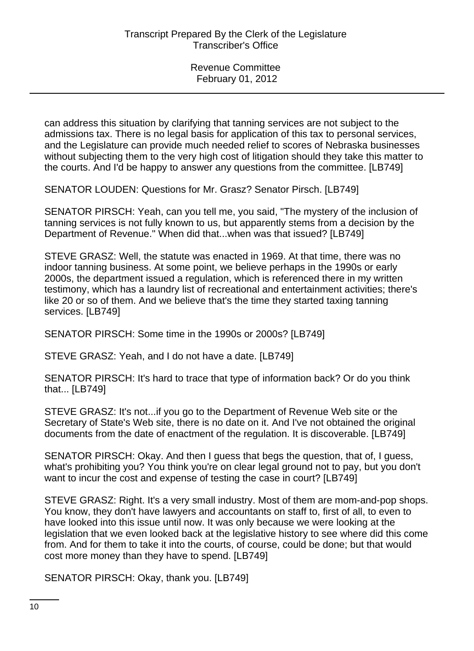can address this situation by clarifying that tanning services are not subject to the admissions tax. There is no legal basis for application of this tax to personal services, and the Legislature can provide much needed relief to scores of Nebraska businesses without subjecting them to the very high cost of litigation should they take this matter to the courts. And I'd be happy to answer any questions from the committee. [LB749]

SENATOR LOUDEN: Questions for Mr. Grasz? Senator Pirsch. [LB749]

SENATOR PIRSCH: Yeah, can you tell me, you said, "The mystery of the inclusion of tanning services is not fully known to us, but apparently stems from a decision by the Department of Revenue." When did that...when was that issued? [LB749]

STEVE GRASZ: Well, the statute was enacted in 1969. At that time, there was no indoor tanning business. At some point, we believe perhaps in the 1990s or early 2000s, the department issued a regulation, which is referenced there in my written testimony, which has a laundry list of recreational and entertainment activities; there's like 20 or so of them. And we believe that's the time they started taxing tanning services. [LB749]

SENATOR PIRSCH: Some time in the 1990s or 2000s? [LB749]

STEVE GRASZ: Yeah, and I do not have a date. [LB749]

SENATOR PIRSCH: It's hard to trace that type of information back? Or do you think that... [LB749]

STEVE GRASZ: It's not...if you go to the Department of Revenue Web site or the Secretary of State's Web site, there is no date on it. And I've not obtained the original documents from the date of enactment of the regulation. It is discoverable. [LB749]

SENATOR PIRSCH: Okay. And then I guess that begs the question, that of, I guess, what's prohibiting you? You think you're on clear legal ground not to pay, but you don't want to incur the cost and expense of testing the case in court? [LB749]

STEVE GRASZ: Right. It's a very small industry. Most of them are mom-and-pop shops. You know, they don't have lawyers and accountants on staff to, first of all, to even to have looked into this issue until now. It was only because we were looking at the legislation that we even looked back at the legislative history to see where did this come from. And for them to take it into the courts, of course, could be done; but that would cost more money than they have to spend. [LB749]

SENATOR PIRSCH: Okay, thank you. [LB749]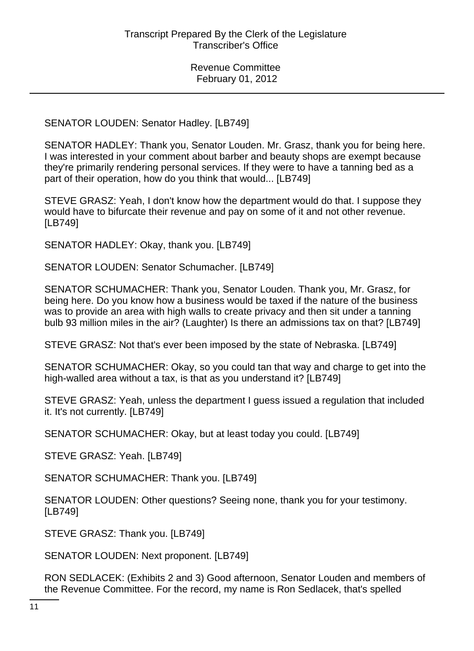SENATOR LOUDEN: Senator Hadley. [LB749]

SENATOR HADLEY: Thank you, Senator Louden. Mr. Grasz, thank you for being here. I was interested in your comment about barber and beauty shops are exempt because they're primarily rendering personal services. If they were to have a tanning bed as a part of their operation, how do you think that would... [LB749]

STEVE GRASZ: Yeah, I don't know how the department would do that. I suppose they would have to bifurcate their revenue and pay on some of it and not other revenue. [LB749]

SENATOR HADLEY: Okay, thank you. [LB749]

SENATOR LOUDEN: Senator Schumacher. [LB749]

SENATOR SCHUMACHER: Thank you, Senator Louden. Thank you, Mr. Grasz, for being here. Do you know how a business would be taxed if the nature of the business was to provide an area with high walls to create privacy and then sit under a tanning bulb 93 million miles in the air? (Laughter) Is there an admissions tax on that? [LB749]

STEVE GRASZ: Not that's ever been imposed by the state of Nebraska. [LB749]

SENATOR SCHUMACHER: Okay, so you could tan that way and charge to get into the high-walled area without a tax, is that as you understand it? [LB749]

STEVE GRASZ: Yeah, unless the department I guess issued a regulation that included it. It's not currently. [LB749]

SENATOR SCHUMACHER: Okay, but at least today you could. [LB749]

STEVE GRASZ: Yeah. [LB749]

SENATOR SCHUMACHER: Thank you. [LB749]

SENATOR LOUDEN: Other questions? Seeing none, thank you for your testimony. [LB749]

STEVE GRASZ: Thank you. [LB749]

SENATOR LOUDEN: Next proponent. [LB749]

RON SEDLACEK: (Exhibits 2 and 3) Good afternoon, Senator Louden and members of the Revenue Committee. For the record, my name is Ron Sedlacek, that's spelled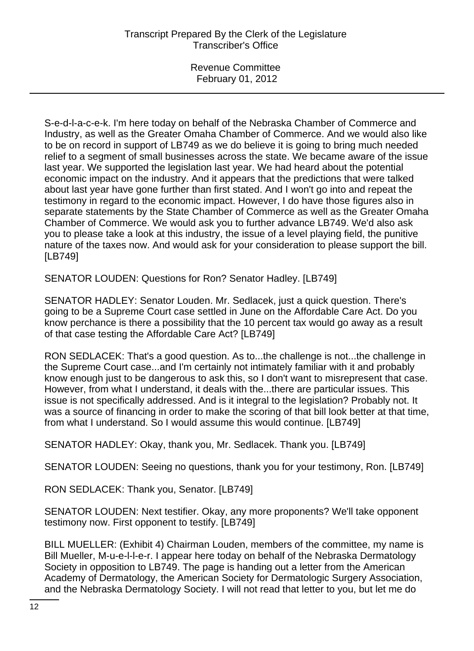S-e-d-l-a-c-e-k. I'm here today on behalf of the Nebraska Chamber of Commerce and Industry, as well as the Greater Omaha Chamber of Commerce. And we would also like to be on record in support of LB749 as we do believe it is going to bring much needed relief to a segment of small businesses across the state. We became aware of the issue last year. We supported the legislation last year. We had heard about the potential economic impact on the industry. And it appears that the predictions that were talked about last year have gone further than first stated. And I won't go into and repeat the testimony in regard to the economic impact. However, I do have those figures also in separate statements by the State Chamber of Commerce as well as the Greater Omaha Chamber of Commerce. We would ask you to further advance LB749. We'd also ask you to please take a look at this industry, the issue of a level playing field, the punitive nature of the taxes now. And would ask for your consideration to please support the bill. [LB749]

SENATOR LOUDEN: Questions for Ron? Senator Hadley. [LB749]

SENATOR HADLEY: Senator Louden. Mr. Sedlacek, just a quick question. There's going to be a Supreme Court case settled in June on the Affordable Care Act. Do you know perchance is there a possibility that the 10 percent tax would go away as a result of that case testing the Affordable Care Act? [LB749]

RON SEDLACEK: That's a good question. As to...the challenge is not...the challenge in the Supreme Court case...and I'm certainly not intimately familiar with it and probably know enough just to be dangerous to ask this, so I don't want to misrepresent that case. However, from what I understand, it deals with the...there are particular issues. This issue is not specifically addressed. And is it integral to the legislation? Probably not. It was a source of financing in order to make the scoring of that bill look better at that time, from what I understand. So I would assume this would continue. [LB749]

SENATOR HADLEY: Okay, thank you, Mr. Sedlacek. Thank you. [LB749]

SENATOR LOUDEN: Seeing no questions, thank you for your testimony, Ron. [LB749]

RON SEDLACEK: Thank you, Senator. [LB749]

SENATOR LOUDEN: Next testifier. Okay, any more proponents? We'll take opponent testimony now. First opponent to testify. [LB749]

BILL MUELLER: (Exhibit 4) Chairman Louden, members of the committee, my name is Bill Mueller, M-u-e-l-l-e-r. I appear here today on behalf of the Nebraska Dermatology Society in opposition to LB749. The page is handing out a letter from the American Academy of Dermatology, the American Society for Dermatologic Surgery Association, and the Nebraska Dermatology Society. I will not read that letter to you, but let me do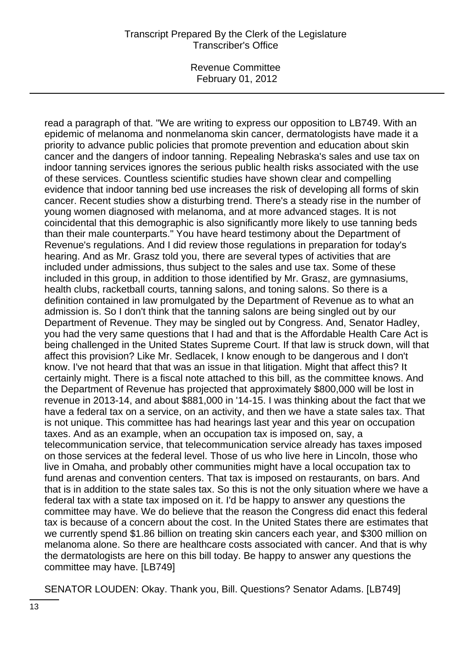read a paragraph of that. "We are writing to express our opposition to LB749. With an epidemic of melanoma and nonmelanoma skin cancer, dermatologists have made it a priority to advance public policies that promote prevention and education about skin cancer and the dangers of indoor tanning. Repealing Nebraska's sales and use tax on indoor tanning services ignores the serious public health risks associated with the use of these services. Countless scientific studies have shown clear and compelling evidence that indoor tanning bed use increases the risk of developing all forms of skin cancer. Recent studies show a disturbing trend. There's a steady rise in the number of young women diagnosed with melanoma, and at more advanced stages. It is not coincidental that this demographic is also significantly more likely to use tanning beds than their male counterparts." You have heard testimony about the Department of Revenue's regulations. And I did review those regulations in preparation for today's hearing. And as Mr. Grasz told you, there are several types of activities that are included under admissions, thus subject to the sales and use tax. Some of these included in this group, in addition to those identified by Mr. Grasz, are gymnasiums, health clubs, racketball courts, tanning salons, and toning salons. So there is a definition contained in law promulgated by the Department of Revenue as to what an admission is. So I don't think that the tanning salons are being singled out by our Department of Revenue. They may be singled out by Congress. And, Senator Hadley, you had the very same questions that I had and that is the Affordable Health Care Act is being challenged in the United States Supreme Court. If that law is struck down, will that affect this provision? Like Mr. Sedlacek, I know enough to be dangerous and I don't know. I've not heard that that was an issue in that litigation. Might that affect this? It certainly might. There is a fiscal note attached to this bill, as the committee knows. And the Department of Revenue has projected that approximately \$800,000 will be lost in revenue in 2013-14, and about \$881,000 in '14-15. I was thinking about the fact that we have a federal tax on a service, on an activity, and then we have a state sales tax. That is not unique. This committee has had hearings last year and this year on occupation taxes. And as an example, when an occupation tax is imposed on, say, a telecommunication service, that telecommunication service already has taxes imposed on those services at the federal level. Those of us who live here in Lincoln, those who live in Omaha, and probably other communities might have a local occupation tax to fund arenas and convention centers. That tax is imposed on restaurants, on bars. And that is in addition to the state sales tax. So this is not the only situation where we have a federal tax with a state tax imposed on it. I'd be happy to answer any questions the committee may have. We do believe that the reason the Congress did enact this federal tax is because of a concern about the cost. In the United States there are estimates that we currently spend \$1.86 billion on treating skin cancers each year, and \$300 million on melanoma alone. So there are healthcare costs associated with cancer. And that is why the dermatologists are here on this bill today. Be happy to answer any questions the committee may have. [LB749]

SENATOR LOUDEN: Okay. Thank you, Bill. Questions? Senator Adams. [LB749]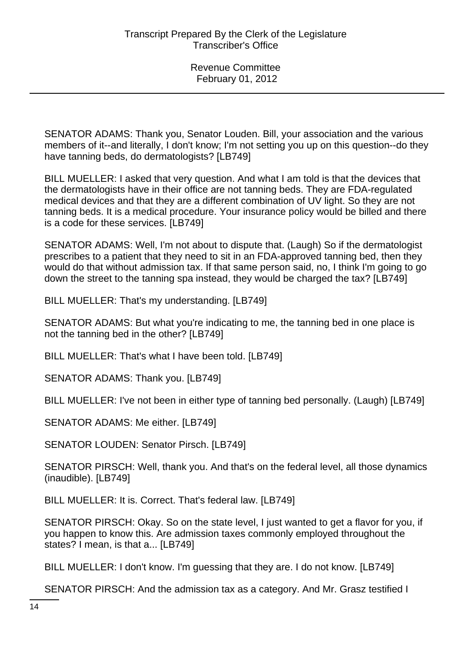SENATOR ADAMS: Thank you, Senator Louden. Bill, your association and the various members of it--and literally, I don't know; I'm not setting you up on this question--do they have tanning beds, do dermatologists? [LB749]

BILL MUELLER: I asked that very question. And what I am told is that the devices that the dermatologists have in their office are not tanning beds. They are FDA-regulated medical devices and that they are a different combination of UV light. So they are not tanning beds. It is a medical procedure. Your insurance policy would be billed and there is a code for these services. [LB749]

SENATOR ADAMS: Well, I'm not about to dispute that. (Laugh) So if the dermatologist prescribes to a patient that they need to sit in an FDA-approved tanning bed, then they would do that without admission tax. If that same person said, no, I think I'm going to go down the street to the tanning spa instead, they would be charged the tax? [LB749]

BILL MUELLER: That's my understanding. [LB749]

SENATOR ADAMS: But what you're indicating to me, the tanning bed in one place is not the tanning bed in the other? [LB749]

BILL MUELLER: That's what I have been told. [LB749]

SENATOR ADAMS: Thank you. [LB749]

BILL MUELLER: I've not been in either type of tanning bed personally. (Laugh) [LB749]

SENATOR ADAMS: Me either. [LB749]

SENATOR LOUDEN: Senator Pirsch. [LB749]

SENATOR PIRSCH: Well, thank you. And that's on the federal level, all those dynamics (inaudible). [LB749]

BILL MUELLER: It is. Correct. That's federal law. [LB749]

SENATOR PIRSCH: Okay. So on the state level, I just wanted to get a flavor for you, if you happen to know this. Are admission taxes commonly employed throughout the states? I mean, is that a... [LB749]

BILL MUELLER: I don't know. I'm guessing that they are. I do not know. [LB749]

SENATOR PIRSCH: And the admission tax as a category. And Mr. Grasz testified I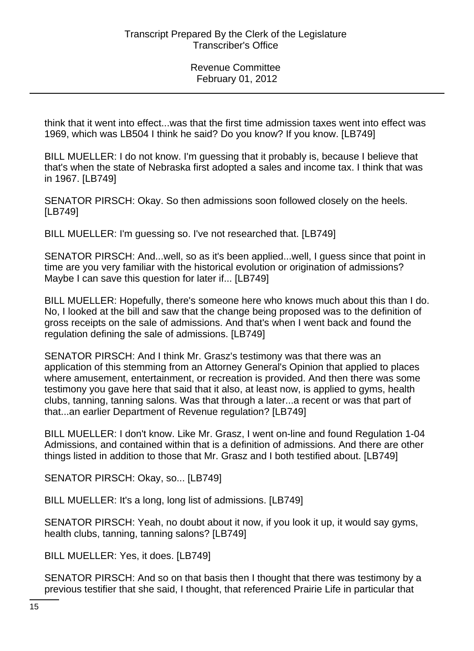think that it went into effect...was that the first time admission taxes went into effect was 1969, which was LB504 I think he said? Do you know? If you know. [LB749]

BILL MUELLER: I do not know. I'm guessing that it probably is, because I believe that that's when the state of Nebraska first adopted a sales and income tax. I think that was in 1967. [LB749]

SENATOR PIRSCH: Okay. So then admissions soon followed closely on the heels. [LB749]

BILL MUELLER: I'm guessing so. I've not researched that. [LB749]

SENATOR PIRSCH: And...well, so as it's been applied...well, I guess since that point in time are you very familiar with the historical evolution or origination of admissions? Maybe I can save this question for later if... [LB749]

BILL MUELLER: Hopefully, there's someone here who knows much about this than I do. No, I looked at the bill and saw that the change being proposed was to the definition of gross receipts on the sale of admissions. And that's when I went back and found the regulation defining the sale of admissions. [LB749]

SENATOR PIRSCH: And I think Mr. Grasz's testimony was that there was an application of this stemming from an Attorney General's Opinion that applied to places where amusement, entertainment, or recreation is provided. And then there was some testimony you gave here that said that it also, at least now, is applied to gyms, health clubs, tanning, tanning salons. Was that through a later...a recent or was that part of that...an earlier Department of Revenue regulation? [LB749]

BILL MUELLER: I don't know. Like Mr. Grasz, I went on-line and found Regulation 1-04 Admissions, and contained within that is a definition of admissions. And there are other things listed in addition to those that Mr. Grasz and I both testified about. [LB749]

SENATOR PIRSCH: Okay, so... [LB749]

BILL MUELLER: It's a long, long list of admissions. [LB749]

SENATOR PIRSCH: Yeah, no doubt about it now, if you look it up, it would say gyms, health clubs, tanning, tanning salons? [LB749]

BILL MUELLER: Yes, it does. [LB749]

SENATOR PIRSCH: And so on that basis then I thought that there was testimony by a previous testifier that she said, I thought, that referenced Prairie Life in particular that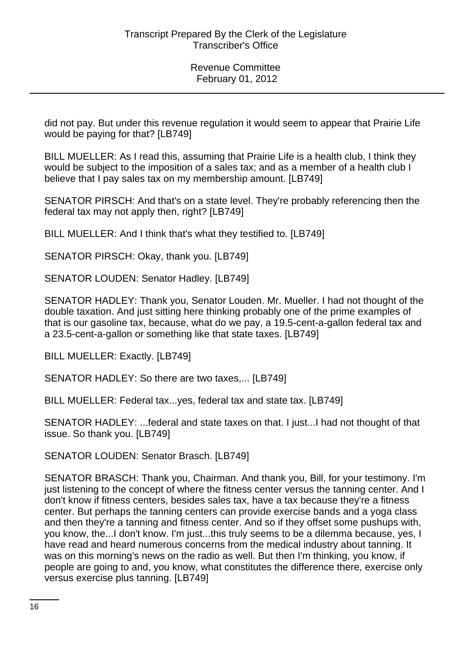did not pay. But under this revenue regulation it would seem to appear that Prairie Life would be paying for that? [LB749]

BILL MUELLER: As I read this, assuming that Prairie Life is a health club, I think they would be subject to the imposition of a sales tax; and as a member of a health club I believe that I pay sales tax on my membership amount. [LB749]

SENATOR PIRSCH: And that's on a state level. They're probably referencing then the federal tax may not apply then, right? [LB749]

BILL MUELLER: And I think that's what they testified to. [LB749]

SENATOR PIRSCH: Okay, thank you. [LB749]

SENATOR LOUDEN: Senator Hadley. [LB749]

SENATOR HADLEY: Thank you, Senator Louden. Mr. Mueller. I had not thought of the double taxation. And just sitting here thinking probably one of the prime examples of that is our gasoline tax, because, what do we pay, a 19.5-cent-a-gallon federal tax and a 23.5-cent-a-gallon or something like that state taxes. [LB749]

BILL MUELLER: Exactly. [LB749]

SENATOR HADLEY: So there are two taxes,... [LB749]

BILL MUELLER: Federal tax...yes, federal tax and state tax. [LB749]

SENATOR HADLEY: ...federal and state taxes on that. I just...I had not thought of that issue. So thank you. [LB749]

SENATOR LOUDEN: Senator Brasch. [LB749]

SENATOR BRASCH: Thank you, Chairman. And thank you, Bill, for your testimony. I'm just listening to the concept of where the fitness center versus the tanning center. And I don't know if fitness centers, besides sales tax, have a tax because they're a fitness center. But perhaps the tanning centers can provide exercise bands and a yoga class and then they're a tanning and fitness center. And so if they offset some pushups with, you know, the...I don't know. I'm just...this truly seems to be a dilemma because, yes, I have read and heard numerous concerns from the medical industry about tanning. It was on this morning's news on the radio as well. But then I'm thinking, you know, if people are going to and, you know, what constitutes the difference there, exercise only versus exercise plus tanning. [LB749]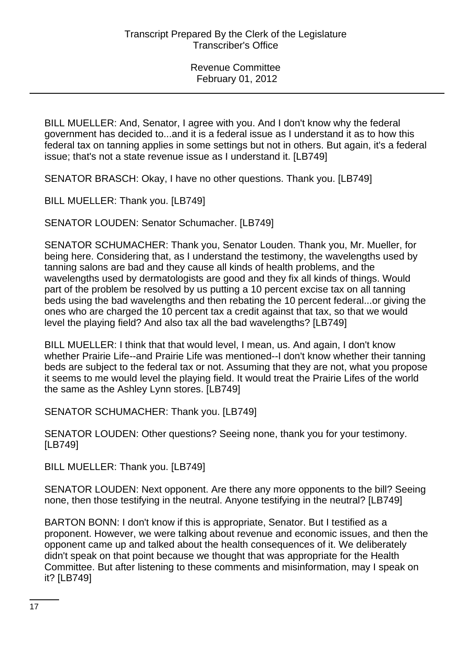BILL MUELLER: And, Senator, I agree with you. And I don't know why the federal government has decided to...and it is a federal issue as I understand it as to how this federal tax on tanning applies in some settings but not in others. But again, it's a federal issue; that's not a state revenue issue as I understand it. [LB749]

SENATOR BRASCH: Okay, I have no other questions. Thank you. [LB749]

BILL MUELLER: Thank you. [LB749]

SENATOR LOUDEN: Senator Schumacher. [LB749]

SENATOR SCHUMACHER: Thank you, Senator Louden. Thank you, Mr. Mueller, for being here. Considering that, as I understand the testimony, the wavelengths used by tanning salons are bad and they cause all kinds of health problems, and the wavelengths used by dermatologists are good and they fix all kinds of things. Would part of the problem be resolved by us putting a 10 percent excise tax on all tanning beds using the bad wavelengths and then rebating the 10 percent federal...or giving the ones who are charged the 10 percent tax a credit against that tax, so that we would level the playing field? And also tax all the bad wavelengths? [LB749]

BILL MUELLER: I think that that would level, I mean, us. And again, I don't know whether Prairie Life--and Prairie Life was mentioned--I don't know whether their tanning beds are subject to the federal tax or not. Assuming that they are not, what you propose it seems to me would level the playing field. It would treat the Prairie Lifes of the world the same as the Ashley Lynn stores. [LB749]

SENATOR SCHUMACHER: Thank you. [LB749]

SENATOR LOUDEN: Other questions? Seeing none, thank you for your testimony. [LB749]

BILL MUELLER: Thank you. [LB749]

SENATOR LOUDEN: Next opponent. Are there any more opponents to the bill? Seeing none, then those testifying in the neutral. Anyone testifying in the neutral? [LB749]

BARTON BONN: I don't know if this is appropriate, Senator. But I testified as a proponent. However, we were talking about revenue and economic issues, and then the opponent came up and talked about the health consequences of it. We deliberately didn't speak on that point because we thought that was appropriate for the Health Committee. But after listening to these comments and misinformation, may I speak on it? [LB749]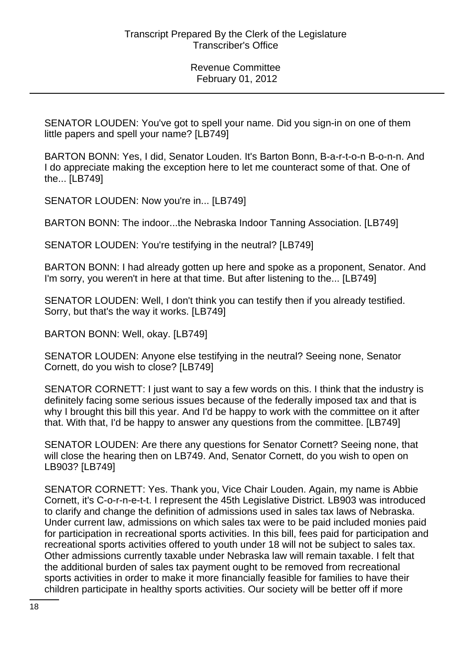SENATOR LOUDEN: You've got to spell your name. Did you sign-in on one of them little papers and spell your name? [LB749]

BARTON BONN: Yes, I did, Senator Louden. It's Barton Bonn, B-a-r-t-o-n B-o-n-n. And I do appreciate making the exception here to let me counteract some of that. One of the... [LB749]

SENATOR LOUDEN: Now you're in... [LB749]

BARTON BONN: The indoor...the Nebraska Indoor Tanning Association. [LB749]

SENATOR LOUDEN: You're testifying in the neutral? [LB749]

BARTON BONN: I had already gotten up here and spoke as a proponent, Senator. And I'm sorry, you weren't in here at that time. But after listening to the... [LB749]

SENATOR LOUDEN: Well, I don't think you can testify then if you already testified. Sorry, but that's the way it works. [LB749]

BARTON BONN: Well, okay. [LB749]

SENATOR LOUDEN: Anyone else testifying in the neutral? Seeing none, Senator Cornett, do you wish to close? [LB749]

SENATOR CORNETT: I just want to say a few words on this. I think that the industry is definitely facing some serious issues because of the federally imposed tax and that is why I brought this bill this year. And I'd be happy to work with the committee on it after that. With that, I'd be happy to answer any questions from the committee. [LB749]

SENATOR LOUDEN: Are there any questions for Senator Cornett? Seeing none, that will close the hearing then on LB749. And, Senator Cornett, do you wish to open on LB903? [LB749]

SENATOR CORNETT: Yes. Thank you, Vice Chair Louden. Again, my name is Abbie Cornett, it's C-o-r-n-e-t-t. I represent the 45th Legislative District. LB903 was introduced to clarify and change the definition of admissions used in sales tax laws of Nebraska. Under current law, admissions on which sales tax were to be paid included monies paid for participation in recreational sports activities. In this bill, fees paid for participation and recreational sports activities offered to youth under 18 will not be subject to sales tax. Other admissions currently taxable under Nebraska law will remain taxable. I felt that the additional burden of sales tax payment ought to be removed from recreational sports activities in order to make it more financially feasible for families to have their children participate in healthy sports activities. Our society will be better off if more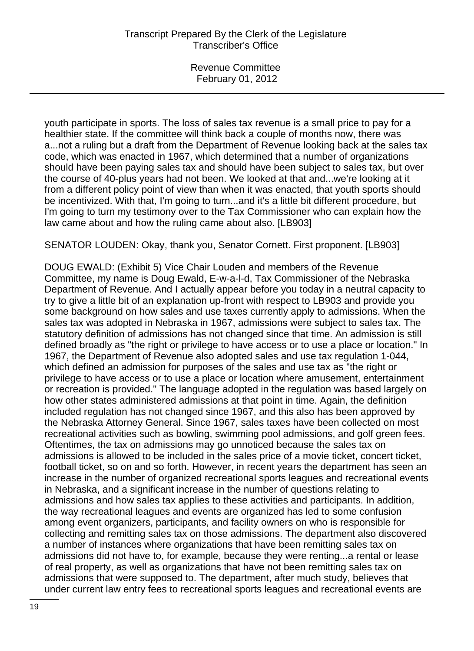youth participate in sports. The loss of sales tax revenue is a small price to pay for a healthier state. If the committee will think back a couple of months now, there was a...not a ruling but a draft from the Department of Revenue looking back at the sales tax code, which was enacted in 1967, which determined that a number of organizations should have been paying sales tax and should have been subject to sales tax, but over the course of 40-plus years had not been. We looked at that and...we're looking at it from a different policy point of view than when it was enacted, that youth sports should be incentivized. With that, I'm going to turn...and it's a little bit different procedure, but I'm going to turn my testimony over to the Tax Commissioner who can explain how the law came about and how the ruling came about also. [LB903]

SENATOR LOUDEN: Okay, thank you, Senator Cornett. First proponent. [LB903]

DOUG EWALD: (Exhibit 5) Vice Chair Louden and members of the Revenue Committee, my name is Doug Ewald, E-w-a-l-d, Tax Commissioner of the Nebraska Department of Revenue. And I actually appear before you today in a neutral capacity to try to give a little bit of an explanation up-front with respect to LB903 and provide you some background on how sales and use taxes currently apply to admissions. When the sales tax was adopted in Nebraska in 1967, admissions were subject to sales tax. The statutory definition of admissions has not changed since that time. An admission is still defined broadly as "the right or privilege to have access or to use a place or location." In 1967, the Department of Revenue also adopted sales and use tax regulation 1-044, which defined an admission for purposes of the sales and use tax as "the right or privilege to have access or to use a place or location where amusement, entertainment or recreation is provided." The language adopted in the regulation was based largely on how other states administered admissions at that point in time. Again, the definition included regulation has not changed since 1967, and this also has been approved by the Nebraska Attorney General. Since 1967, sales taxes have been collected on most recreational activities such as bowling, swimming pool admissions, and golf green fees. Oftentimes, the tax on admissions may go unnoticed because the sales tax on admissions is allowed to be included in the sales price of a movie ticket, concert ticket, football ticket, so on and so forth. However, in recent years the department has seen an increase in the number of organized recreational sports leagues and recreational events in Nebraska, and a significant increase in the number of questions relating to admissions and how sales tax applies to these activities and participants. In addition, the way recreational leagues and events are organized has led to some confusion among event organizers, participants, and facility owners on who is responsible for collecting and remitting sales tax on those admissions. The department also discovered a number of instances where organizations that have been remitting sales tax on admissions did not have to, for example, because they were renting...a rental or lease of real property, as well as organizations that have not been remitting sales tax on admissions that were supposed to. The department, after much study, believes that under current law entry fees to recreational sports leagues and recreational events are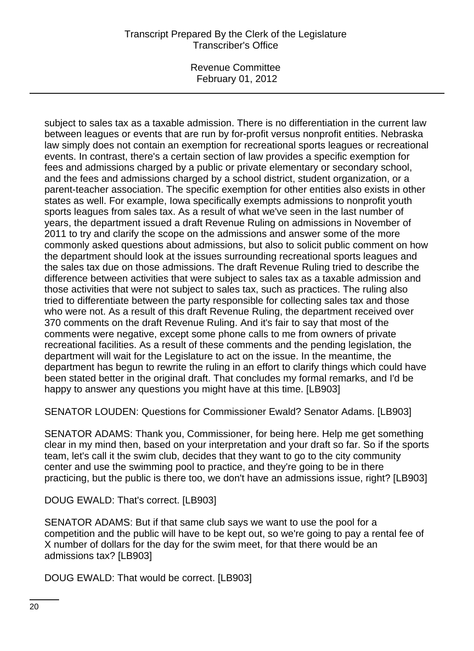Revenue Committee February 01, 2012

subject to sales tax as a taxable admission. There is no differentiation in the current law between leagues or events that are run by for-profit versus nonprofit entities. Nebraska law simply does not contain an exemption for recreational sports leagues or recreational events. In contrast, there's a certain section of law provides a specific exemption for fees and admissions charged by a public or private elementary or secondary school, and the fees and admissions charged by a school district, student organization, or a parent-teacher association. The specific exemption for other entities also exists in other states as well. For example, Iowa specifically exempts admissions to nonprofit youth sports leagues from sales tax. As a result of what we've seen in the last number of years, the department issued a draft Revenue Ruling on admissions in November of 2011 to try and clarify the scope on the admissions and answer some of the more commonly asked questions about admissions, but also to solicit public comment on how the department should look at the issues surrounding recreational sports leagues and the sales tax due on those admissions. The draft Revenue Ruling tried to describe the difference between activities that were subject to sales tax as a taxable admission and those activities that were not subject to sales tax, such as practices. The ruling also tried to differentiate between the party responsible for collecting sales tax and those who were not. As a result of this draft Revenue Ruling, the department received over 370 comments on the draft Revenue Ruling. And it's fair to say that most of the comments were negative, except some phone calls to me from owners of private recreational facilities. As a result of these comments and the pending legislation, the department will wait for the Legislature to act on the issue. In the meantime, the department has begun to rewrite the ruling in an effort to clarify things which could have been stated better in the original draft. That concludes my formal remarks, and I'd be happy to answer any questions you might have at this time. [LB903]

SENATOR LOUDEN: Questions for Commissioner Ewald? Senator Adams. [LB903]

SENATOR ADAMS: Thank you, Commissioner, for being here. Help me get something clear in my mind then, based on your interpretation and your draft so far. So if the sports team, let's call it the swim club, decides that they want to go to the city community center and use the swimming pool to practice, and they're going to be in there practicing, but the public is there too, we don't have an admissions issue, right? [LB903]

DOUG EWALD: That's correct. [LB903]

SENATOR ADAMS: But if that same club says we want to use the pool for a competition and the public will have to be kept out, so we're going to pay a rental fee of X number of dollars for the day for the swim meet, for that there would be an admissions tax? [LB903]

DOUG EWALD: That would be correct. [LB903]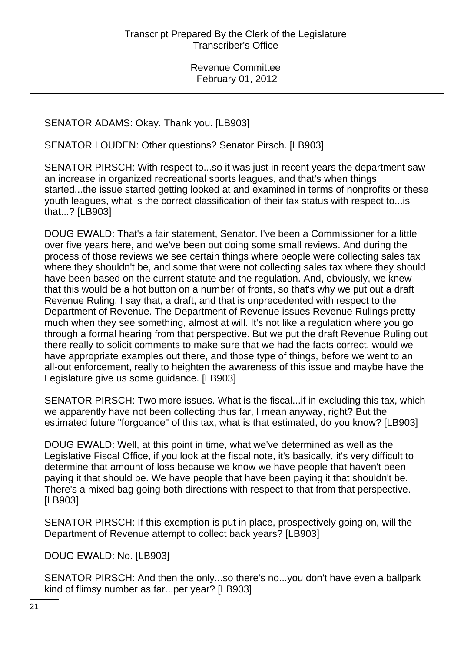# SENATOR ADAMS: Okay. Thank you. [LB903]

SENATOR LOUDEN: Other questions? Senator Pirsch. [LB903]

SENATOR PIRSCH: With respect to...so it was just in recent years the department saw an increase in organized recreational sports leagues, and that's when things started...the issue started getting looked at and examined in terms of nonprofits or these youth leagues, what is the correct classification of their tax status with respect to...is that...? [LB903]

DOUG EWALD: That's a fair statement, Senator. I've been a Commissioner for a little over five years here, and we've been out doing some small reviews. And during the process of those reviews we see certain things where people were collecting sales tax where they shouldn't be, and some that were not collecting sales tax where they should have been based on the current statute and the regulation. And, obviously, we knew that this would be a hot button on a number of fronts, so that's why we put out a draft Revenue Ruling. I say that, a draft, and that is unprecedented with respect to the Department of Revenue. The Department of Revenue issues Revenue Rulings pretty much when they see something, almost at will. It's not like a regulation where you go through a formal hearing from that perspective. But we put the draft Revenue Ruling out there really to solicit comments to make sure that we had the facts correct, would we have appropriate examples out there, and those type of things, before we went to an all-out enforcement, really to heighten the awareness of this issue and maybe have the Legislature give us some guidance. [LB903]

SENATOR PIRSCH: Two more issues. What is the fiscal...if in excluding this tax, which we apparently have not been collecting thus far, I mean anyway, right? But the estimated future "forgoance" of this tax, what is that estimated, do you know? [LB903]

DOUG EWALD: Well, at this point in time, what we've determined as well as the Legislative Fiscal Office, if you look at the fiscal note, it's basically, it's very difficult to determine that amount of loss because we know we have people that haven't been paying it that should be. We have people that have been paying it that shouldn't be. There's a mixed bag going both directions with respect to that from that perspective. [LB903]

SENATOR PIRSCH: If this exemption is put in place, prospectively going on, will the Department of Revenue attempt to collect back years? [LB903]

DOUG EWALD: No. [LB903]

SENATOR PIRSCH: And then the only...so there's no...you don't have even a ballpark kind of flimsy number as far...per year? [LB903]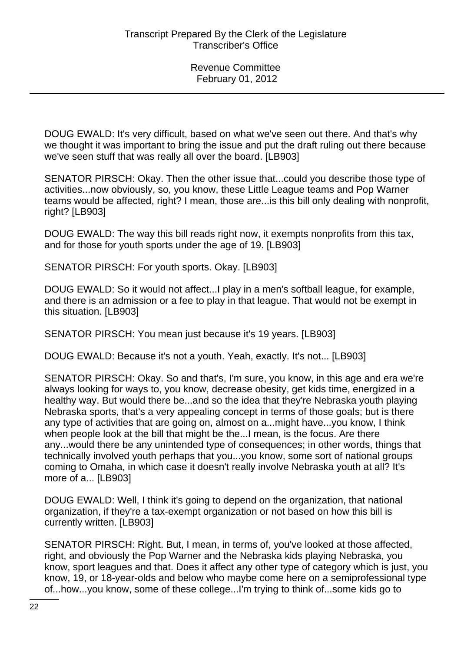DOUG EWALD: It's very difficult, based on what we've seen out there. And that's why we thought it was important to bring the issue and put the draft ruling out there because we've seen stuff that was really all over the board. [LB903]

SENATOR PIRSCH: Okay. Then the other issue that...could you describe those type of activities...now obviously, so, you know, these Little League teams and Pop Warner teams would be affected, right? I mean, those are...is this bill only dealing with nonprofit, right? [LB903]

DOUG EWALD: The way this bill reads right now, it exempts nonprofits from this tax, and for those for youth sports under the age of 19. [LB903]

SENATOR PIRSCH: For youth sports. Okay. [LB903]

DOUG EWALD: So it would not affect...I play in a men's softball league, for example, and there is an admission or a fee to play in that league. That would not be exempt in this situation. [LB903]

SENATOR PIRSCH: You mean just because it's 19 years. [LB903]

DOUG EWALD: Because it's not a youth. Yeah, exactly. It's not... [LB903]

SENATOR PIRSCH: Okay. So and that's, I'm sure, you know, in this age and era we're always looking for ways to, you know, decrease obesity, get kids time, energized in a healthy way. But would there be...and so the idea that they're Nebraska youth playing Nebraska sports, that's a very appealing concept in terms of those goals; but is there any type of activities that are going on, almost on a...might have...you know, I think when people look at the bill that might be the...I mean, is the focus. Are there any...would there be any unintended type of consequences; in other words, things that technically involved youth perhaps that you...you know, some sort of national groups coming to Omaha, in which case it doesn't really involve Nebraska youth at all? It's more of a... [LB903]

DOUG EWALD: Well, I think it's going to depend on the organization, that national organization, if they're a tax-exempt organization or not based on how this bill is currently written. [LB903]

SENATOR PIRSCH: Right. But, I mean, in terms of, you've looked at those affected, right, and obviously the Pop Warner and the Nebraska kids playing Nebraska, you know, sport leagues and that. Does it affect any other type of category which is just, you know, 19, or 18-year-olds and below who maybe come here on a semiprofessional type of...how...you know, some of these college...I'm trying to think of...some kids go to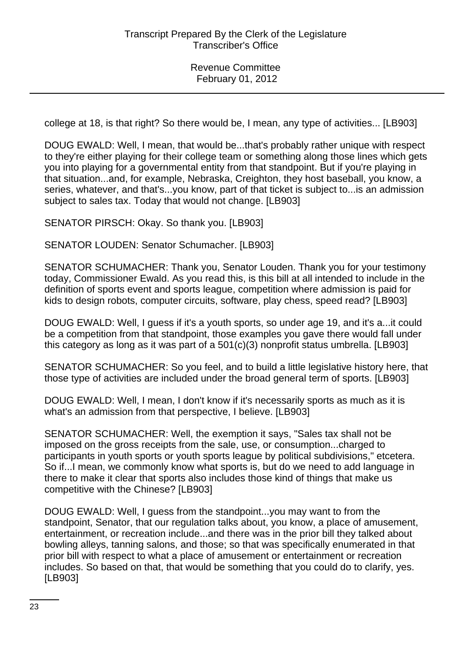college at 18, is that right? So there would be, I mean, any type of activities... [LB903]

DOUG EWALD: Well, I mean, that would be...that's probably rather unique with respect to they're either playing for their college team or something along those lines which gets you into playing for a governmental entity from that standpoint. But if you're playing in that situation...and, for example, Nebraska, Creighton, they host baseball, you know, a series, whatever, and that's...you know, part of that ticket is subject to...is an admission subject to sales tax. Today that would not change. [LB903]

SENATOR PIRSCH: Okay. So thank you. [LB903]

SENATOR LOUDEN: Senator Schumacher. [LB903]

SENATOR SCHUMACHER: Thank you, Senator Louden. Thank you for your testimony today, Commissioner Ewald. As you read this, is this bill at all intended to include in the definition of sports event and sports league, competition where admission is paid for kids to design robots, computer circuits, software, play chess, speed read? [LB903]

DOUG EWALD: Well, I guess if it's a youth sports, so under age 19, and it's a...it could be a competition from that standpoint, those examples you gave there would fall under this category as long as it was part of a 501(c)(3) nonprofit status umbrella. [LB903]

SENATOR SCHUMACHER: So you feel, and to build a little legislative history here, that those type of activities are included under the broad general term of sports. [LB903]

DOUG EWALD: Well, I mean, I don't know if it's necessarily sports as much as it is what's an admission from that perspective, I believe. [LB903]

SENATOR SCHUMACHER: Well, the exemption it says, "Sales tax shall not be imposed on the gross receipts from the sale, use, or consumption...charged to participants in youth sports or youth sports league by political subdivisions," etcetera. So if...I mean, we commonly know what sports is, but do we need to add language in there to make it clear that sports also includes those kind of things that make us competitive with the Chinese? [LB903]

DOUG EWALD: Well, I guess from the standpoint...you may want to from the standpoint, Senator, that our regulation talks about, you know, a place of amusement, entertainment, or recreation include...and there was in the prior bill they talked about bowling alleys, tanning salons, and those; so that was specifically enumerated in that prior bill with respect to what a place of amusement or entertainment or recreation includes. So based on that, that would be something that you could do to clarify, yes. [LB903]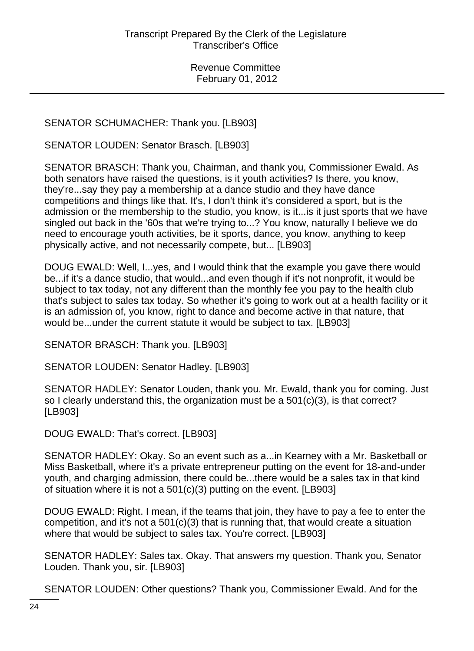# SENATOR SCHUMACHER: Thank you. [LB903]

SENATOR LOUDEN: Senator Brasch. [LB903]

SENATOR BRASCH: Thank you, Chairman, and thank you, Commissioner Ewald. As both senators have raised the questions, is it youth activities? Is there, you know, they're...say they pay a membership at a dance studio and they have dance competitions and things like that. It's, I don't think it's considered a sport, but is the admission or the membership to the studio, you know, is it...is it just sports that we have singled out back in the '60s that we're trying to...? You know, naturally I believe we do need to encourage youth activities, be it sports, dance, you know, anything to keep physically active, and not necessarily compete, but... [LB903]

DOUG EWALD: Well, I...yes, and I would think that the example you gave there would be...if it's a dance studio, that would...and even though if it's not nonprofit, it would be subject to tax today, not any different than the monthly fee you pay to the health club that's subject to sales tax today. So whether it's going to work out at a health facility or it is an admission of, you know, right to dance and become active in that nature, that would be...under the current statute it would be subject to tax. [LB903]

SENATOR BRASCH: Thank you. [LB903]

SENATOR LOUDEN: Senator Hadley. [LB903]

SENATOR HADLEY: Senator Louden, thank you. Mr. Ewald, thank you for coming. Just so I clearly understand this, the organization must be a 501(c)(3), is that correct? [LB903]

DOUG EWALD: That's correct. [LB903]

SENATOR HADLEY: Okay. So an event such as a...in Kearney with a Mr. Basketball or Miss Basketball, where it's a private entrepreneur putting on the event for 18-and-under youth, and charging admission, there could be...there would be a sales tax in that kind of situation where it is not a 501(c)(3) putting on the event. [LB903]

DOUG EWALD: Right. I mean, if the teams that join, they have to pay a fee to enter the competition, and it's not a 501(c)(3) that is running that, that would create a situation where that would be subject to sales tax. You're correct. [LB903]

SENATOR HADLEY: Sales tax. Okay. That answers my question. Thank you, Senator Louden. Thank you, sir. [LB903]

SENATOR LOUDEN: Other questions? Thank you, Commissioner Ewald. And for the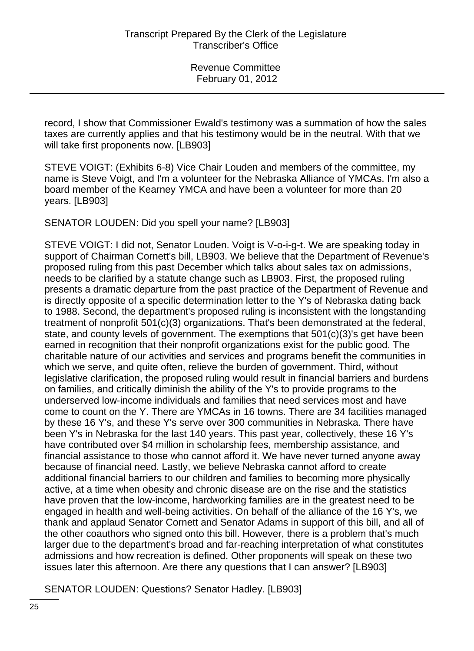record, I show that Commissioner Ewald's testimony was a summation of how the sales taxes are currently applies and that his testimony would be in the neutral. With that we will take first proponents now. [LB903]

STEVE VOIGT: (Exhibits 6-8) Vice Chair Louden and members of the committee, my name is Steve Voigt, and I'm a volunteer for the Nebraska Alliance of YMCAs. I'm also a board member of the Kearney YMCA and have been a volunteer for more than 20 years. [LB903]

SENATOR LOUDEN: Did you spell your name? [LB903]

STEVE VOIGT: I did not, Senator Louden. Voigt is V-o-i-g-t. We are speaking today in support of Chairman Cornett's bill, LB903. We believe that the Department of Revenue's proposed ruling from this past December which talks about sales tax on admissions, needs to be clarified by a statute change such as LB903. First, the proposed ruling presents a dramatic departure from the past practice of the Department of Revenue and is directly opposite of a specific determination letter to the Y's of Nebraska dating back to 1988. Second, the department's proposed ruling is inconsistent with the longstanding treatment of nonprofit 501(c)(3) organizations. That's been demonstrated at the federal, state, and county levels of government. The exemptions that 501(c)(3)'s get have been earned in recognition that their nonprofit organizations exist for the public good. The charitable nature of our activities and services and programs benefit the communities in which we serve, and quite often, relieve the burden of government. Third, without legislative clarification, the proposed ruling would result in financial barriers and burdens on families, and critically diminish the ability of the Y's to provide programs to the underserved low-income individuals and families that need services most and have come to count on the Y. There are YMCAs in 16 towns. There are 34 facilities managed by these 16 Y's, and these Y's serve over 300 communities in Nebraska. There have been Y's in Nebraska for the last 140 years. This past year, collectively, these 16 Y's have contributed over \$4 million in scholarship fees, membership assistance, and financial assistance to those who cannot afford it. We have never turned anyone away because of financial need. Lastly, we believe Nebraska cannot afford to create additional financial barriers to our children and families to becoming more physically active, at a time when obesity and chronic disease are on the rise and the statistics have proven that the low-income, hardworking families are in the greatest need to be engaged in health and well-being activities. On behalf of the alliance of the 16 Y's, we thank and applaud Senator Cornett and Senator Adams in support of this bill, and all of the other coauthors who signed onto this bill. However, there is a problem that's much larger due to the department's broad and far-reaching interpretation of what constitutes admissions and how recreation is defined. Other proponents will speak on these two issues later this afternoon. Are there any questions that I can answer? [LB903]

SENATOR LOUDEN: Questions? Senator Hadley. [LB903]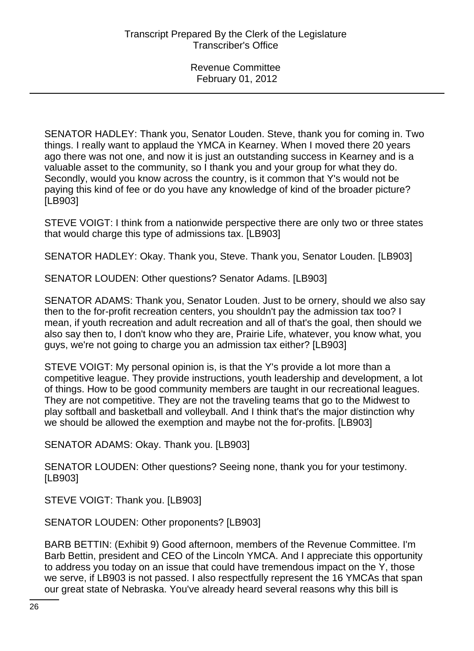SENATOR HADLEY: Thank you, Senator Louden. Steve, thank you for coming in. Two things. I really want to applaud the YMCA in Kearney. When I moved there 20 years ago there was not one, and now it is just an outstanding success in Kearney and is a valuable asset to the community, so I thank you and your group for what they do. Secondly, would you know across the country, is it common that Y's would not be paying this kind of fee or do you have any knowledge of kind of the broader picture? [LB903]

STEVE VOIGT: I think from a nationwide perspective there are only two or three states that would charge this type of admissions tax. [LB903]

SENATOR HADLEY: Okay. Thank you, Steve. Thank you, Senator Louden. [LB903]

SENATOR LOUDEN: Other questions? Senator Adams. [LB903]

SENATOR ADAMS: Thank you, Senator Louden. Just to be ornery, should we also say then to the for-profit recreation centers, you shouldn't pay the admission tax too? I mean, if youth recreation and adult recreation and all of that's the goal, then should we also say then to, I don't know who they are, Prairie Life, whatever, you know what, you guys, we're not going to charge you an admission tax either? [LB903]

STEVE VOIGT: My personal opinion is, is that the Y's provide a lot more than a competitive league. They provide instructions, youth leadership and development, a lot of things. How to be good community members are taught in our recreational leagues. They are not competitive. They are not the traveling teams that go to the Midwest to play softball and basketball and volleyball. And I think that's the major distinction why we should be allowed the exemption and maybe not the for-profits. [LB903]

SENATOR ADAMS: Okay. Thank you. [LB903]

SENATOR LOUDEN: Other questions? Seeing none, thank you for your testimony. [LB903]

STEVE VOIGT: Thank you. [LB903]

SENATOR LOUDEN: Other proponents? [LB903]

BARB BETTIN: (Exhibit 9) Good afternoon, members of the Revenue Committee. I'm Barb Bettin, president and CEO of the Lincoln YMCA. And I appreciate this opportunity to address you today on an issue that could have tremendous impact on the Y, those we serve, if LB903 is not passed. I also respectfully represent the 16 YMCAs that span our great state of Nebraska. You've already heard several reasons why this bill is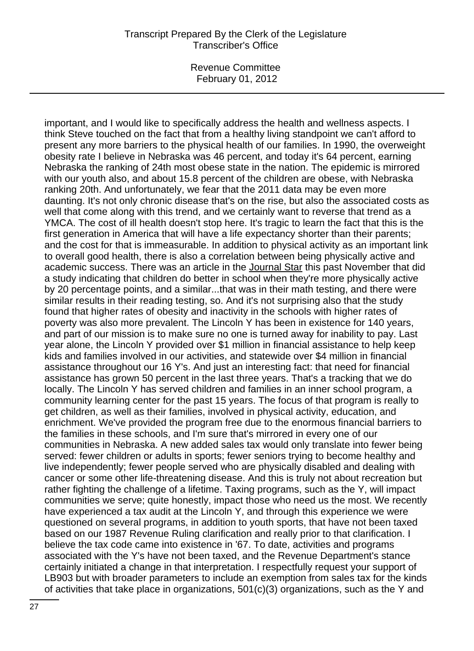Revenue Committee February 01, 2012

important, and I would like to specifically address the health and wellness aspects. I think Steve touched on the fact that from a healthy living standpoint we can't afford to present any more barriers to the physical health of our families. In 1990, the overweight obesity rate I believe in Nebraska was 46 percent, and today it's 64 percent, earning Nebraska the ranking of 24th most obese state in the nation. The epidemic is mirrored with our youth also, and about 15.8 percent of the children are obese, with Nebraska ranking 20th. And unfortunately, we fear that the 2011 data may be even more daunting. It's not only chronic disease that's on the rise, but also the associated costs as well that come along with this trend, and we certainly want to reverse that trend as a YMCA. The cost of ill health doesn't stop here. It's tragic to learn the fact that this is the first generation in America that will have a life expectancy shorter than their parents; and the cost for that is immeasurable. In addition to physical activity as an important link to overall good health, there is also a correlation between being physically active and academic success. There was an article in the Journal Star this past November that did a study indicating that children do better in school when they're more physically active by 20 percentage points, and a similar...that was in their math testing, and there were similar results in their reading testing, so. And it's not surprising also that the study found that higher rates of obesity and inactivity in the schools with higher rates of poverty was also more prevalent. The Lincoln Y has been in existence for 140 years, and part of our mission is to make sure no one is turned away for inability to pay. Last year alone, the Lincoln Y provided over \$1 million in financial assistance to help keep kids and families involved in our activities, and statewide over \$4 million in financial assistance throughout our 16 Y's. And just an interesting fact: that need for financial assistance has grown 50 percent in the last three years. That's a tracking that we do locally. The Lincoln Y has served children and families in an inner school program, a community learning center for the past 15 years. The focus of that program is really to get children, as well as their families, involved in physical activity, education, and enrichment. We've provided the program free due to the enormous financial barriers to the families in these schools, and I'm sure that's mirrored in every one of our communities in Nebraska. A new added sales tax would only translate into fewer being served: fewer children or adults in sports; fewer seniors trying to become healthy and live independently; fewer people served who are physically disabled and dealing with cancer or some other life-threatening disease. And this is truly not about recreation but rather fighting the challenge of a lifetime. Taxing programs, such as the Y, will impact communities we serve; quite honestly, impact those who need us the most. We recently have experienced a tax audit at the Lincoln Y, and through this experience we were questioned on several programs, in addition to youth sports, that have not been taxed based on our 1987 Revenue Ruling clarification and really prior to that clarification. I believe the tax code came into existence in '67. To date, activities and programs associated with the Y's have not been taxed, and the Revenue Department's stance certainly initiated a change in that interpretation. I respectfully request your support of LB903 but with broader parameters to include an exemption from sales tax for the kinds of activities that take place in organizations, 501(c)(3) organizations, such as the Y and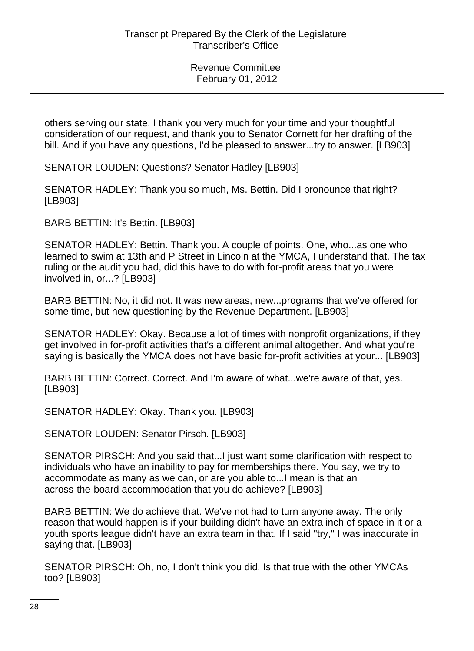others serving our state. I thank you very much for your time and your thoughtful consideration of our request, and thank you to Senator Cornett for her drafting of the bill. And if you have any questions, I'd be pleased to answer...try to answer. [LB903]

SENATOR LOUDEN: Questions? Senator Hadley [LB903]

SENATOR HADLEY: Thank you so much, Ms. Bettin. Did I pronounce that right? [LB903]

BARB BETTIN: It's Bettin. [LB903]

SENATOR HADLEY: Bettin. Thank you. A couple of points. One, who...as one who learned to swim at 13th and P Street in Lincoln at the YMCA, I understand that. The tax ruling or the audit you had, did this have to do with for-profit areas that you were involved in, or...? [LB903]

BARB BETTIN: No, it did not. It was new areas, new...programs that we've offered for some time, but new questioning by the Revenue Department. [LB903]

SENATOR HADLEY: Okay. Because a lot of times with nonprofit organizations, if they get involved in for-profit activities that's a different animal altogether. And what you're saying is basically the YMCA does not have basic for-profit activities at your... [LB903]

BARB BETTIN: Correct. Correct. And I'm aware of what...we're aware of that, yes. [LB903]

SENATOR HADLEY: Okay. Thank you. [LB903]

SENATOR LOUDEN: Senator Pirsch. [LB903]

SENATOR PIRSCH: And you said that...I just want some clarification with respect to individuals who have an inability to pay for memberships there. You say, we try to accommodate as many as we can, or are you able to...I mean is that an across-the-board accommodation that you do achieve? [LB903]

BARB BETTIN: We do achieve that. We've not had to turn anyone away. The only reason that would happen is if your building didn't have an extra inch of space in it or a youth sports league didn't have an extra team in that. If I said "try," I was inaccurate in saying that. [LB903]

SENATOR PIRSCH: Oh, no, I don't think you did. Is that true with the other YMCAs too? [LB903]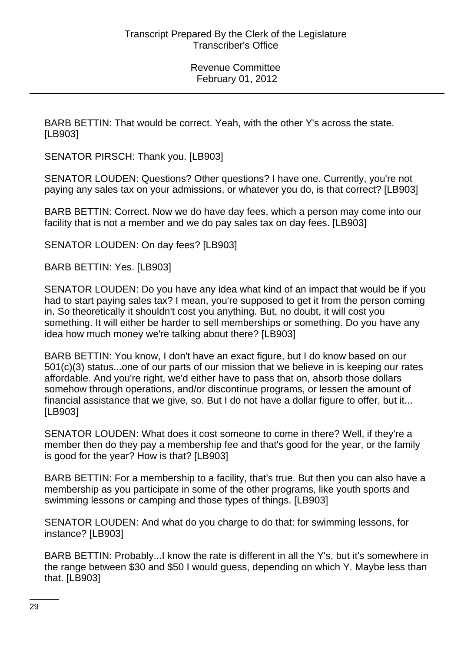BARB BETTIN: That would be correct. Yeah, with the other Y's across the state. [LB903]

SENATOR PIRSCH: Thank you. [LB903]

SENATOR LOUDEN: Questions? Other questions? I have one. Currently, you're not paying any sales tax on your admissions, or whatever you do, is that correct? [LB903]

BARB BETTIN: Correct. Now we do have day fees, which a person may come into our facility that is not a member and we do pay sales tax on day fees. [LB903]

SENATOR LOUDEN: On day fees? [LB903]

BARB BETTIN: Yes. [LB903]

SENATOR LOUDEN: Do you have any idea what kind of an impact that would be if you had to start paying sales tax? I mean, you're supposed to get it from the person coming in. So theoretically it shouldn't cost you anything. But, no doubt, it will cost you something. It will either be harder to sell memberships or something. Do you have any idea how much money we're talking about there? [LB903]

BARB BETTIN: You know, I don't have an exact figure, but I do know based on our 501(c)(3) status...one of our parts of our mission that we believe in is keeping our rates affordable. And you're right, we'd either have to pass that on, absorb those dollars somehow through operations, and/or discontinue programs, or lessen the amount of financial assistance that we give, so. But I do not have a dollar figure to offer, but it... [LB903]

SENATOR LOUDEN: What does it cost someone to come in there? Well, if they're a member then do they pay a membership fee and that's good for the year, or the family is good for the year? How is that? [LB903]

BARB BETTIN: For a membership to a facility, that's true. But then you can also have a membership as you participate in some of the other programs, like youth sports and swimming lessons or camping and those types of things. [LB903]

SENATOR LOUDEN: And what do you charge to do that: for swimming lessons, for instance? [LB903]

BARB BETTIN: Probably...I know the rate is different in all the Y's, but it's somewhere in the range between \$30 and \$50 I would guess, depending on which Y. Maybe less than that. [LB903]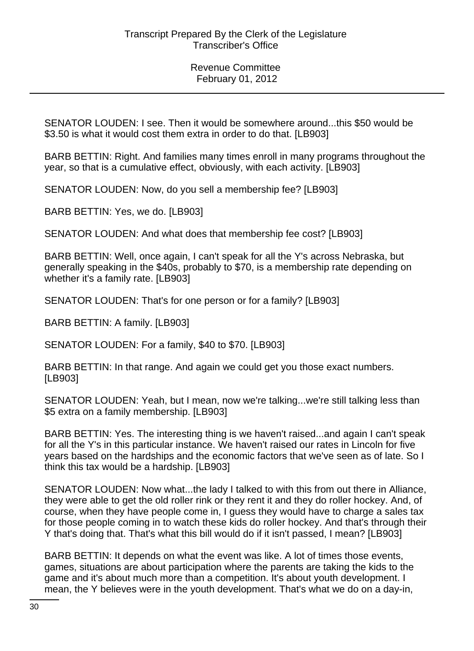SENATOR LOUDEN: I see. Then it would be somewhere around...this \$50 would be \$3.50 is what it would cost them extra in order to do that. [LB903]

BARB BETTIN: Right. And families many times enroll in many programs throughout the year, so that is a cumulative effect, obviously, with each activity. [LB903]

SENATOR LOUDEN: Now, do you sell a membership fee? [LB903]

BARB BETTIN: Yes, we do. [LB903]

SENATOR LOUDEN: And what does that membership fee cost? [LB903]

BARB BETTIN: Well, once again, I can't speak for all the Y's across Nebraska, but generally speaking in the \$40s, probably to \$70, is a membership rate depending on whether it's a family rate. [LB903]

SENATOR LOUDEN: That's for one person or for a family? [LB903]

BARB BETTIN: A family. [LB903]

SENATOR LOUDEN: For a family, \$40 to \$70. [LB903]

BARB BETTIN: In that range. And again we could get you those exact numbers. [LB903]

SENATOR LOUDEN: Yeah, but I mean, now we're talking...we're still talking less than \$5 extra on a family membership. [LB903]

BARB BETTIN: Yes. The interesting thing is we haven't raised...and again I can't speak for all the Y's in this particular instance. We haven't raised our rates in Lincoln for five years based on the hardships and the economic factors that we've seen as of late. So I think this tax would be a hardship. [LB903]

SENATOR LOUDEN: Now what...the lady I talked to with this from out there in Alliance, they were able to get the old roller rink or they rent it and they do roller hockey. And, of course, when they have people come in, I guess they would have to charge a sales tax for those people coming in to watch these kids do roller hockey. And that's through their Y that's doing that. That's what this bill would do if it isn't passed, I mean? [LB903]

BARB BETTIN: It depends on what the event was like. A lot of times those events, games, situations are about participation where the parents are taking the kids to the game and it's about much more than a competition. It's about youth development. I mean, the Y believes were in the youth development. That's what we do on a day-in,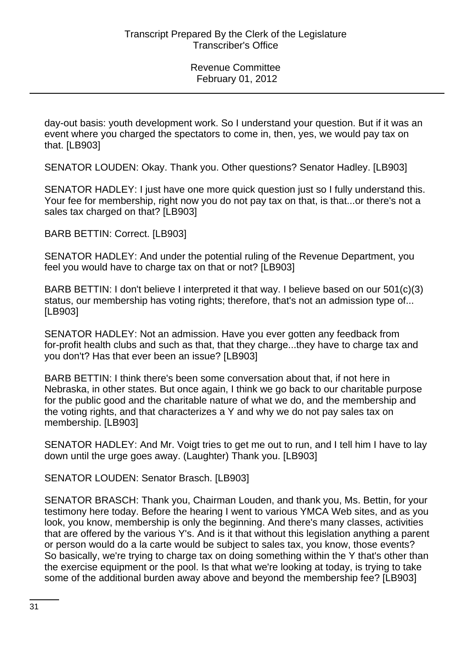day-out basis: youth development work. So I understand your question. But if it was an event where you charged the spectators to come in, then, yes, we would pay tax on that. [LB903]

SENATOR LOUDEN: Okay. Thank you. Other questions? Senator Hadley. [LB903]

SENATOR HADLEY: I just have one more quick question just so I fully understand this. Your fee for membership, right now you do not pay tax on that, is that...or there's not a sales tax charged on that? [LB903]

BARB BETTIN: Correct. [LB903]

SENATOR HADLEY: And under the potential ruling of the Revenue Department, you feel you would have to charge tax on that or not? [LB903]

BARB BETTIN: I don't believe I interpreted it that way. I believe based on our 501(c)(3) status, our membership has voting rights; therefore, that's not an admission type of... [LB903]

SENATOR HADLEY: Not an admission. Have you ever gotten any feedback from for-profit health clubs and such as that, that they charge...they have to charge tax and you don't? Has that ever been an issue? [LB903]

BARB BETTIN: I think there's been some conversation about that, if not here in Nebraska, in other states. But once again, I think we go back to our charitable purpose for the public good and the charitable nature of what we do, and the membership and the voting rights, and that characterizes a Y and why we do not pay sales tax on membership. [LB903]

SENATOR HADLEY: And Mr. Voigt tries to get me out to run, and I tell him I have to lay down until the urge goes away. (Laughter) Thank you. [LB903]

SENATOR LOUDEN: Senator Brasch. [LB903]

SENATOR BRASCH: Thank you, Chairman Louden, and thank you, Ms. Bettin, for your testimony here today. Before the hearing I went to various YMCA Web sites, and as you look, you know, membership is only the beginning. And there's many classes, activities that are offered by the various Y's. And is it that without this legislation anything a parent or person would do a la carte would be subject to sales tax, you know, those events? So basically, we're trying to charge tax on doing something within the Y that's other than the exercise equipment or the pool. Is that what we're looking at today, is trying to take some of the additional burden away above and beyond the membership fee? [LB903]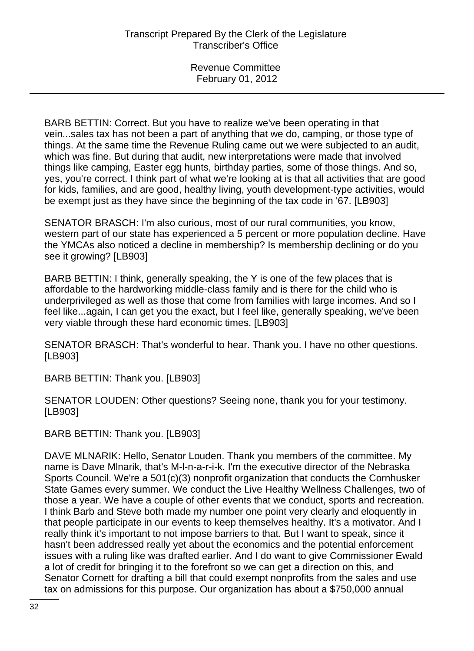BARB BETTIN: Correct. But you have to realize we've been operating in that vein...sales tax has not been a part of anything that we do, camping, or those type of things. At the same time the Revenue Ruling came out we were subjected to an audit, which was fine. But during that audit, new interpretations were made that involved things like camping, Easter egg hunts, birthday parties, some of those things. And so, yes, you're correct. I think part of what we're looking at is that all activities that are good for kids, families, and are good, healthy living, youth development-type activities, would be exempt just as they have since the beginning of the tax code in '67. [LB903]

SENATOR BRASCH: I'm also curious, most of our rural communities, you know, western part of our state has experienced a 5 percent or more population decline. Have the YMCAs also noticed a decline in membership? Is membership declining or do you see it growing? [LB903]

BARB BETTIN: I think, generally speaking, the Y is one of the few places that is affordable to the hardworking middle-class family and is there for the child who is underprivileged as well as those that come from families with large incomes. And so I feel like...again, I can get you the exact, but I feel like, generally speaking, we've been very viable through these hard economic times. [LB903]

SENATOR BRASCH: That's wonderful to hear. Thank you. I have no other questions. [LB903]

BARB BETTIN: Thank you. [LB903]

SENATOR LOUDEN: Other questions? Seeing none, thank you for your testimony. [LB903]

BARB BETTIN: Thank you. [LB903]

DAVE MLNARIK: Hello, Senator Louden. Thank you members of the committee. My name is Dave Mlnarik, that's M-l-n-a-r-i-k. I'm the executive director of the Nebraska Sports Council. We're a 501(c)(3) nonprofit organization that conducts the Cornhusker State Games every summer. We conduct the Live Healthy Wellness Challenges, two of those a year. We have a couple of other events that we conduct, sports and recreation. I think Barb and Steve both made my number one point very clearly and eloquently in that people participate in our events to keep themselves healthy. It's a motivator. And I really think it's important to not impose barriers to that. But I want to speak, since it hasn't been addressed really yet about the economics and the potential enforcement issues with a ruling like was drafted earlier. And I do want to give Commissioner Ewald a lot of credit for bringing it to the forefront so we can get a direction on this, and Senator Cornett for drafting a bill that could exempt nonprofits from the sales and use tax on admissions for this purpose. Our organization has about a \$750,000 annual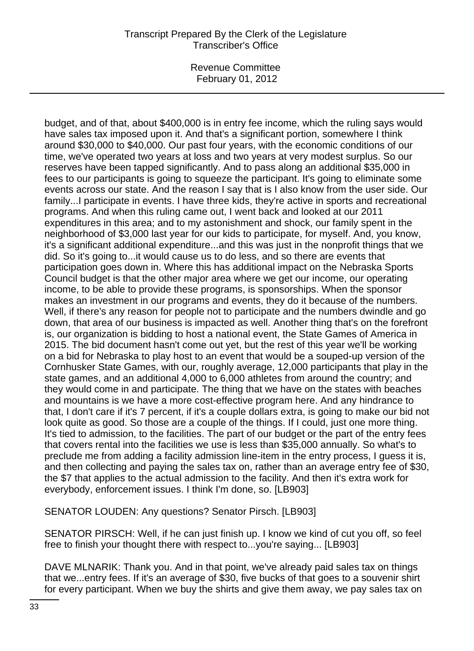Revenue Committee February 01, 2012

budget, and of that, about \$400,000 is in entry fee income, which the ruling says would have sales tax imposed upon it. And that's a significant portion, somewhere I think around \$30,000 to \$40,000. Our past four years, with the economic conditions of our time, we've operated two years at loss and two years at very modest surplus. So our reserves have been tapped significantly. And to pass along an additional \$35,000 in fees to our participants is going to squeeze the participant. It's going to eliminate some events across our state. And the reason I say that is I also know from the user side. Our family...I participate in events. I have three kids, they're active in sports and recreational programs. And when this ruling came out, I went back and looked at our 2011 expenditures in this area; and to my astonishment and shock, our family spent in the neighborhood of \$3,000 last year for our kids to participate, for myself. And, you know, it's a significant additional expenditure...and this was just in the nonprofit things that we did. So it's going to...it would cause us to do less, and so there are events that participation goes down in. Where this has additional impact on the Nebraska Sports Council budget is that the other major area where we get our income, our operating income, to be able to provide these programs, is sponsorships. When the sponsor makes an investment in our programs and events, they do it because of the numbers. Well, if there's any reason for people not to participate and the numbers dwindle and go down, that area of our business is impacted as well. Another thing that's on the forefront is, our organization is bidding to host a national event, the State Games of America in 2015. The bid document hasn't come out yet, but the rest of this year we'll be working on a bid for Nebraska to play host to an event that would be a souped-up version of the Cornhusker State Games, with our, roughly average, 12,000 participants that play in the state games, and an additional 4,000 to 6,000 athletes from around the country; and they would come in and participate. The thing that we have on the states with beaches and mountains is we have a more cost-effective program here. And any hindrance to that, I don't care if it's 7 percent, if it's a couple dollars extra, is going to make our bid not look quite as good. So those are a couple of the things. If I could, just one more thing. It's tied to admission, to the facilities. The part of our budget or the part of the entry fees that covers rental into the facilities we use is less than \$35,000 annually. So what's to preclude me from adding a facility admission line-item in the entry process, I guess it is, and then collecting and paying the sales tax on, rather than an average entry fee of \$30, the \$7 that applies to the actual admission to the facility. And then it's extra work for everybody, enforcement issues. I think I'm done, so. [LB903]

SENATOR LOUDEN: Any questions? Senator Pirsch. [LB903]

SENATOR PIRSCH: Well, if he can just finish up. I know we kind of cut you off, so feel free to finish your thought there with respect to...you're saying... [LB903]

DAVE MLNARIK: Thank you. And in that point, we've already paid sales tax on things that we...entry fees. If it's an average of \$30, five bucks of that goes to a souvenir shirt for every participant. When we buy the shirts and give them away, we pay sales tax on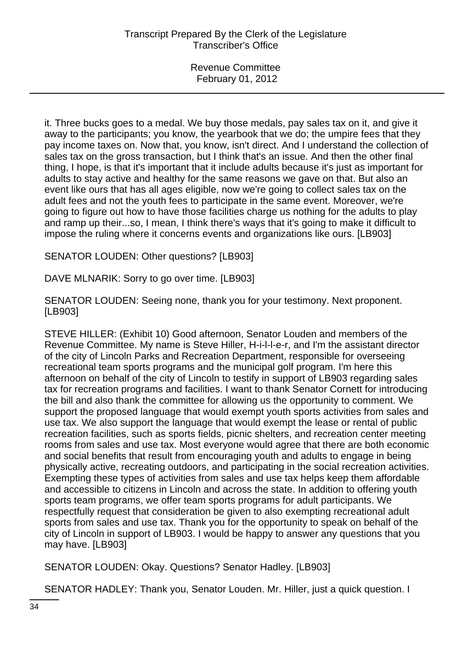it. Three bucks goes to a medal. We buy those medals, pay sales tax on it, and give it away to the participants; you know, the yearbook that we do; the umpire fees that they pay income taxes on. Now that, you know, isn't direct. And I understand the collection of sales tax on the gross transaction, but I think that's an issue. And then the other final thing, I hope, is that it's important that it include adults because it's just as important for adults to stay active and healthy for the same reasons we gave on that. But also an event like ours that has all ages eligible, now we're going to collect sales tax on the adult fees and not the youth fees to participate in the same event. Moreover, we're going to figure out how to have those facilities charge us nothing for the adults to play and ramp up their...so, I mean, I think there's ways that it's going to make it difficult to impose the ruling where it concerns events and organizations like ours. [LB903]

SENATOR LOUDEN: Other questions? [LB903]

DAVE MLNARIK: Sorry to go over time. [LB903]

SENATOR LOUDEN: Seeing none, thank you for your testimony. Next proponent. [LB903]

STEVE HILLER: (Exhibit 10) Good afternoon, Senator Louden and members of the Revenue Committee. My name is Steve Hiller, H-i-l-l-e-r, and I'm the assistant director of the city of Lincoln Parks and Recreation Department, responsible for overseeing recreational team sports programs and the municipal golf program. I'm here this afternoon on behalf of the city of Lincoln to testify in support of LB903 regarding sales tax for recreation programs and facilities. I want to thank Senator Cornett for introducing the bill and also thank the committee for allowing us the opportunity to comment. We support the proposed language that would exempt youth sports activities from sales and use tax. We also support the language that would exempt the lease or rental of public recreation facilities, such as sports fields, picnic shelters, and recreation center meeting rooms from sales and use tax. Most everyone would agree that there are both economic and social benefits that result from encouraging youth and adults to engage in being physically active, recreating outdoors, and participating in the social recreation activities. Exempting these types of activities from sales and use tax helps keep them affordable and accessible to citizens in Lincoln and across the state. In addition to offering youth sports team programs, we offer team sports programs for adult participants. We respectfully request that consideration be given to also exempting recreational adult sports from sales and use tax. Thank you for the opportunity to speak on behalf of the city of Lincoln in support of LB903. I would be happy to answer any questions that you may have. [LB903]

SENATOR LOUDEN: Okay. Questions? Senator Hadley. [LB903]

SENATOR HADLEY: Thank you, Senator Louden. Mr. Hiller, just a quick question. I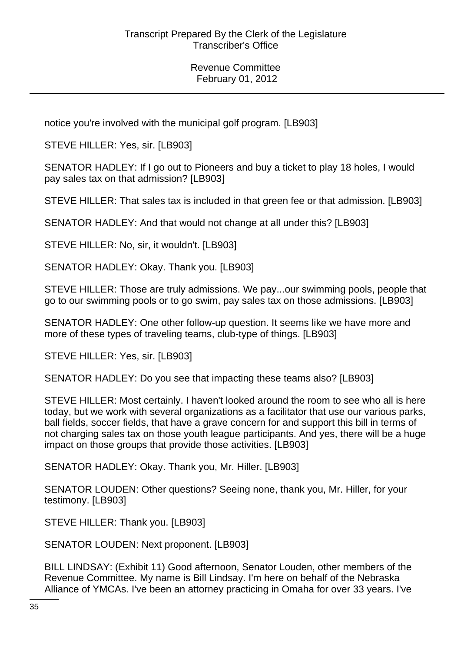notice you're involved with the municipal golf program. [LB903]

STEVE HILLER: Yes, sir. [LB903]

SENATOR HADLEY: If I go out to Pioneers and buy a ticket to play 18 holes, I would pay sales tax on that admission? [LB903]

STEVE HILLER: That sales tax is included in that green fee or that admission. [LB903]

SENATOR HADLEY: And that would not change at all under this? [LB903]

STEVE HILLER: No. sir, it wouldn't. [LB903]

SENATOR HADLEY: Okay. Thank you. [LB903]

STEVE HILLER: Those are truly admissions. We pay...our swimming pools, people that go to our swimming pools or to go swim, pay sales tax on those admissions. [LB903]

SENATOR HADLEY: One other follow-up question. It seems like we have more and more of these types of traveling teams, club-type of things. [LB903]

STEVE HILLER: Yes, sir. [LB903]

SENATOR HADLEY: Do you see that impacting these teams also? [LB903]

STEVE HILLER: Most certainly. I haven't looked around the room to see who all is here today, but we work with several organizations as a facilitator that use our various parks, ball fields, soccer fields, that have a grave concern for and support this bill in terms of not charging sales tax on those youth league participants. And yes, there will be a huge impact on those groups that provide those activities. [LB903]

SENATOR HADLEY: Okay. Thank you, Mr. Hiller. [LB903]

SENATOR LOUDEN: Other questions? Seeing none, thank you, Mr. Hiller, for your testimony. [LB903]

STEVE HILLER: Thank you. [LB903]

SENATOR LOUDEN: Next proponent. [LB903]

BILL LINDSAY: (Exhibit 11) Good afternoon, Senator Louden, other members of the Revenue Committee. My name is Bill Lindsay. I'm here on behalf of the Nebraska Alliance of YMCAs. I've been an attorney practicing in Omaha for over 33 years. I've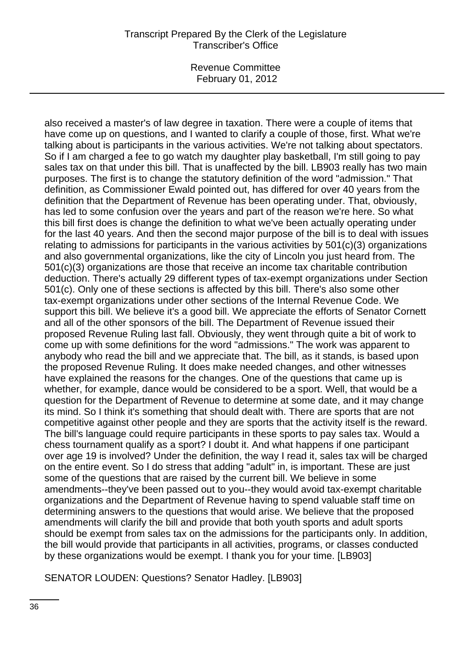Revenue Committee February 01, 2012

also received a master's of law degree in taxation. There were a couple of items that have come up on questions, and I wanted to clarify a couple of those, first. What we're talking about is participants in the various activities. We're not talking about spectators. So if I am charged a fee to go watch my daughter play basketball, I'm still going to pay sales tax on that under this bill. That is unaffected by the bill. LB903 really has two main purposes. The first is to change the statutory definition of the word "admission." That definition, as Commissioner Ewald pointed out, has differed for over 40 years from the definition that the Department of Revenue has been operating under. That, obviously, has led to some confusion over the years and part of the reason we're here. So what this bill first does is change the definition to what we've been actually operating under for the last 40 years. And then the second major purpose of the bill is to deal with issues relating to admissions for participants in the various activities by 501(c)(3) organizations and also governmental organizations, like the city of Lincoln you just heard from. The 501(c)(3) organizations are those that receive an income tax charitable contribution deduction. There's actually 29 different types of tax-exempt organizations under Section 501(c). Only one of these sections is affected by this bill. There's also some other tax-exempt organizations under other sections of the Internal Revenue Code. We support this bill. We believe it's a good bill. We appreciate the efforts of Senator Cornett and all of the other sponsors of the bill. The Department of Revenue issued their proposed Revenue Ruling last fall. Obviously, they went through quite a bit of work to come up with some definitions for the word "admissions." The work was apparent to anybody who read the bill and we appreciate that. The bill, as it stands, is based upon the proposed Revenue Ruling. It does make needed changes, and other witnesses have explained the reasons for the changes. One of the questions that came up is whether, for example, dance would be considered to be a sport. Well, that would be a question for the Department of Revenue to determine at some date, and it may change its mind. So I think it's something that should dealt with. There are sports that are not competitive against other people and they are sports that the activity itself is the reward. The bill's language could require participants in these sports to pay sales tax. Would a chess tournament qualify as a sport? I doubt it. And what happens if one participant over age 19 is involved? Under the definition, the way I read it, sales tax will be charged on the entire event. So I do stress that adding "adult" in, is important. These are just some of the questions that are raised by the current bill. We believe in some amendments--they've been passed out to you--they would avoid tax-exempt charitable organizations and the Department of Revenue having to spend valuable staff time on determining answers to the questions that would arise. We believe that the proposed amendments will clarify the bill and provide that both youth sports and adult sports should be exempt from sales tax on the admissions for the participants only. In addition, the bill would provide that participants in all activities, programs, or classes conducted by these organizations would be exempt. I thank you for your time. [LB903]

SENATOR LOUDEN: Questions? Senator Hadley. [LB903]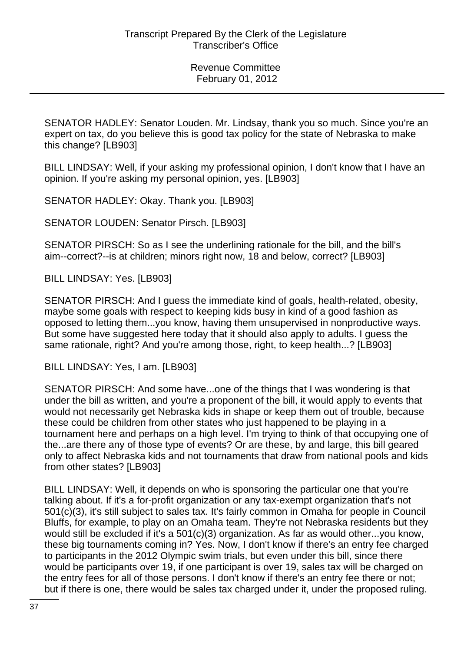SENATOR HADLEY: Senator Louden. Mr. Lindsay, thank you so much. Since you're an expert on tax, do you believe this is good tax policy for the state of Nebraska to make this change? [LB903]

BILL LINDSAY: Well, if your asking my professional opinion, I don't know that I have an opinion. If you're asking my personal opinion, yes. [LB903]

SENATOR HADLEY: Okay. Thank you. [LB903]

SENATOR LOUDEN: Senator Pirsch. [LB903]

SENATOR PIRSCH: So as I see the underlining rationale for the bill, and the bill's aim--correct?--is at children; minors right now, 18 and below, correct? [LB903]

BILL LINDSAY: Yes. [LB903]

SENATOR PIRSCH: And I guess the immediate kind of goals, health-related, obesity, maybe some goals with respect to keeping kids busy in kind of a good fashion as opposed to letting them...you know, having them unsupervised in nonproductive ways. But some have suggested here today that it should also apply to adults. I guess the same rationale, right? And you're among those, right, to keep health...? [LB903]

BILL LINDSAY: Yes, I am. [LB903]

SENATOR PIRSCH: And some have...one of the things that I was wondering is that under the bill as written, and you're a proponent of the bill, it would apply to events that would not necessarily get Nebraska kids in shape or keep them out of trouble, because these could be children from other states who just happened to be playing in a tournament here and perhaps on a high level. I'm trying to think of that occupying one of the...are there any of those type of events? Or are these, by and large, this bill geared only to affect Nebraska kids and not tournaments that draw from national pools and kids from other states? [LB903]

BILL LINDSAY: Well, it depends on who is sponsoring the particular one that you're talking about. If it's a for-profit organization or any tax-exempt organization that's not 501(c)(3), it's still subject to sales tax. It's fairly common in Omaha for people in Council Bluffs, for example, to play on an Omaha team. They're not Nebraska residents but they would still be excluded if it's a 501(c)(3) organization. As far as would other...you know, these big tournaments coming in? Yes. Now, I don't know if there's an entry fee charged to participants in the 2012 Olympic swim trials, but even under this bill, since there would be participants over 19, if one participant is over 19, sales tax will be charged on the entry fees for all of those persons. I don't know if there's an entry fee there or not; but if there is one, there would be sales tax charged under it, under the proposed ruling.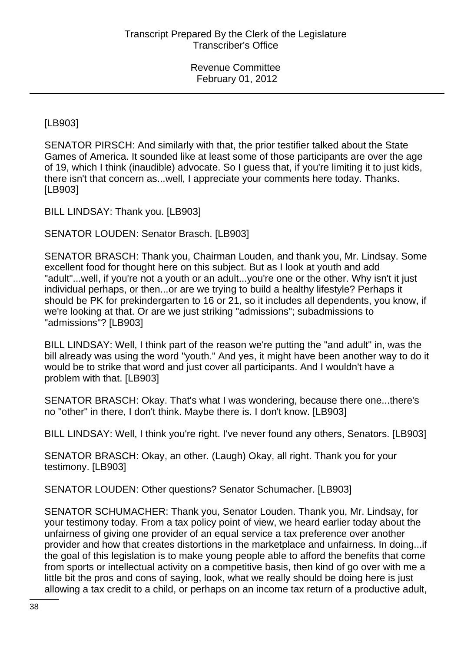[LB903]

SENATOR PIRSCH: And similarly with that, the prior testifier talked about the State Games of America. It sounded like at least some of those participants are over the age of 19, which I think (inaudible) advocate. So I guess that, if you're limiting it to just kids, there isn't that concern as...well, I appreciate your comments here today. Thanks. [LB903]

BILL LINDSAY: Thank you. [LB903]

SENATOR LOUDEN: Senator Brasch. [LB903]

SENATOR BRASCH: Thank you, Chairman Louden, and thank you, Mr. Lindsay. Some excellent food for thought here on this subject. But as I look at youth and add "adult"...well, if you're not a youth or an adult...you're one or the other. Why isn't it just individual perhaps, or then...or are we trying to build a healthy lifestyle? Perhaps it should be PK for prekindergarten to 16 or 21, so it includes all dependents, you know, if we're looking at that. Or are we just striking "admissions"; subadmissions to "admissions"? [LB903]

BILL LINDSAY: Well, I think part of the reason we're putting the "and adult" in, was the bill already was using the word "youth." And yes, it might have been another way to do it would be to strike that word and just cover all participants. And I wouldn't have a problem with that. [LB903]

SENATOR BRASCH: Okay. That's what I was wondering, because there one...there's no "other" in there, I don't think. Maybe there is. I don't know. [LB903]

BILL LINDSAY: Well, I think you're right. I've never found any others, Senators. [LB903]

SENATOR BRASCH: Okay, an other. (Laugh) Okay, all right. Thank you for your testimony. [LB903]

SENATOR LOUDEN: Other questions? Senator Schumacher. [LB903]

SENATOR SCHUMACHER: Thank you, Senator Louden. Thank you, Mr. Lindsay, for your testimony today. From a tax policy point of view, we heard earlier today about the unfairness of giving one provider of an equal service a tax preference over another provider and how that creates distortions in the marketplace and unfairness. In doing...if the goal of this legislation is to make young people able to afford the benefits that come from sports or intellectual activity on a competitive basis, then kind of go over with me a little bit the pros and cons of saying, look, what we really should be doing here is just allowing a tax credit to a child, or perhaps on an income tax return of a productive adult,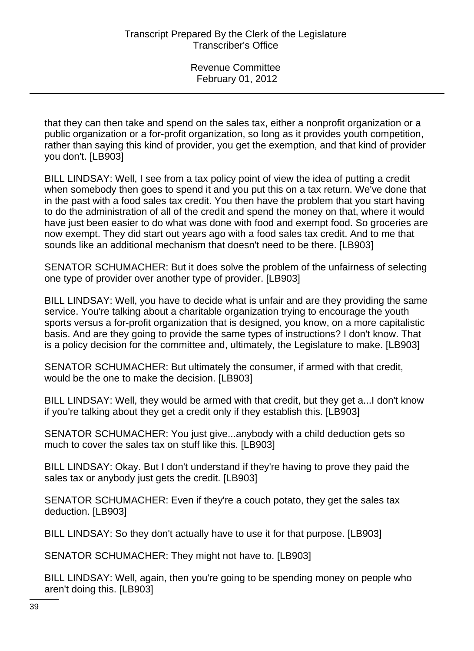that they can then take and spend on the sales tax, either a nonprofit organization or a public organization or a for-profit organization, so long as it provides youth competition, rather than saying this kind of provider, you get the exemption, and that kind of provider you don't. [LB903]

BILL LINDSAY: Well, I see from a tax policy point of view the idea of putting a credit when somebody then goes to spend it and you put this on a tax return. We've done that in the past with a food sales tax credit. You then have the problem that you start having to do the administration of all of the credit and spend the money on that, where it would have just been easier to do what was done with food and exempt food. So groceries are now exempt. They did start out years ago with a food sales tax credit. And to me that sounds like an additional mechanism that doesn't need to be there. [LB903]

SENATOR SCHUMACHER: But it does solve the problem of the unfairness of selecting one type of provider over another type of provider. [LB903]

BILL LINDSAY: Well, you have to decide what is unfair and are they providing the same service. You're talking about a charitable organization trying to encourage the youth sports versus a for-profit organization that is designed, you know, on a more capitalistic basis. And are they going to provide the same types of instructions? I don't know. That is a policy decision for the committee and, ultimately, the Legislature to make. [LB903]

SENATOR SCHUMACHER: But ultimately the consumer, if armed with that credit, would be the one to make the decision. [LB903]

BILL LINDSAY: Well, they would be armed with that credit, but they get a...I don't know if you're talking about they get a credit only if they establish this. [LB903]

SENATOR SCHUMACHER: You just give...anybody with a child deduction gets so much to cover the sales tax on stuff like this. [LB903]

BILL LINDSAY: Okay. But I don't understand if they're having to prove they paid the sales tax or anybody just gets the credit. [LB903]

SENATOR SCHUMACHER: Even if they're a couch potato, they get the sales tax deduction. [LB903]

BILL LINDSAY: So they don't actually have to use it for that purpose. [LB903]

SENATOR SCHUMACHER: They might not have to. [LB903]

BILL LINDSAY: Well, again, then you're going to be spending money on people who aren't doing this. [LB903]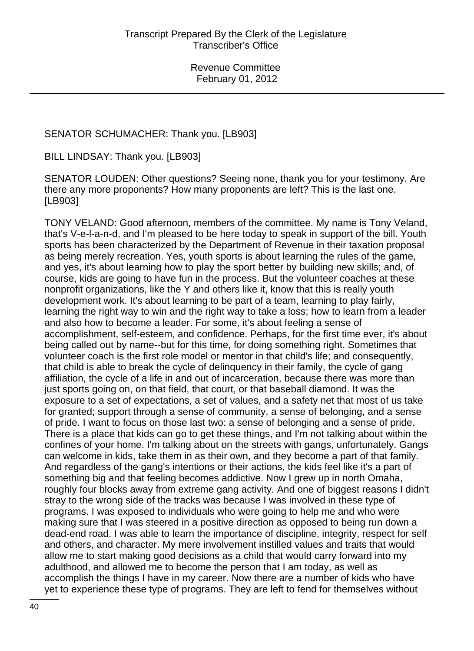### SENATOR SCHUMACHER: Thank you. [LB903]

BILL LINDSAY: Thank you. [LB903]

SENATOR LOUDEN: Other questions? Seeing none, thank you for your testimony. Are there any more proponents? How many proponents are left? This is the last one. [LB903]

TONY VELAND: Good afternoon, members of the committee. My name is Tony Veland, that's V-e-l-a-n-d, and I'm pleased to be here today to speak in support of the bill. Youth sports has been characterized by the Department of Revenue in their taxation proposal as being merely recreation. Yes, youth sports is about learning the rules of the game, and yes, it's about learning how to play the sport better by building new skills; and, of course, kids are going to have fun in the process. But the volunteer coaches at these nonprofit organizations, like the Y and others like it, know that this is really youth development work. It's about learning to be part of a team, learning to play fairly, learning the right way to win and the right way to take a loss; how to learn from a leader and also how to become a leader. For some, it's about feeling a sense of accomplishment, self-esteem, and confidence. Perhaps, for the first time ever, it's about being called out by name--but for this time, for doing something right. Sometimes that volunteer coach is the first role model or mentor in that child's life; and consequently, that child is able to break the cycle of delinquency in their family, the cycle of gang affiliation, the cycle of a life in and out of incarceration, because there was more than just sports going on, on that field, that court, or that baseball diamond. It was the exposure to a set of expectations, a set of values, and a safety net that most of us take for granted; support through a sense of community, a sense of belonging, and a sense of pride. I want to focus on those last two: a sense of belonging and a sense of pride. There is a place that kids can go to get these things, and I'm not talking about within the confines of your home. I'm talking about on the streets with gangs, unfortunately. Gangs can welcome in kids, take them in as their own, and they become a part of that family. And regardless of the gang's intentions or their actions, the kids feel like it's a part of something big and that feeling becomes addictive. Now I grew up in north Omaha, roughly four blocks away from extreme gang activity. And one of biggest reasons I didn't stray to the wrong side of the tracks was because I was involved in these type of programs. I was exposed to individuals who were going to help me and who were making sure that I was steered in a positive direction as opposed to being run down a dead-end road. I was able to learn the importance of discipline, integrity, respect for self and others, and character. My mere involvement instilled values and traits that would allow me to start making good decisions as a child that would carry forward into my adulthood, and allowed me to become the person that I am today, as well as accomplish the things I have in my career. Now there are a number of kids who have yet to experience these type of programs. They are left to fend for themselves without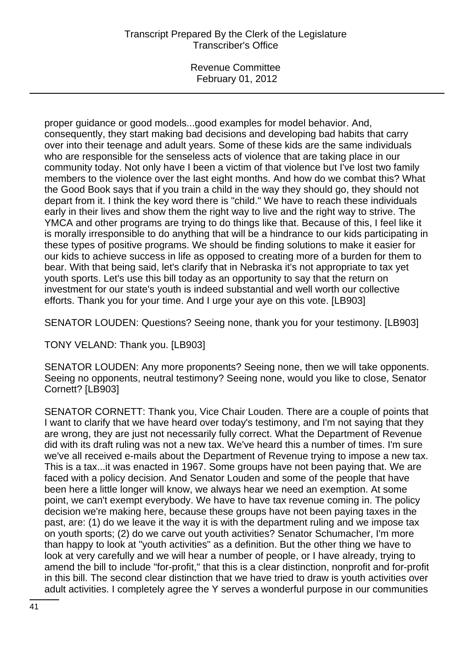# Transcript Prepared By the Clerk of the Legislature Transcriber's Office

Revenue Committee February 01, 2012

proper guidance or good models...good examples for model behavior. And, consequently, they start making bad decisions and developing bad habits that carry over into their teenage and adult years. Some of these kids are the same individuals who are responsible for the senseless acts of violence that are taking place in our community today. Not only have I been a victim of that violence but I've lost two family members to the violence over the last eight months. And how do we combat this? What the Good Book says that if you train a child in the way they should go, they should not depart from it. I think the key word there is "child." We have to reach these individuals early in their lives and show them the right way to live and the right way to strive. The YMCA and other programs are trying to do things like that. Because of this, I feel like it is morally irresponsible to do anything that will be a hindrance to our kids participating in these types of positive programs. We should be finding solutions to make it easier for our kids to achieve success in life as opposed to creating more of a burden for them to bear. With that being said, let's clarify that in Nebraska it's not appropriate to tax yet youth sports. Let's use this bill today as an opportunity to say that the return on investment for our state's youth is indeed substantial and well worth our collective efforts. Thank you for your time. And I urge your aye on this vote. [LB903]

SENATOR LOUDEN: Questions? Seeing none, thank you for your testimony. [LB903]

TONY VELAND: Thank you. [LB903]

SENATOR LOUDEN: Any more proponents? Seeing none, then we will take opponents. Seeing no opponents, neutral testimony? Seeing none, would you like to close, Senator Cornett? [LB903]

SENATOR CORNETT: Thank you, Vice Chair Louden. There are a couple of points that I want to clarify that we have heard over today's testimony, and I'm not saying that they are wrong, they are just not necessarily fully correct. What the Department of Revenue did with its draft ruling was not a new tax. We've heard this a number of times. I'm sure we've all received e-mails about the Department of Revenue trying to impose a new tax. This is a tax...it was enacted in 1967. Some groups have not been paying that. We are faced with a policy decision. And Senator Louden and some of the people that have been here a little longer will know, we always hear we need an exemption. At some point, we can't exempt everybody. We have to have tax revenue coming in. The policy decision we're making here, because these groups have not been paying taxes in the past, are: (1) do we leave it the way it is with the department ruling and we impose tax on youth sports; (2) do we carve out youth activities? Senator Schumacher, I'm more than happy to look at "youth activities" as a definition. But the other thing we have to look at very carefully and we will hear a number of people, or I have already, trying to amend the bill to include "for-profit," that this is a clear distinction, nonprofit and for-profit in this bill. The second clear distinction that we have tried to draw is youth activities over adult activities. I completely agree the Y serves a wonderful purpose in our communities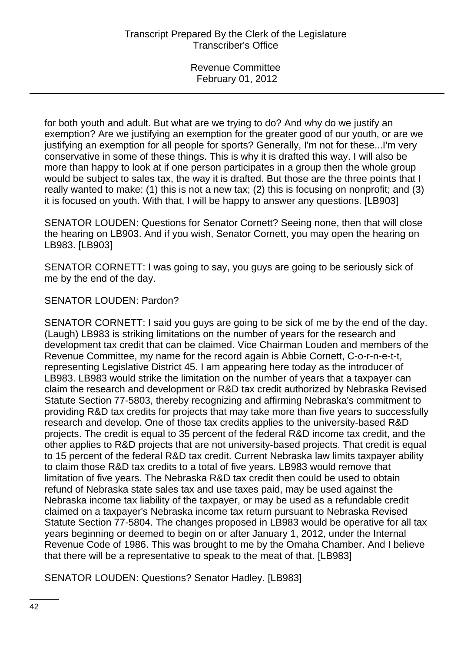for both youth and adult. But what are we trying to do? And why do we justify an exemption? Are we justifying an exemption for the greater good of our youth, or are we justifying an exemption for all people for sports? Generally, I'm not for these...I'm very conservative in some of these things. This is why it is drafted this way. I will also be more than happy to look at if one person participates in a group then the whole group would be subject to sales tax, the way it is drafted. But those are the three points that I really wanted to make: (1) this is not a new tax; (2) this is focusing on nonprofit; and (3) it is focused on youth. With that, I will be happy to answer any questions. [LB903]

SENATOR LOUDEN: Questions for Senator Cornett? Seeing none, then that will close the hearing on LB903. And if you wish, Senator Cornett, you may open the hearing on LB983. [LB903]

SENATOR CORNETT: I was going to say, you guys are going to be seriously sick of me by the end of the day.

## SENATOR LOUDEN: Pardon?

SENATOR CORNETT: I said you guys are going to be sick of me by the end of the day. (Laugh) LB983 is striking limitations on the number of years for the research and development tax credit that can be claimed. Vice Chairman Louden and members of the Revenue Committee, my name for the record again is Abbie Cornett, C-o-r-n-e-t-t, representing Legislative District 45. I am appearing here today as the introducer of LB983. LB983 would strike the limitation on the number of years that a taxpayer can claim the research and development or R&D tax credit authorized by Nebraska Revised Statute Section 77-5803, thereby recognizing and affirming Nebraska's commitment to providing R&D tax credits for projects that may take more than five years to successfully research and develop. One of those tax credits applies to the university-based R&D projects. The credit is equal to 35 percent of the federal R&D income tax credit, and the other applies to R&D projects that are not university-based projects. That credit is equal to 15 percent of the federal R&D tax credit. Current Nebraska law limits taxpayer ability to claim those R&D tax credits to a total of five years. LB983 would remove that limitation of five years. The Nebraska R&D tax credit then could be used to obtain refund of Nebraska state sales tax and use taxes paid, may be used against the Nebraska income tax liability of the taxpayer, or may be used as a refundable credit claimed on a taxpayer's Nebraska income tax return pursuant to Nebraska Revised Statute Section 77-5804. The changes proposed in LB983 would be operative for all tax years beginning or deemed to begin on or after January 1, 2012, under the Internal Revenue Code of 1986. This was brought to me by the Omaha Chamber. And I believe that there will be a representative to speak to the meat of that. [LB983]

SENATOR LOUDEN: Questions? Senator Hadley. [LB983]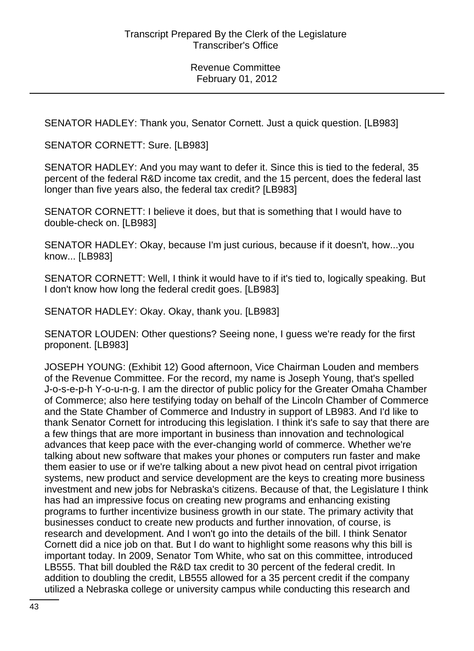SENATOR HADLEY: Thank you, Senator Cornett. Just a quick question. [LB983]

SENATOR CORNETT: Sure. [LB983]

SENATOR HADLEY: And you may want to defer it. Since this is tied to the federal, 35 percent of the federal R&D income tax credit, and the 15 percent, does the federal last longer than five years also, the federal tax credit? [LB983]

SENATOR CORNETT: I believe it does, but that is something that I would have to double-check on. [LB983]

SENATOR HADLEY: Okay, because I'm just curious, because if it doesn't, how...you know... [LB983]

SENATOR CORNETT: Well, I think it would have to if it's tied to, logically speaking. But I don't know how long the federal credit goes. [LB983]

SENATOR HADLEY: Okay. Okay, thank you. [LB983]

SENATOR LOUDEN: Other questions? Seeing none, I guess we're ready for the first proponent. [LB983]

JOSEPH YOUNG: (Exhibit 12) Good afternoon, Vice Chairman Louden and members of the Revenue Committee. For the record, my name is Joseph Young, that's spelled J-o-s-e-p-h Y-o-u-n-g. I am the director of public policy for the Greater Omaha Chamber of Commerce; also here testifying today on behalf of the Lincoln Chamber of Commerce and the State Chamber of Commerce and Industry in support of LB983. And I'd like to thank Senator Cornett for introducing this legislation. I think it's safe to say that there are a few things that are more important in business than innovation and technological advances that keep pace with the ever-changing world of commerce. Whether we're talking about new software that makes your phones or computers run faster and make them easier to use or if we're talking about a new pivot head on central pivot irrigation systems, new product and service development are the keys to creating more business investment and new jobs for Nebraska's citizens. Because of that, the Legislature I think has had an impressive focus on creating new programs and enhancing existing programs to further incentivize business growth in our state. The primary activity that businesses conduct to create new products and further innovation, of course, is research and development. And I won't go into the details of the bill. I think Senator Cornett did a nice job on that. But I do want to highlight some reasons why this bill is important today. In 2009, Senator Tom White, who sat on this committee, introduced LB555. That bill doubled the R&D tax credit to 30 percent of the federal credit. In addition to doubling the credit, LB555 allowed for a 35 percent credit if the company utilized a Nebraska college or university campus while conducting this research and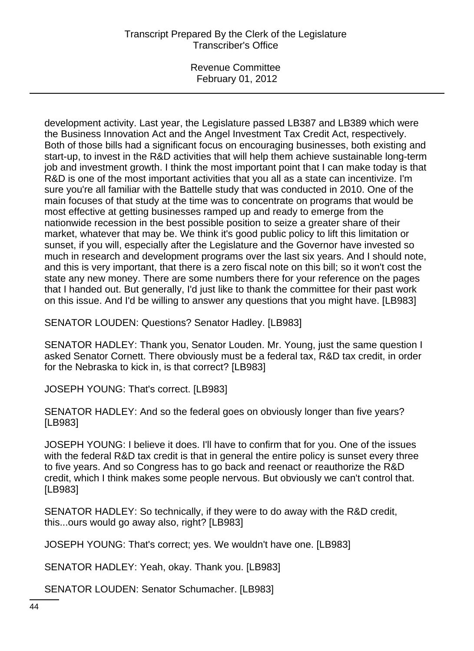# Transcript Prepared By the Clerk of the Legislature Transcriber's Office

Revenue Committee February 01, 2012

development activity. Last year, the Legislature passed LB387 and LB389 which were the Business Innovation Act and the Angel Investment Tax Credit Act, respectively. Both of those bills had a significant focus on encouraging businesses, both existing and start-up, to invest in the R&D activities that will help them achieve sustainable long-term job and investment growth. I think the most important point that I can make today is that R&D is one of the most important activities that you all as a state can incentivize. I'm sure you're all familiar with the Battelle study that was conducted in 2010. One of the main focuses of that study at the time was to concentrate on programs that would be most effective at getting businesses ramped up and ready to emerge from the nationwide recession in the best possible position to seize a greater share of their market, whatever that may be. We think it's good public policy to lift this limitation or sunset, if you will, especially after the Legislature and the Governor have invested so much in research and development programs over the last six years. And I should note, and this is very important, that there is a zero fiscal note on this bill; so it won't cost the state any new money. There are some numbers there for your reference on the pages that I handed out. But generally, I'd just like to thank the committee for their past work on this issue. And I'd be willing to answer any questions that you might have. [LB983]

SENATOR LOUDEN: Questions? Senator Hadley. [LB983]

SENATOR HADLEY: Thank you, Senator Louden. Mr. Young, just the same question I asked Senator Cornett. There obviously must be a federal tax, R&D tax credit, in order for the Nebraska to kick in, is that correct? [LB983]

JOSEPH YOUNG: That's correct. [LB983]

SENATOR HADLEY: And so the federal goes on obviously longer than five years? [LB983]

JOSEPH YOUNG: I believe it does. I'll have to confirm that for you. One of the issues with the federal R&D tax credit is that in general the entire policy is sunset every three to five years. And so Congress has to go back and reenact or reauthorize the R&D credit, which I think makes some people nervous. But obviously we can't control that. [LB983]

SENATOR HADLEY: So technically, if they were to do away with the R&D credit, this...ours would go away also, right? [LB983]

JOSEPH YOUNG: That's correct; yes. We wouldn't have one. [LB983]

SENATOR HADLEY: Yeah, okay. Thank you. [LB983]

SENATOR LOUDEN: Senator Schumacher. [LB983]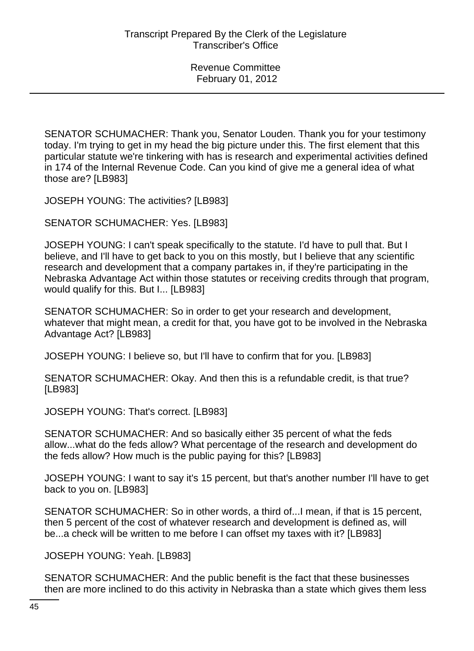SENATOR SCHUMACHER: Thank you, Senator Louden. Thank you for your testimony today. I'm trying to get in my head the big picture under this. The first element that this particular statute we're tinkering with has is research and experimental activities defined in 174 of the Internal Revenue Code. Can you kind of give me a general idea of what those are? [LB983]

JOSEPH YOUNG: The activities? [LB983]

SENATOR SCHUMACHER: Yes. [LB983]

JOSEPH YOUNG: I can't speak specifically to the statute. I'd have to pull that. But I believe, and I'll have to get back to you on this mostly, but I believe that any scientific research and development that a company partakes in, if they're participating in the Nebraska Advantage Act within those statutes or receiving credits through that program, would qualify for this. But I... [LB983]

SENATOR SCHUMACHER: So in order to get your research and development, whatever that might mean, a credit for that, you have got to be involved in the Nebraska Advantage Act? [LB983]

JOSEPH YOUNG: I believe so, but I'll have to confirm that for you. [LB983]

SENATOR SCHUMACHER: Okay. And then this is a refundable credit, is that true? [LB983]

JOSEPH YOUNG: That's correct. [LB983]

SENATOR SCHUMACHER: And so basically either 35 percent of what the feds allow...what do the feds allow? What percentage of the research and development do the feds allow? How much is the public paying for this? [LB983]

JOSEPH YOUNG: I want to say it's 15 percent, but that's another number I'll have to get back to you on. [LB983]

SENATOR SCHUMACHER: So in other words, a third of...I mean, if that is 15 percent, then 5 percent of the cost of whatever research and development is defined as, will be...a check will be written to me before I can offset my taxes with it? [LB983]

JOSEPH YOUNG: Yeah. [LB983]

SENATOR SCHUMACHER: And the public benefit is the fact that these businesses then are more inclined to do this activity in Nebraska than a state which gives them less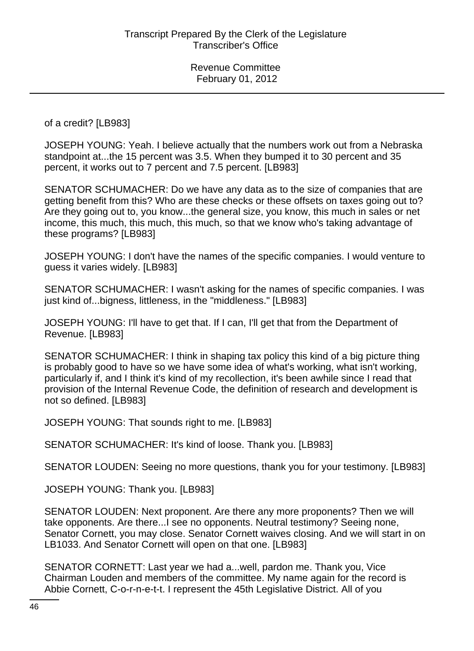of a credit? [LB983]

JOSEPH YOUNG: Yeah. I believe actually that the numbers work out from a Nebraska standpoint at...the 15 percent was 3.5. When they bumped it to 30 percent and 35 percent, it works out to 7 percent and 7.5 percent. [LB983]

SENATOR SCHUMACHER: Do we have any data as to the size of companies that are getting benefit from this? Who are these checks or these offsets on taxes going out to? Are they going out to, you know...the general size, you know, this much in sales or net income, this much, this much, this much, so that we know who's taking advantage of these programs? [LB983]

JOSEPH YOUNG: I don't have the names of the specific companies. I would venture to guess it varies widely. [LB983]

SENATOR SCHUMACHER: I wasn't asking for the names of specific companies. I was just kind of...bigness, littleness, in the "middleness." [LB983]

JOSEPH YOUNG: I'll have to get that. If I can, I'll get that from the Department of Revenue. [LB983]

SENATOR SCHUMACHER: I think in shaping tax policy this kind of a big picture thing is probably good to have so we have some idea of what's working, what isn't working, particularly if, and I think it's kind of my recollection, it's been awhile since I read that provision of the Internal Revenue Code, the definition of research and development is not so defined. [LB983]

JOSEPH YOUNG: That sounds right to me. [LB983]

SENATOR SCHUMACHER: It's kind of loose. Thank you. [LB983]

SENATOR LOUDEN: Seeing no more questions, thank you for your testimony. [LB983]

JOSEPH YOUNG: Thank you. [LB983]

SENATOR LOUDEN: Next proponent. Are there any more proponents? Then we will take opponents. Are there...I see no opponents. Neutral testimony? Seeing none, Senator Cornett, you may close. Senator Cornett waives closing. And we will start in on LB1033. And Senator Cornett will open on that one. [LB983]

SENATOR CORNETT: Last year we had a...well, pardon me. Thank you, Vice Chairman Louden and members of the committee. My name again for the record is Abbie Cornett, C-o-r-n-e-t-t. I represent the 45th Legislative District. All of you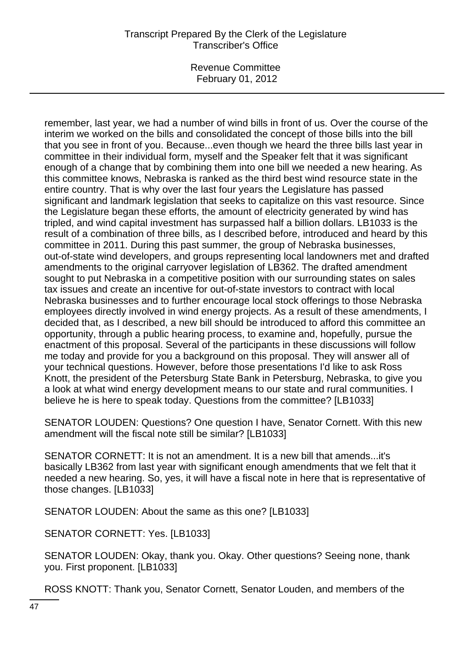# Transcript Prepared By the Clerk of the Legislature Transcriber's Office

Revenue Committee February 01, 2012

remember, last year, we had a number of wind bills in front of us. Over the course of the interim we worked on the bills and consolidated the concept of those bills into the bill that you see in front of you. Because...even though we heard the three bills last year in committee in their individual form, myself and the Speaker felt that it was significant enough of a change that by combining them into one bill we needed a new hearing. As this committee knows, Nebraska is ranked as the third best wind resource state in the entire country. That is why over the last four years the Legislature has passed significant and landmark legislation that seeks to capitalize on this vast resource. Since the Legislature began these efforts, the amount of electricity generated by wind has tripled, and wind capital investment has surpassed half a billion dollars. LB1033 is the result of a combination of three bills, as I described before, introduced and heard by this committee in 2011. During this past summer, the group of Nebraska businesses, out-of-state wind developers, and groups representing local landowners met and drafted amendments to the original carryover legislation of LB362. The drafted amendment sought to put Nebraska in a competitive position with our surrounding states on sales tax issues and create an incentive for out-of-state investors to contract with local Nebraska businesses and to further encourage local stock offerings to those Nebraska employees directly involved in wind energy projects. As a result of these amendments, I decided that, as I described, a new bill should be introduced to afford this committee an opportunity, through a public hearing process, to examine and, hopefully, pursue the enactment of this proposal. Several of the participants in these discussions will follow me today and provide for you a background on this proposal. They will answer all of your technical questions. However, before those presentations I'd like to ask Ross Knott, the president of the Petersburg State Bank in Petersburg, Nebraska, to give you a look at what wind energy development means to our state and rural communities. I believe he is here to speak today. Questions from the committee? [LB1033]

SENATOR LOUDEN: Questions? One question I have, Senator Cornett. With this new amendment will the fiscal note still be similar? [LB1033]

SENATOR CORNETT: It is not an amendment. It is a new bill that amends...it's basically LB362 from last year with significant enough amendments that we felt that it needed a new hearing. So, yes, it will have a fiscal note in here that is representative of those changes. [LB1033]

SENATOR LOUDEN: About the same as this one? [LB1033]

SENATOR CORNETT: Yes. [LB1033]

SENATOR LOUDEN: Okay, thank you. Okay. Other questions? Seeing none, thank you. First proponent. [LB1033]

ROSS KNOTT: Thank you, Senator Cornett, Senator Louden, and members of the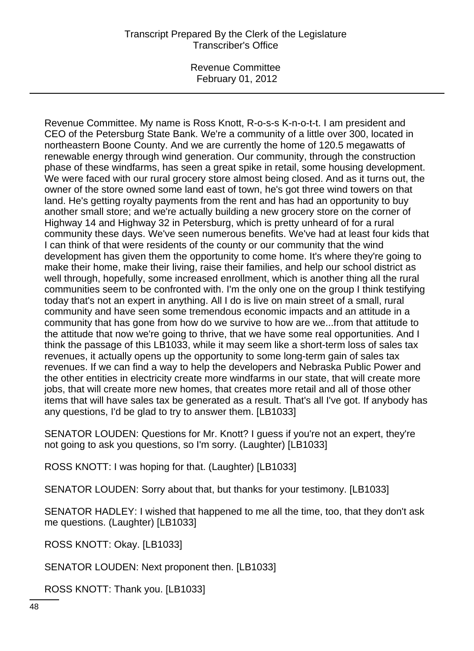# Transcript Prepared By the Clerk of the Legislature Transcriber's Office

Revenue Committee February 01, 2012

Revenue Committee. My name is Ross Knott, R-o-s-s K-n-o-t-t. I am president and CEO of the Petersburg State Bank. We're a community of a little over 300, located in northeastern Boone County. And we are currently the home of 120.5 megawatts of renewable energy through wind generation. Our community, through the construction phase of these windfarms, has seen a great spike in retail, some housing development. We were faced with our rural grocery store almost being closed. And as it turns out, the owner of the store owned some land east of town, he's got three wind towers on that land. He's getting royalty payments from the rent and has had an opportunity to buy another small store; and we're actually building a new grocery store on the corner of Highway 14 and Highway 32 in Petersburg, which is pretty unheard of for a rural community these days. We've seen numerous benefits. We've had at least four kids that I can think of that were residents of the county or our community that the wind development has given them the opportunity to come home. It's where they're going to make their home, make their living, raise their families, and help our school district as well through, hopefully, some increased enrollment, which is another thing all the rural communities seem to be confronted with. I'm the only one on the group I think testifying today that's not an expert in anything. All I do is live on main street of a small, rural community and have seen some tremendous economic impacts and an attitude in a community that has gone from how do we survive to how are we...from that attitude to the attitude that now we're going to thrive, that we have some real opportunities. And I think the passage of this LB1033, while it may seem like a short-term loss of sales tax revenues, it actually opens up the opportunity to some long-term gain of sales tax revenues. If we can find a way to help the developers and Nebraska Public Power and the other entities in electricity create more windfarms in our state, that will create more jobs, that will create more new homes, that creates more retail and all of those other items that will have sales tax be generated as a result. That's all I've got. If anybody has any questions, I'd be glad to try to answer them. [LB1033]

SENATOR LOUDEN: Questions for Mr. Knott? I guess if you're not an expert, they're not going to ask you questions, so I'm sorry. (Laughter) [LB1033]

ROSS KNOTT: I was hoping for that. (Laughter) [LB1033]

SENATOR LOUDEN: Sorry about that, but thanks for your testimony. [LB1033]

SENATOR HADLEY: I wished that happened to me all the time, too, that they don't ask me questions. (Laughter) [LB1033]

ROSS KNOTT: Okay. [LB1033]

SENATOR LOUDEN: Next proponent then. [LB1033]

ROSS KNOTT: Thank you. [LB1033]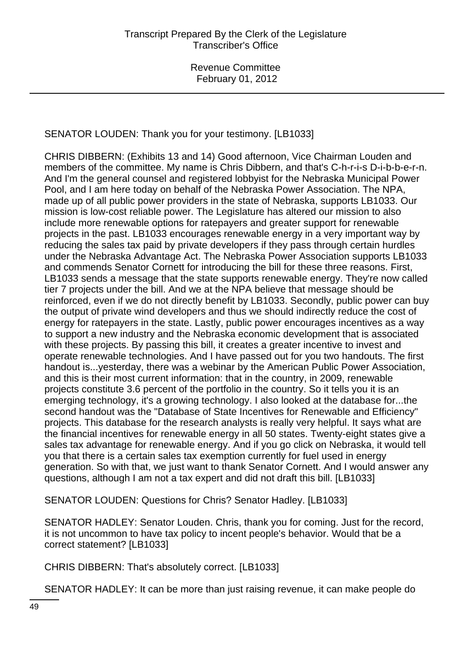# SENATOR LOUDEN: Thank you for your testimony. [LB1033]

CHRIS DIBBERN: (Exhibits 13 and 14) Good afternoon, Vice Chairman Louden and members of the committee. My name is Chris Dibbern, and that's C-h-r-i-s D-i-b-b-e-r-n. And I'm the general counsel and registered lobbyist for the Nebraska Municipal Power Pool, and I am here today on behalf of the Nebraska Power Association. The NPA, made up of all public power providers in the state of Nebraska, supports LB1033. Our mission is low-cost reliable power. The Legislature has altered our mission to also include more renewable options for ratepayers and greater support for renewable projects in the past. LB1033 encourages renewable energy in a very important way by reducing the sales tax paid by private developers if they pass through certain hurdles under the Nebraska Advantage Act. The Nebraska Power Association supports LB1033 and commends Senator Cornett for introducing the bill for these three reasons. First, LB1033 sends a message that the state supports renewable energy. They're now called tier 7 projects under the bill. And we at the NPA believe that message should be reinforced, even if we do not directly benefit by LB1033. Secondly, public power can buy the output of private wind developers and thus we should indirectly reduce the cost of energy for ratepayers in the state. Lastly, public power encourages incentives as a way to support a new industry and the Nebraska economic development that is associated with these projects. By passing this bill, it creates a greater incentive to invest and operate renewable technologies. And I have passed out for you two handouts. The first handout is...yesterday, there was a webinar by the American Public Power Association, and this is their most current information: that in the country, in 2009, renewable projects constitute 3.6 percent of the portfolio in the country. So it tells you it is an emerging technology, it's a growing technology. I also looked at the database for...the second handout was the "Database of State Incentives for Renewable and Efficiency" projects. This database for the research analysts is really very helpful. It says what are the financial incentives for renewable energy in all 50 states. Twenty-eight states give a sales tax advantage for renewable energy. And if you go click on Nebraska, it would tell you that there is a certain sales tax exemption currently for fuel used in energy generation. So with that, we just want to thank Senator Cornett. And I would answer any questions, although I am not a tax expert and did not draft this bill. [LB1033]

SENATOR LOUDEN: Questions for Chris? Senator Hadley. [LB1033]

SENATOR HADLEY: Senator Louden. Chris, thank you for coming. Just for the record, it is not uncommon to have tax policy to incent people's behavior. Would that be a correct statement? [LB1033]

CHRIS DIBBERN: That's absolutely correct. [LB1033]

SENATOR HADLEY: It can be more than just raising revenue, it can make people do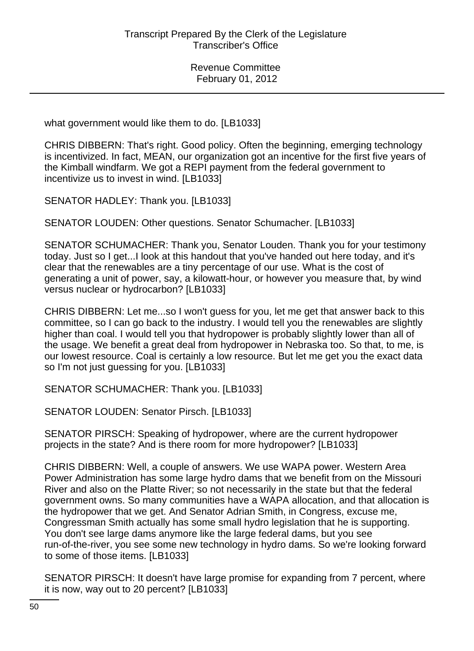what government would like them to do. [LB1033]

CHRIS DIBBERN: That's right. Good policy. Often the beginning, emerging technology is incentivized. In fact, MEAN, our organization got an incentive for the first five years of the Kimball windfarm. We got a REPI payment from the federal government to incentivize us to invest in wind. [LB1033]

SENATOR HADLEY: Thank you. [LB1033]

SENATOR LOUDEN: Other questions. Senator Schumacher. [LB1033]

SENATOR SCHUMACHER: Thank you, Senator Louden. Thank you for your testimony today. Just so I get...I look at this handout that you've handed out here today, and it's clear that the renewables are a tiny percentage of our use. What is the cost of generating a unit of power, say, a kilowatt-hour, or however you measure that, by wind versus nuclear or hydrocarbon? [LB1033]

CHRIS DIBBERN: Let me...so I won't guess for you, let me get that answer back to this committee, so I can go back to the industry. I would tell you the renewables are slightly higher than coal. I would tell you that hydropower is probably slightly lower than all of the usage. We benefit a great deal from hydropower in Nebraska too. So that, to me, is our lowest resource. Coal is certainly a low resource. But let me get you the exact data so I'm not just guessing for you. [LB1033]

SENATOR SCHUMACHER: Thank you. [LB1033]

SENATOR LOUDEN: Senator Pirsch. [LB1033]

SENATOR PIRSCH: Speaking of hydropower, where are the current hydropower projects in the state? And is there room for more hydropower? [LB1033]

CHRIS DIBBERN: Well, a couple of answers. We use WAPA power. Western Area Power Administration has some large hydro dams that we benefit from on the Missouri River and also on the Platte River; so not necessarily in the state but that the federal government owns. So many communities have a WAPA allocation, and that allocation is the hydropower that we get. And Senator Adrian Smith, in Congress, excuse me, Congressman Smith actually has some small hydro legislation that he is supporting. You don't see large dams anymore like the large federal dams, but you see run-of-the-river, you see some new technology in hydro dams. So we're looking forward to some of those items. [LB1033]

SENATOR PIRSCH: It doesn't have large promise for expanding from 7 percent, where it is now, way out to 20 percent? [LB1033]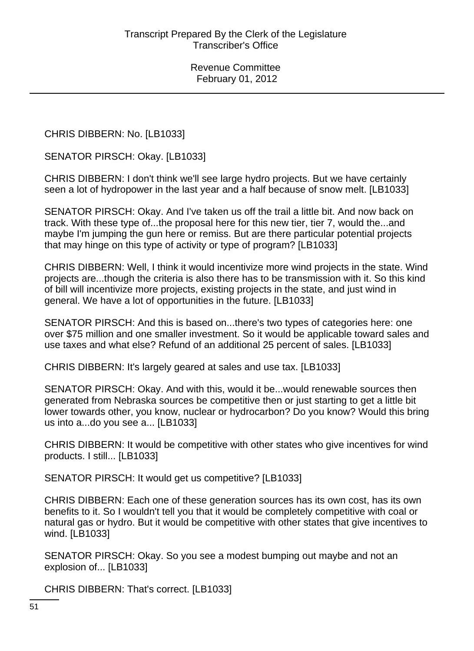CHRIS DIBBERN: No. [LB1033]

SENATOR PIRSCH: Okay. [LB1033]

CHRIS DIBBERN: I don't think we'll see large hydro projects. But we have certainly seen a lot of hydropower in the last year and a half because of snow melt. [LB1033]

SENATOR PIRSCH: Okay. And I've taken us off the trail a little bit. And now back on track. With these type of...the proposal here for this new tier, tier 7, would the...and maybe I'm jumping the gun here or remiss. But are there particular potential projects that may hinge on this type of activity or type of program? [LB1033]

CHRIS DIBBERN: Well, I think it would incentivize more wind projects in the state. Wind projects are...though the criteria is also there has to be transmission with it. So this kind of bill will incentivize more projects, existing projects in the state, and just wind in general. We have a lot of opportunities in the future. [LB1033]

SENATOR PIRSCH: And this is based on...there's two types of categories here: one over \$75 million and one smaller investment. So it would be applicable toward sales and use taxes and what else? Refund of an additional 25 percent of sales. [LB1033]

CHRIS DIBBERN: It's largely geared at sales and use tax. [LB1033]

SENATOR PIRSCH: Okay. And with this, would it be...would renewable sources then generated from Nebraska sources be competitive then or just starting to get a little bit lower towards other, you know, nuclear or hydrocarbon? Do you know? Would this bring us into a...do you see a... [LB1033]

CHRIS DIBBERN: It would be competitive with other states who give incentives for wind products. I still... [LB1033]

SENATOR PIRSCH: It would get us competitive? [LB1033]

CHRIS DIBBERN: Each one of these generation sources has its own cost, has its own benefits to it. So I wouldn't tell you that it would be completely competitive with coal or natural gas or hydro. But it would be competitive with other states that give incentives to wind. [LB1033]

SENATOR PIRSCH: Okay. So you see a modest bumping out maybe and not an explosion of... [LB1033]

CHRIS DIBBERN: That's correct. [LB1033]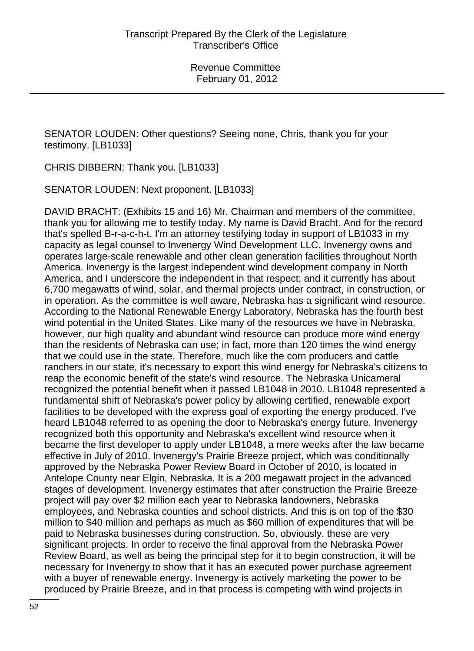SENATOR LOUDEN: Other questions? Seeing none, Chris, thank you for your testimony. [LB1033]

CHRIS DIBBERN: Thank you. [LB1033]

SENATOR LOUDEN: Next proponent. [LB1033]

DAVID BRACHT: (Exhibits 15 and 16) Mr. Chairman and members of the committee, thank you for allowing me to testify today. My name is David Bracht. And for the record that's spelled B-r-a-c-h-t. I'm an attorney testifying today in support of LB1033 in my capacity as legal counsel to Invenergy Wind Development LLC. Invenergy owns and operates large-scale renewable and other clean generation facilities throughout North America. Invenergy is the largest independent wind development company in North America, and I underscore the independent in that respect; and it currently has about 6,700 megawatts of wind, solar, and thermal projects under contract, in construction, or in operation. As the committee is well aware, Nebraska has a significant wind resource. According to the National Renewable Energy Laboratory, Nebraska has the fourth best wind potential in the United States. Like many of the resources we have in Nebraska, however, our high quality and abundant wind resource can produce more wind energy than the residents of Nebraska can use; in fact, more than 120 times the wind energy that we could use in the state. Therefore, much like the corn producers and cattle ranchers in our state, it's necessary to export this wind energy for Nebraska's citizens to reap the economic benefit of the state's wind resource. The Nebraska Unicameral recognized the potential benefit when it passed LB1048 in 2010. LB1048 represented a fundamental shift of Nebraska's power policy by allowing certified, renewable export facilities to be developed with the express goal of exporting the energy produced. I've heard LB1048 referred to as opening the door to Nebraska's energy future. Invenergy recognized both this opportunity and Nebraska's excellent wind resource when it became the first developer to apply under LB1048, a mere weeks after the law became effective in July of 2010. Invenergy's Prairie Breeze project, which was conditionally approved by the Nebraska Power Review Board in October of 2010, is located in Antelope County near Elgin, Nebraska. It is a 200 megawatt project in the advanced stages of development. Invenergy estimates that after construction the Prairie Breeze project will pay over \$2 million each year to Nebraska landowners, Nebraska employees, and Nebraska counties and school districts. And this is on top of the \$30 million to \$40 million and perhaps as much as \$60 million of expenditures that will be paid to Nebraska businesses during construction. So, obviously, these are very significant projects. In order to receive the final approval from the Nebraska Power Review Board, as well as being the principal step for it to begin construction, it will be necessary for Invenergy to show that it has an executed power purchase agreement with a buyer of renewable energy. Invenergy is actively marketing the power to be produced by Prairie Breeze, and in that process is competing with wind projects in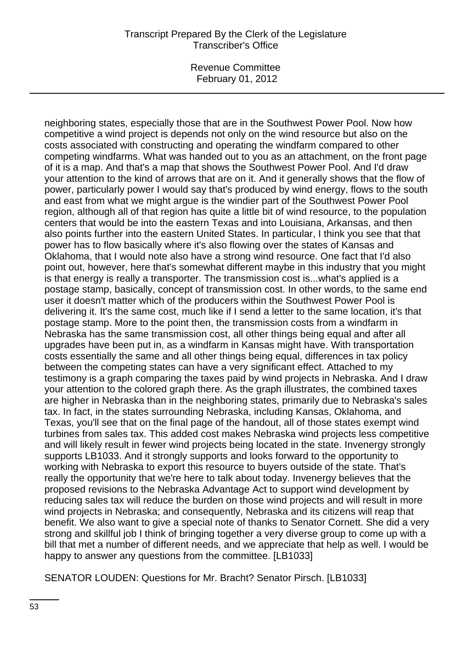## Transcript Prepared By the Clerk of the Legislature Transcriber's Office

Revenue Committee February 01, 2012

neighboring states, especially those that are in the Southwest Power Pool. Now how competitive a wind project is depends not only on the wind resource but also on the costs associated with constructing and operating the windfarm compared to other competing windfarms. What was handed out to you as an attachment, on the front page of it is a map. And that's a map that shows the Southwest Power Pool. And I'd draw your attention to the kind of arrows that are on it. And it generally shows that the flow of power, particularly power I would say that's produced by wind energy, flows to the south and east from what we might argue is the windier part of the Southwest Power Pool region, although all of that region has quite a little bit of wind resource, to the population centers that would be into the eastern Texas and into Louisiana, Arkansas, and then also points further into the eastern United States. In particular, I think you see that that power has to flow basically where it's also flowing over the states of Kansas and Oklahoma, that I would note also have a strong wind resource. One fact that I'd also point out, however, here that's somewhat different maybe in this industry that you might is that energy is really a transporter. The transmission cost is...what's applied is a postage stamp, basically, concept of transmission cost. In other words, to the same end user it doesn't matter which of the producers within the Southwest Power Pool is delivering it. It's the same cost, much like if I send a letter to the same location, it's that postage stamp. More to the point then, the transmission costs from a windfarm in Nebraska has the same transmission cost, all other things being equal and after all upgrades have been put in, as a windfarm in Kansas might have. With transportation costs essentially the same and all other things being equal, differences in tax policy between the competing states can have a very significant effect. Attached to my testimony is a graph comparing the taxes paid by wind projects in Nebraska. And I draw your attention to the colored graph there. As the graph illustrates, the combined taxes are higher in Nebraska than in the neighboring states, primarily due to Nebraska's sales tax. In fact, in the states surrounding Nebraska, including Kansas, Oklahoma, and Texas, you'll see that on the final page of the handout, all of those states exempt wind turbines from sales tax. This added cost makes Nebraska wind projects less competitive and will likely result in fewer wind projects being located in the state. Invenergy strongly supports LB1033. And it strongly supports and looks forward to the opportunity to working with Nebraska to export this resource to buyers outside of the state. That's really the opportunity that we're here to talk about today. Invenergy believes that the proposed revisions to the Nebraska Advantage Act to support wind development by reducing sales tax will reduce the burden on those wind projects and will result in more wind projects in Nebraska; and consequently, Nebraska and its citizens will reap that benefit. We also want to give a special note of thanks to Senator Cornett. She did a very strong and skillful job I think of bringing together a very diverse group to come up with a bill that met a number of different needs, and we appreciate that help as well. I would be happy to answer any questions from the committee. [LB1033]

SENATOR LOUDEN: Questions for Mr. Bracht? Senator Pirsch. [LB1033]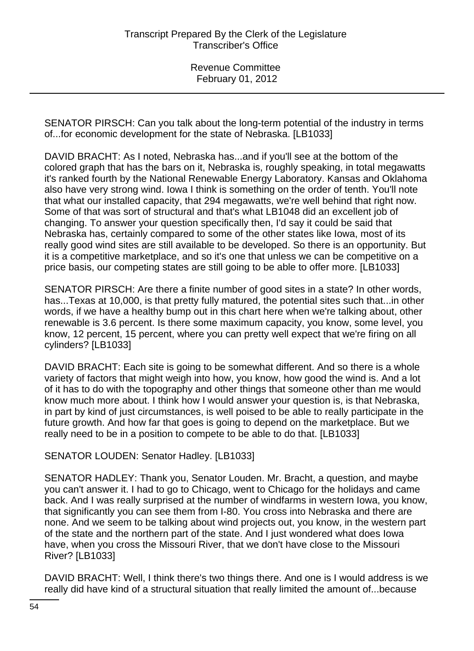SENATOR PIRSCH: Can you talk about the long-term potential of the industry in terms of...for economic development for the state of Nebraska. [LB1033]

DAVID BRACHT: As I noted, Nebraska has...and if you'll see at the bottom of the colored graph that has the bars on it, Nebraska is, roughly speaking, in total megawatts it's ranked fourth by the National Renewable Energy Laboratory. Kansas and Oklahoma also have very strong wind. Iowa I think is something on the order of tenth. You'll note that what our installed capacity, that 294 megawatts, we're well behind that right now. Some of that was sort of structural and that's what LB1048 did an excellent job of changing. To answer your question specifically then, I'd say it could be said that Nebraska has, certainly compared to some of the other states like Iowa, most of its really good wind sites are still available to be developed. So there is an opportunity. But it is a competitive marketplace, and so it's one that unless we can be competitive on a price basis, our competing states are still going to be able to offer more. [LB1033]

SENATOR PIRSCH: Are there a finite number of good sites in a state? In other words, has...Texas at 10,000, is that pretty fully matured, the potential sites such that...in other words, if we have a healthy bump out in this chart here when we're talking about, other renewable is 3.6 percent. Is there some maximum capacity, you know, some level, you know, 12 percent, 15 percent, where you can pretty well expect that we're firing on all cylinders? [LB1033]

DAVID BRACHT: Each site is going to be somewhat different. And so there is a whole variety of factors that might weigh into how, you know, how good the wind is. And a lot of it has to do with the topography and other things that someone other than me would know much more about. I think how I would answer your question is, is that Nebraska, in part by kind of just circumstances, is well poised to be able to really participate in the future growth. And how far that goes is going to depend on the marketplace. But we really need to be in a position to compete to be able to do that. [LB1033]

SENATOR LOUDEN: Senator Hadley. [LB1033]

SENATOR HADLEY: Thank you, Senator Louden. Mr. Bracht, a question, and maybe you can't answer it. I had to go to Chicago, went to Chicago for the holidays and came back. And I was really surprised at the number of windfarms in western Iowa, you know, that significantly you can see them from I-80. You cross into Nebraska and there are none. And we seem to be talking about wind projects out, you know, in the western part of the state and the northern part of the state. And I just wondered what does Iowa have, when you cross the Missouri River, that we don't have close to the Missouri River? [LB1033]

DAVID BRACHT: Well, I think there's two things there. And one is I would address is we really did have kind of a structural situation that really limited the amount of...because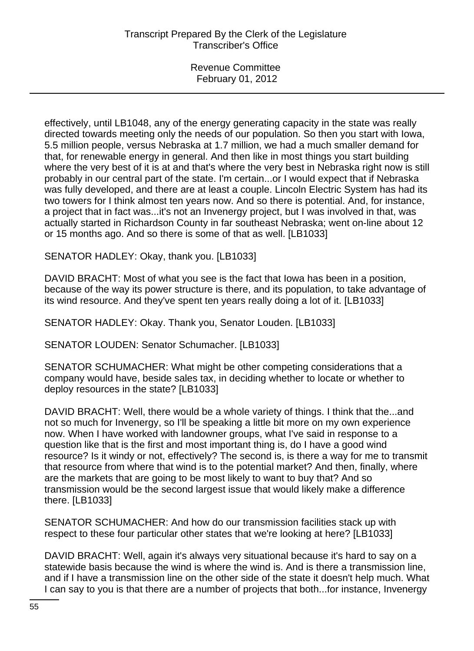effectively, until LB1048, any of the energy generating capacity in the state was really directed towards meeting only the needs of our population. So then you start with Iowa, 5.5 million people, versus Nebraska at 1.7 million, we had a much smaller demand for that, for renewable energy in general. And then like in most things you start building where the very best of it is at and that's where the very best in Nebraska right now is still probably in our central part of the state. I'm certain...or I would expect that if Nebraska was fully developed, and there are at least a couple. Lincoln Electric System has had its two towers for I think almost ten years now. And so there is potential. And, for instance, a project that in fact was...it's not an Invenergy project, but I was involved in that, was actually started in Richardson County in far southeast Nebraska; went on-line about 12 or 15 months ago. And so there is some of that as well. [LB1033]

SENATOR HADLEY: Okay, thank you. [LB1033]

DAVID BRACHT: Most of what you see is the fact that Iowa has been in a position, because of the way its power structure is there, and its population, to take advantage of its wind resource. And they've spent ten years really doing a lot of it. [LB1033]

SENATOR HADLEY: Okay. Thank you, Senator Louden. [LB1033]

SENATOR LOUDEN: Senator Schumacher. [LB1033]

SENATOR SCHUMACHER: What might be other competing considerations that a company would have, beside sales tax, in deciding whether to locate or whether to deploy resources in the state? [LB1033]

DAVID BRACHT: Well, there would be a whole variety of things. I think that the...and not so much for Invenergy, so I'll be speaking a little bit more on my own experience now. When I have worked with landowner groups, what I've said in response to a question like that is the first and most important thing is, do I have a good wind resource? Is it windy or not, effectively? The second is, is there a way for me to transmit that resource from where that wind is to the potential market? And then, finally, where are the markets that are going to be most likely to want to buy that? And so transmission would be the second largest issue that would likely make a difference there. [LB1033]

SENATOR SCHUMACHER: And how do our transmission facilities stack up with respect to these four particular other states that we're looking at here? [LB1033]

DAVID BRACHT: Well, again it's always very situational because it's hard to say on a statewide basis because the wind is where the wind is. And is there a transmission line, and if I have a transmission line on the other side of the state it doesn't help much. What I can say to you is that there are a number of projects that both...for instance, Invenergy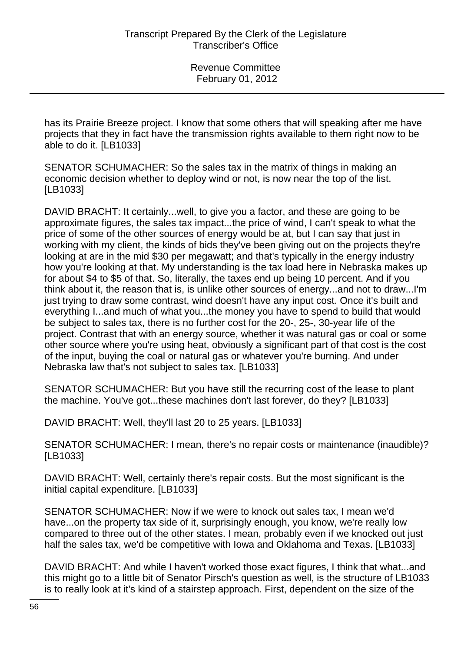has its Prairie Breeze project. I know that some others that will speaking after me have projects that they in fact have the transmission rights available to them right now to be able to do it. [LB1033]

SENATOR SCHUMACHER: So the sales tax in the matrix of things in making an economic decision whether to deploy wind or not, is now near the top of the list. [LB1033]

DAVID BRACHT: It certainly...well, to give you a factor, and these are going to be approximate figures, the sales tax impact...the price of wind, I can't speak to what the price of some of the other sources of energy would be at, but I can say that just in working with my client, the kinds of bids they've been giving out on the projects they're looking at are in the mid \$30 per megawatt; and that's typically in the energy industry how you're looking at that. My understanding is the tax load here in Nebraska makes up for about \$4 to \$5 of that. So, literally, the taxes end up being 10 percent. And if you think about it, the reason that is, is unlike other sources of energy...and not to draw...I'm just trying to draw some contrast, wind doesn't have any input cost. Once it's built and everything I...and much of what you...the money you have to spend to build that would be subject to sales tax, there is no further cost for the 20-, 25-, 30-year life of the project. Contrast that with an energy source, whether it was natural gas or coal or some other source where you're using heat, obviously a significant part of that cost is the cost of the input, buying the coal or natural gas or whatever you're burning. And under Nebraska law that's not subject to sales tax. [LB1033]

SENATOR SCHUMACHER: But you have still the recurring cost of the lease to plant the machine. You've got...these machines don't last forever, do they? [LB1033]

DAVID BRACHT: Well, they'll last 20 to 25 years. [LB1033]

SENATOR SCHUMACHER: I mean, there's no repair costs or maintenance (inaudible)? [LB1033]

DAVID BRACHT: Well, certainly there's repair costs. But the most significant is the initial capital expenditure. [LB1033]

SENATOR SCHUMACHER: Now if we were to knock out sales tax, I mean we'd have...on the property tax side of it, surprisingly enough, you know, we're really low compared to three out of the other states. I mean, probably even if we knocked out just half the sales tax, we'd be competitive with Iowa and Oklahoma and Texas. [LB1033]

DAVID BRACHT: And while I haven't worked those exact figures, I think that what...and this might go to a little bit of Senator Pirsch's question as well, is the structure of LB1033 is to really look at it's kind of a stairstep approach. First, dependent on the size of the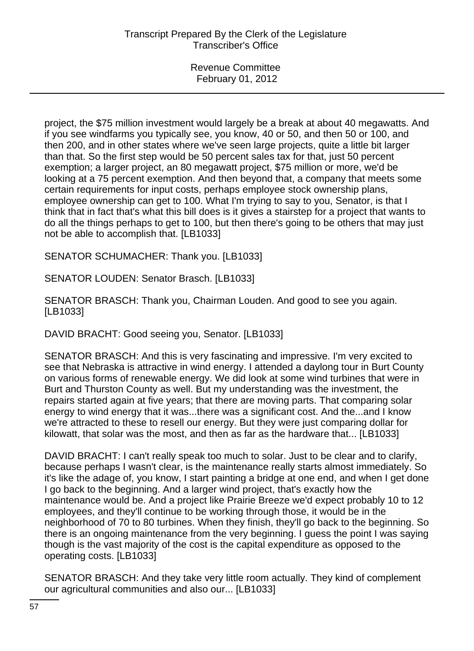project, the \$75 million investment would largely be a break at about 40 megawatts. And if you see windfarms you typically see, you know, 40 or 50, and then 50 or 100, and then 200, and in other states where we've seen large projects, quite a little bit larger than that. So the first step would be 50 percent sales tax for that, just 50 percent exemption; a larger project, an 80 megawatt project, \$75 million or more, we'd be looking at a 75 percent exemption. And then beyond that, a company that meets some certain requirements for input costs, perhaps employee stock ownership plans, employee ownership can get to 100. What I'm trying to say to you, Senator, is that I think that in fact that's what this bill does is it gives a stairstep for a project that wants to do all the things perhaps to get to 100, but then there's going to be others that may just not be able to accomplish that. [LB1033]

SENATOR SCHUMACHER: Thank you. [LB1033]

SENATOR LOUDEN: Senator Brasch. [LB1033]

SENATOR BRASCH: Thank you, Chairman Louden. And good to see you again. [LB1033]

DAVID BRACHT: Good seeing you, Senator. [LB1033]

SENATOR BRASCH: And this is very fascinating and impressive. I'm very excited to see that Nebraska is attractive in wind energy. I attended a daylong tour in Burt County on various forms of renewable energy. We did look at some wind turbines that were in Burt and Thurston County as well. But my understanding was the investment, the repairs started again at five years; that there are moving parts. That comparing solar energy to wind energy that it was...there was a significant cost. And the...and I know we're attracted to these to resell our energy. But they were just comparing dollar for kilowatt, that solar was the most, and then as far as the hardware that... [LB1033]

DAVID BRACHT: I can't really speak too much to solar. Just to be clear and to clarify, because perhaps I wasn't clear, is the maintenance really starts almost immediately. So it's like the adage of, you know, I start painting a bridge at one end, and when I get done I go back to the beginning. And a larger wind project, that's exactly how the maintenance would be. And a project like Prairie Breeze we'd expect probably 10 to 12 employees, and they'll continue to be working through those, it would be in the neighborhood of 70 to 80 turbines. When they finish, they'll go back to the beginning. So there is an ongoing maintenance from the very beginning. I guess the point I was saying though is the vast majority of the cost is the capital expenditure as opposed to the operating costs. [LB1033]

SENATOR BRASCH: And they take very little room actually. They kind of complement our agricultural communities and also our... [LB1033]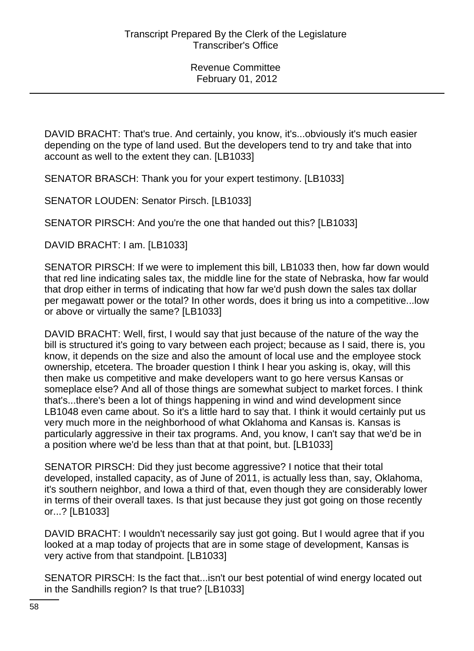DAVID BRACHT: That's true. And certainly, you know, it's...obviously it's much easier depending on the type of land used. But the developers tend to try and take that into account as well to the extent they can. [LB1033]

SENATOR BRASCH: Thank you for your expert testimony. [LB1033]

SENATOR LOUDEN: Senator Pirsch. [LB1033]

SENATOR PIRSCH: And you're the one that handed out this? [LB1033]

DAVID BRACHT: I am. [LB1033]

SENATOR PIRSCH: If we were to implement this bill, LB1033 then, how far down would that red line indicating sales tax, the middle line for the state of Nebraska, how far would that drop either in terms of indicating that how far we'd push down the sales tax dollar per megawatt power or the total? In other words, does it bring us into a competitive...low or above or virtually the same? [LB1033]

DAVID BRACHT: Well, first, I would say that just because of the nature of the way the bill is structured it's going to vary between each project; because as I said, there is, you know, it depends on the size and also the amount of local use and the employee stock ownership, etcetera. The broader question I think I hear you asking is, okay, will this then make us competitive and make developers want to go here versus Kansas or someplace else? And all of those things are somewhat subject to market forces. I think that's...there's been a lot of things happening in wind and wind development since LB1048 even came about. So it's a little hard to say that. I think it would certainly put us very much more in the neighborhood of what Oklahoma and Kansas is. Kansas is particularly aggressive in their tax programs. And, you know, I can't say that we'd be in a position where we'd be less than that at that point, but. [LB1033]

SENATOR PIRSCH: Did they just become aggressive? I notice that their total developed, installed capacity, as of June of 2011, is actually less than, say, Oklahoma, it's southern neighbor, and Iowa a third of that, even though they are considerably lower in terms of their overall taxes. Is that just because they just got going on those recently or...? [LB1033]

DAVID BRACHT: I wouldn't necessarily say just got going. But I would agree that if you looked at a map today of projects that are in some stage of development, Kansas is very active from that standpoint. [LB1033]

SENATOR PIRSCH: Is the fact that...isn't our best potential of wind energy located out in the Sandhills region? Is that true? [LB1033]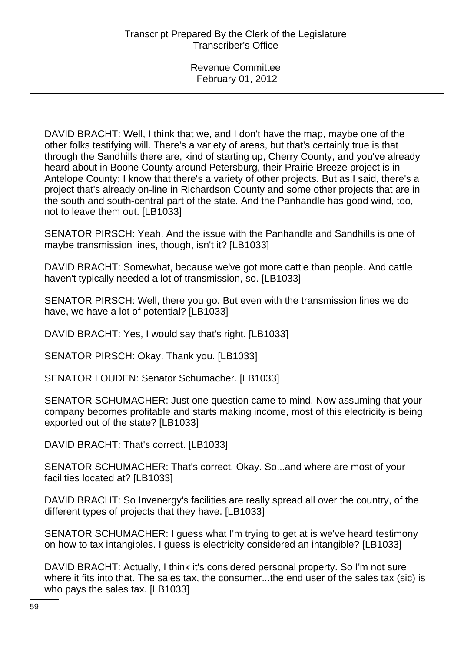DAVID BRACHT: Well, I think that we, and I don't have the map, maybe one of the other folks testifying will. There's a variety of areas, but that's certainly true is that through the Sandhills there are, kind of starting up, Cherry County, and you've already heard about in Boone County around Petersburg, their Prairie Breeze project is in Antelope County; I know that there's a variety of other projects. But as I said, there's a project that's already on-line in Richardson County and some other projects that are in the south and south-central part of the state. And the Panhandle has good wind, too, not to leave them out. [LB1033]

SENATOR PIRSCH: Yeah. And the issue with the Panhandle and Sandhills is one of maybe transmission lines, though, isn't it? [LB1033]

DAVID BRACHT: Somewhat, because we've got more cattle than people. And cattle haven't typically needed a lot of transmission, so. [LB1033]

SENATOR PIRSCH: Well, there you go. But even with the transmission lines we do have, we have a lot of potential? [LB1033]

DAVID BRACHT: Yes, I would say that's right. [LB1033]

SENATOR PIRSCH: Okay. Thank you. [LB1033]

SENATOR LOUDEN: Senator Schumacher. [LB1033]

SENATOR SCHUMACHER: Just one question came to mind. Now assuming that your company becomes profitable and starts making income, most of this electricity is being exported out of the state? [LB1033]

DAVID BRACHT: That's correct. [LB1033]

SENATOR SCHUMACHER: That's correct. Okay. So...and where are most of your facilities located at? [LB1033]

DAVID BRACHT: So Invenergy's facilities are really spread all over the country, of the different types of projects that they have. [LB1033]

SENATOR SCHUMACHER: I guess what I'm trying to get at is we've heard testimony on how to tax intangibles. I guess is electricity considered an intangible? [LB1033]

DAVID BRACHT: Actually, I think it's considered personal property. So I'm not sure where it fits into that. The sales tax, the consumer...the end user of the sales tax (sic) is who pays the sales tax. [LB1033]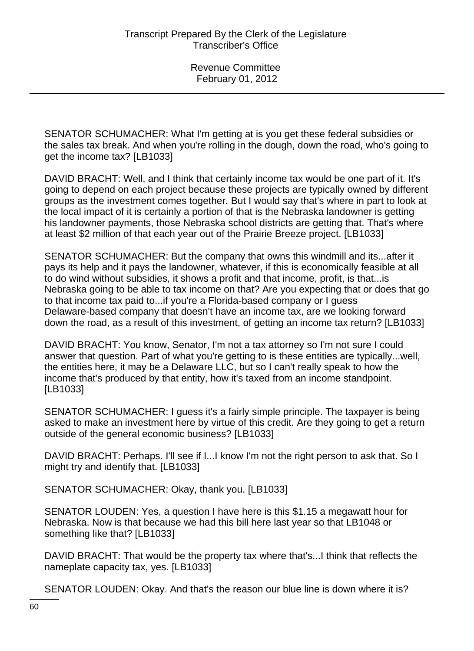SENATOR SCHUMACHER: What I'm getting at is you get these federal subsidies or the sales tax break. And when you're rolling in the dough, down the road, who's going to get the income tax? [LB1033]

DAVID BRACHT: Well, and I think that certainly income tax would be one part of it. It's going to depend on each project because these projects are typically owned by different groups as the investment comes together. But I would say that's where in part to look at the local impact of it is certainly a portion of that is the Nebraska landowner is getting his landowner payments, those Nebraska school districts are getting that. That's where at least \$2 million of that each year out of the Prairie Breeze project. [LB1033]

SENATOR SCHUMACHER: But the company that owns this windmill and its...after it pays its help and it pays the landowner, whatever, if this is economically feasible at all to do wind without subsidies, it shows a profit and that income, profit, is that...is Nebraska going to be able to tax income on that? Are you expecting that or does that go to that income tax paid to...if you're a Florida-based company or I guess Delaware-based company that doesn't have an income tax, are we looking forward down the road, as a result of this investment, of getting an income tax return? [LB1033]

DAVID BRACHT: You know, Senator, I'm not a tax attorney so I'm not sure I could answer that question. Part of what you're getting to is these entities are typically...well, the entities here, it may be a Delaware LLC, but so I can't really speak to how the income that's produced by that entity, how it's taxed from an income standpoint. [LB1033]

SENATOR SCHUMACHER: I guess it's a fairly simple principle. The taxpayer is being asked to make an investment here by virtue of this credit. Are they going to get a return outside of the general economic business? [LB1033]

DAVID BRACHT: Perhaps. I'll see if I...I know I'm not the right person to ask that. So I might try and identify that. [LB1033]

SENATOR SCHUMACHER: Okay, thank you. [LB1033]

SENATOR LOUDEN: Yes, a question I have here is this \$1.15 a megawatt hour for Nebraska. Now is that because we had this bill here last year so that LB1048 or something like that? [LB1033]

DAVID BRACHT: That would be the property tax where that's...I think that reflects the nameplate capacity tax, yes. [LB1033]

SENATOR LOUDEN: Okay. And that's the reason our blue line is down where it is?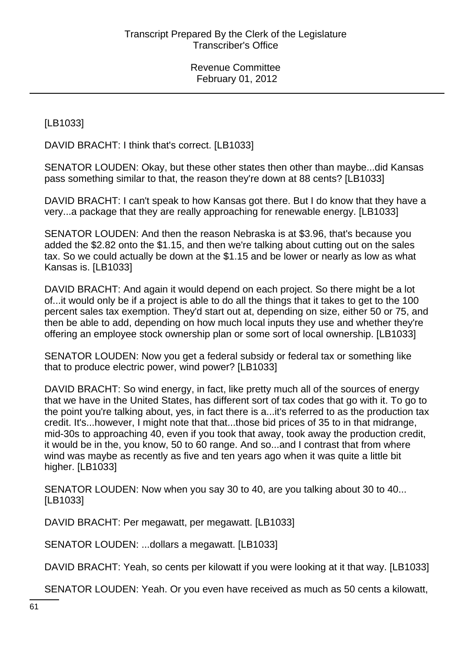[LB1033]

DAVID BRACHT: I think that's correct. [LB1033]

SENATOR LOUDEN: Okay, but these other states then other than maybe...did Kansas pass something similar to that, the reason they're down at 88 cents? [LB1033]

DAVID BRACHT: I can't speak to how Kansas got there. But I do know that they have a very...a package that they are really approaching for renewable energy. [LB1033]

SENATOR LOUDEN: And then the reason Nebraska is at \$3.96, that's because you added the \$2.82 onto the \$1.15, and then we're talking about cutting out on the sales tax. So we could actually be down at the \$1.15 and be lower or nearly as low as what Kansas is. [LB1033]

DAVID BRACHT: And again it would depend on each project. So there might be a lot of...it would only be if a project is able to do all the things that it takes to get to the 100 percent sales tax exemption. They'd start out at, depending on size, either 50 or 75, and then be able to add, depending on how much local inputs they use and whether they're offering an employee stock ownership plan or some sort of local ownership. [LB1033]

SENATOR LOUDEN: Now you get a federal subsidy or federal tax or something like that to produce electric power, wind power? [LB1033]

DAVID BRACHT: So wind energy, in fact, like pretty much all of the sources of energy that we have in the United States, has different sort of tax codes that go with it. To go to the point you're talking about, yes, in fact there is a...it's referred to as the production tax credit. It's...however, I might note that that...those bid prices of 35 to in that midrange, mid-30s to approaching 40, even if you took that away, took away the production credit, it would be in the, you know, 50 to 60 range. And so...and I contrast that from where wind was maybe as recently as five and ten years ago when it was quite a little bit higher. [LB1033]

SENATOR LOUDEN: Now when you say 30 to 40, are you talking about 30 to 40... [LB1033]

DAVID BRACHT: Per megawatt, per megawatt. [LB1033]

SENATOR LOUDEN: ...dollars a megawatt. [LB1033]

DAVID BRACHT: Yeah, so cents per kilowatt if you were looking at it that way. [LB1033]

SENATOR LOUDEN: Yeah. Or you even have received as much as 50 cents a kilowatt,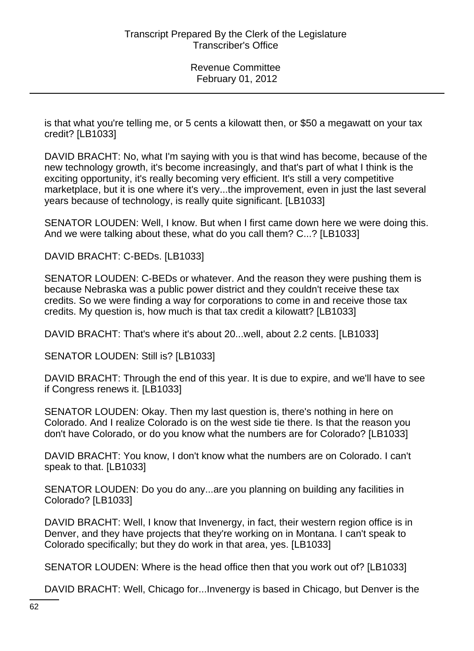is that what you're telling me, or 5 cents a kilowatt then, or \$50 a megawatt on your tax credit? [LB1033]

DAVID BRACHT: No, what I'm saying with you is that wind has become, because of the new technology growth, it's become increasingly, and that's part of what I think is the exciting opportunity, it's really becoming very efficient. It's still a very competitive marketplace, but it is one where it's very...the improvement, even in just the last several years because of technology, is really quite significant. [LB1033]

SENATOR LOUDEN: Well, I know. But when I first came down here we were doing this. And we were talking about these, what do you call them? C...? [LB1033]

DAVID BRACHT: C-BEDs. [LB1033]

SENATOR LOUDEN: C-BEDs or whatever. And the reason they were pushing them is because Nebraska was a public power district and they couldn't receive these tax credits. So we were finding a way for corporations to come in and receive those tax credits. My question is, how much is that tax credit a kilowatt? [LB1033]

DAVID BRACHT: That's where it's about 20...well, about 2.2 cents. [LB1033]

SENATOR LOUDEN: Still is? [LB1033]

DAVID BRACHT: Through the end of this year. It is due to expire, and we'll have to see if Congress renews it. [LB1033]

SENATOR LOUDEN: Okay. Then my last question is, there's nothing in here on Colorado. And I realize Colorado is on the west side tie there. Is that the reason you don't have Colorado, or do you know what the numbers are for Colorado? [LB1033]

DAVID BRACHT: You know, I don't know what the numbers are on Colorado. I can't speak to that. [LB1033]

SENATOR LOUDEN: Do you do any...are you planning on building any facilities in Colorado? [LB1033]

DAVID BRACHT: Well, I know that Invenergy, in fact, their western region office is in Denver, and they have projects that they're working on in Montana. I can't speak to Colorado specifically; but they do work in that area, yes. [LB1033]

SENATOR LOUDEN: Where is the head office then that you work out of? [LB1033]

DAVID BRACHT: Well, Chicago for...Invenergy is based in Chicago, but Denver is the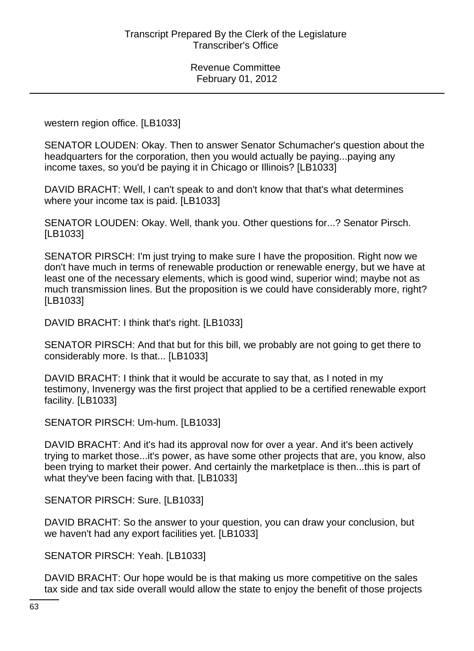western region office. [LB1033]

SENATOR LOUDEN: Okay. Then to answer Senator Schumacher's question about the headquarters for the corporation, then you would actually be paying...paying any income taxes, so you'd be paying it in Chicago or Illinois? [LB1033]

DAVID BRACHT: Well, I can't speak to and don't know that that's what determines where your income tax is paid. [LB1033]

SENATOR LOUDEN: Okay. Well, thank you. Other questions for...? Senator Pirsch. [LB1033]

SENATOR PIRSCH: I'm just trying to make sure I have the proposition. Right now we don't have much in terms of renewable production or renewable energy, but we have at least one of the necessary elements, which is good wind, superior wind; maybe not as much transmission lines. But the proposition is we could have considerably more, right? [LB1033]

DAVID BRACHT: I think that's right. [LB1033]

SENATOR PIRSCH: And that but for this bill, we probably are not going to get there to considerably more. Is that... [LB1033]

DAVID BRACHT: I think that it would be accurate to say that, as I noted in my testimony, Invenergy was the first project that applied to be a certified renewable export facility. [LB1033]

SENATOR PIRSCH: Um-hum. [LB1033]

DAVID BRACHT: And it's had its approval now for over a year. And it's been actively trying to market those...it's power, as have some other projects that are, you know, also been trying to market their power. And certainly the marketplace is then...this is part of what they've been facing with that. [LB1033]

SENATOR PIRSCH: Sure. [LB1033]

DAVID BRACHT: So the answer to your question, you can draw your conclusion, but we haven't had any export facilities yet. [LB1033]

SENATOR PIRSCH: Yeah. [LB1033]

DAVID BRACHT: Our hope would be is that making us more competitive on the sales tax side and tax side overall would allow the state to enjoy the benefit of those projects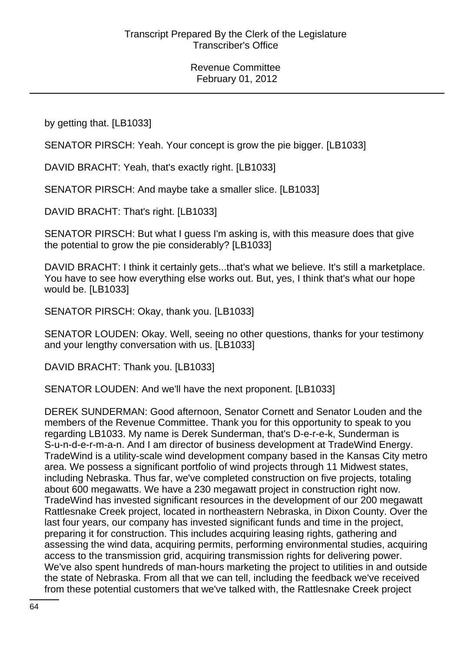by getting that. [LB1033]

SENATOR PIRSCH: Yeah. Your concept is grow the pie bigger. [LB1033]

DAVID BRACHT: Yeah, that's exactly right. [LB1033]

SENATOR PIRSCH: And maybe take a smaller slice. [LB1033]

DAVID BRACHT: That's right. [LB1033]

SENATOR PIRSCH: But what I guess I'm asking is, with this measure does that give the potential to grow the pie considerably? [LB1033]

DAVID BRACHT: I think it certainly gets...that's what we believe. It's still a marketplace. You have to see how everything else works out. But, yes, I think that's what our hope would be. [LB1033]

SENATOR PIRSCH: Okay, thank you. [LB1033]

SENATOR LOUDEN: Okay. Well, seeing no other questions, thanks for your testimony and your lengthy conversation with us. [LB1033]

DAVID BRACHT: Thank you. [LB1033]

SENATOR LOUDEN: And we'll have the next proponent. [LB1033]

DEREK SUNDERMAN: Good afternoon, Senator Cornett and Senator Louden and the members of the Revenue Committee. Thank you for this opportunity to speak to you regarding LB1033. My name is Derek Sunderman, that's D-e-r-e-k, Sunderman is S-u-n-d-e-r-m-a-n. And I am director of business development at TradeWind Energy. TradeWind is a utility-scale wind development company based in the Kansas City metro area. We possess a significant portfolio of wind projects through 11 Midwest states, including Nebraska. Thus far, we've completed construction on five projects, totaling about 600 megawatts. We have a 230 megawatt project in construction right now. TradeWind has invested significant resources in the development of our 200 megawatt Rattlesnake Creek project, located in northeastern Nebraska, in Dixon County. Over the last four years, our company has invested significant funds and time in the project, preparing it for construction. This includes acquiring leasing rights, gathering and assessing the wind data, acquiring permits, performing environmental studies, acquiring access to the transmission grid, acquiring transmission rights for delivering power. We've also spent hundreds of man-hours marketing the project to utilities in and outside the state of Nebraska. From all that we can tell, including the feedback we've received from these potential customers that we've talked with, the Rattlesnake Creek project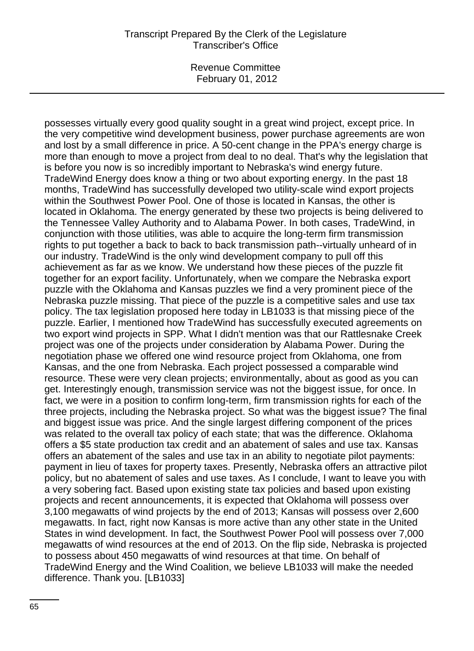## Transcript Prepared By the Clerk of the Legislature Transcriber's Office

Revenue Committee February 01, 2012

possesses virtually every good quality sought in a great wind project, except price. In the very competitive wind development business, power purchase agreements are won and lost by a small difference in price. A 50-cent change in the PPA's energy charge is more than enough to move a project from deal to no deal. That's why the legislation that is before you now is so incredibly important to Nebraska's wind energy future. TradeWind Energy does know a thing or two about exporting energy. In the past 18 months, TradeWind has successfully developed two utility-scale wind export projects within the Southwest Power Pool. One of those is located in Kansas, the other is located in Oklahoma. The energy generated by these two projects is being delivered to the Tennessee Valley Authority and to Alabama Power. In both cases, TradeWind, in conjunction with those utilities, was able to acquire the long-term firm transmission rights to put together a back to back to back transmission path--virtually unheard of in our industry. TradeWind is the only wind development company to pull off this achievement as far as we know. We understand how these pieces of the puzzle fit together for an export facility. Unfortunately, when we compare the Nebraska export puzzle with the Oklahoma and Kansas puzzles we find a very prominent piece of the Nebraska puzzle missing. That piece of the puzzle is a competitive sales and use tax policy. The tax legislation proposed here today in LB1033 is that missing piece of the puzzle. Earlier, I mentioned how TradeWind has successfully executed agreements on two export wind projects in SPP. What I didn't mention was that our Rattlesnake Creek project was one of the projects under consideration by Alabama Power. During the negotiation phase we offered one wind resource project from Oklahoma, one from Kansas, and the one from Nebraska. Each project possessed a comparable wind resource. These were very clean projects; environmentally, about as good as you can get. Interestingly enough, transmission service was not the biggest issue, for once. In fact, we were in a position to confirm long-term, firm transmission rights for each of the three projects, including the Nebraska project. So what was the biggest issue? The final and biggest issue was price. And the single largest differing component of the prices was related to the overall tax policy of each state; that was the difference. Oklahoma offers a \$5 state production tax credit and an abatement of sales and use tax. Kansas offers an abatement of the sales and use tax in an ability to negotiate pilot payments: payment in lieu of taxes for property taxes. Presently, Nebraska offers an attractive pilot policy, but no abatement of sales and use taxes. As I conclude, I want to leave you with a very sobering fact. Based upon existing state tax policies and based upon existing projects and recent announcements, it is expected that Oklahoma will possess over 3,100 megawatts of wind projects by the end of 2013; Kansas will possess over 2,600 megawatts. In fact, right now Kansas is more active than any other state in the United States in wind development. In fact, the Southwest Power Pool will possess over 7,000 megawatts of wind resources at the end of 2013. On the flip side, Nebraska is projected to possess about 450 megawatts of wind resources at that time. On behalf of TradeWind Energy and the Wind Coalition, we believe LB1033 will make the needed difference. Thank you. [LB1033]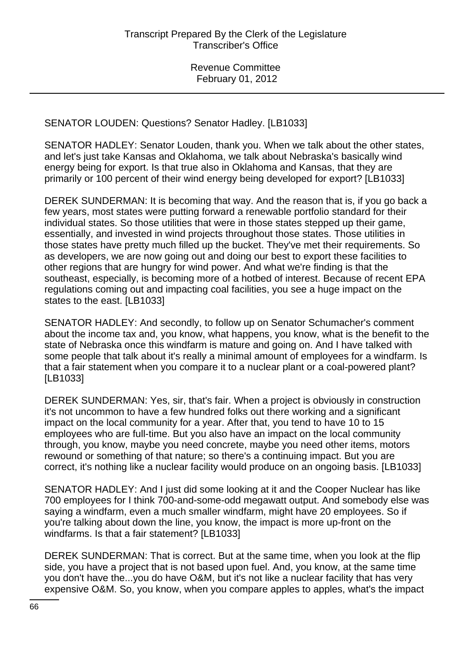SENATOR LOUDEN: Questions? Senator Hadley. [LB1033]

SENATOR HADLEY: Senator Louden, thank you. When we talk about the other states, and let's just take Kansas and Oklahoma, we talk about Nebraska's basically wind energy being for export. Is that true also in Oklahoma and Kansas, that they are primarily or 100 percent of their wind energy being developed for export? [LB1033]

DEREK SUNDERMAN: It is becoming that way. And the reason that is, if you go back a few years, most states were putting forward a renewable portfolio standard for their individual states. So those utilities that were in those states stepped up their game, essentially, and invested in wind projects throughout those states. Those utilities in those states have pretty much filled up the bucket. They've met their requirements. So as developers, we are now going out and doing our best to export these facilities to other regions that are hungry for wind power. And what we're finding is that the southeast, especially, is becoming more of a hotbed of interest. Because of recent EPA regulations coming out and impacting coal facilities, you see a huge impact on the states to the east. [LB1033]

SENATOR HADLEY: And secondly, to follow up on Senator Schumacher's comment about the income tax and, you know, what happens, you know, what is the benefit to the state of Nebraska once this windfarm is mature and going on. And I have talked with some people that talk about it's really a minimal amount of employees for a windfarm. Is that a fair statement when you compare it to a nuclear plant or a coal-powered plant? [LB1033]

DEREK SUNDERMAN: Yes, sir, that's fair. When a project is obviously in construction it's not uncommon to have a few hundred folks out there working and a significant impact on the local community for a year. After that, you tend to have 10 to 15 employees who are full-time. But you also have an impact on the local community through, you know, maybe you need concrete, maybe you need other items, motors rewound or something of that nature; so there's a continuing impact. But you are correct, it's nothing like a nuclear facility would produce on an ongoing basis. [LB1033]

SENATOR HADLEY: And I just did some looking at it and the Cooper Nuclear has like 700 employees for I think 700-and-some-odd megawatt output. And somebody else was saying a windfarm, even a much smaller windfarm, might have 20 employees. So if you're talking about down the line, you know, the impact is more up-front on the windfarms. Is that a fair statement? [LB1033]

DEREK SUNDERMAN: That is correct. But at the same time, when you look at the flip side, you have a project that is not based upon fuel. And, you know, at the same time you don't have the...you do have O&M, but it's not like a nuclear facility that has very expensive O&M. So, you know, when you compare apples to apples, what's the impact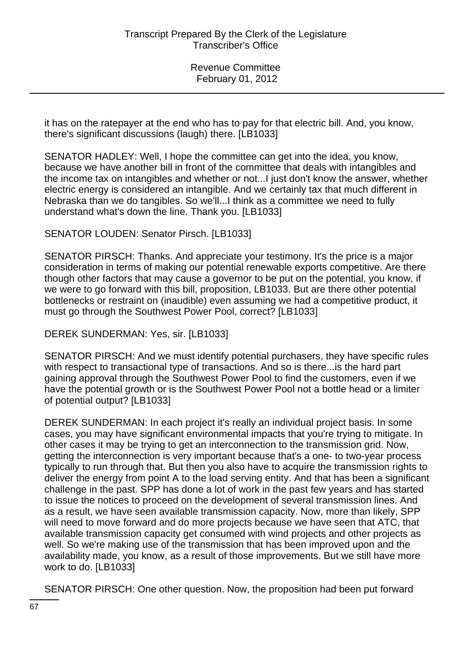it has on the ratepayer at the end who has to pay for that electric bill. And, you know, there's significant discussions (laugh) there. [LB1033]

SENATOR HADLEY: Well, I hope the committee can get into the idea, you know, because we have another bill in front of the committee that deals with intangibles and the income tax on intangibles and whether or not...I just don't know the answer, whether electric energy is considered an intangible. And we certainly tax that much different in Nebraska than we do tangibles. So we'll...I think as a committee we need to fully understand what's down the line. Thank you. [LB1033]

# SENATOR LOUDEN: Senator Pirsch. [LB1033]

SENATOR PIRSCH: Thanks. And appreciate your testimony. It's the price is a major consideration in terms of making our potential renewable exports competitive. Are there though other factors that may cause a governor to be put on the potential, you know, if we were to go forward with this bill, proposition, LB1033. But are there other potential bottlenecks or restraint on (inaudible) even assuming we had a competitive product, it must go through the Southwest Power Pool, correct? [LB1033]

DEREK SUNDERMAN: Yes, sir. [LB1033]

SENATOR PIRSCH: And we must identify potential purchasers, they have specific rules with respect to transactional type of transactions. And so is there...is the hard part gaining approval through the Southwest Power Pool to find the customers, even if we have the potential growth or is the Southwest Power Pool not a bottle head or a limiter of potential output? [LB1033]

DEREK SUNDERMAN: In each project it's really an individual project basis. In some cases, you may have significant environmental impacts that you're trying to mitigate. In other cases it may be trying to get an interconnection to the transmission grid. Now, getting the interconnection is very important because that's a one- to two-year process typically to run through that. But then you also have to acquire the transmission rights to deliver the energy from point A to the load serving entity. And that has been a significant challenge in the past. SPP has done a lot of work in the past few years and has started to issue the notices to proceed on the development of several transmission lines. And as a result, we have seen available transmission capacity. Now, more than likely, SPP will need to move forward and do more projects because we have seen that ATC, that available transmission capacity get consumed with wind projects and other projects as well. So we're making use of the transmission that has been improved upon and the availability made, you know, as a result of those improvements. But we still have more work to do. [LB1033]

SENATOR PIRSCH: One other question. Now, the proposition had been put forward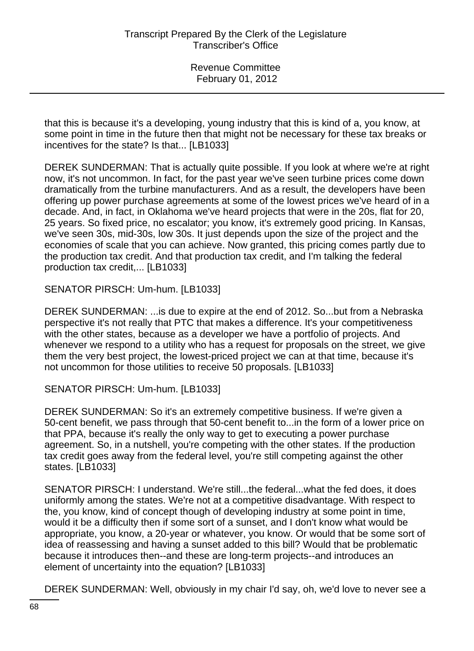that this is because it's a developing, young industry that this is kind of a, you know, at some point in time in the future then that might not be necessary for these tax breaks or incentives for the state? Is that... [LB1033]

DEREK SUNDERMAN: That is actually quite possible. If you look at where we're at right now, it's not uncommon. In fact, for the past year we've seen turbine prices come down dramatically from the turbine manufacturers. And as a result, the developers have been offering up power purchase agreements at some of the lowest prices we've heard of in a decade. And, in fact, in Oklahoma we've heard projects that were in the 20s, flat for 20, 25 years. So fixed price, no escalator; you know, it's extremely good pricing. In Kansas, we've seen 30s, mid-30s, low 30s. It just depends upon the size of the project and the economies of scale that you can achieve. Now granted, this pricing comes partly due to the production tax credit. And that production tax credit, and I'm talking the federal production tax credit,... [LB1033]

SENATOR PIRSCH: Um-hum. [LB1033]

DEREK SUNDERMAN: ...is due to expire at the end of 2012. So...but from a Nebraska perspective it's not really that PTC that makes a difference. It's your competitiveness with the other states, because as a developer we have a portfolio of projects. And whenever we respond to a utility who has a request for proposals on the street, we give them the very best project, the lowest-priced project we can at that time, because it's not uncommon for those utilities to receive 50 proposals. [LB1033]

SENATOR PIRSCH: Um-hum. [LB1033]

DEREK SUNDERMAN: So it's an extremely competitive business. If we're given a 50-cent benefit, we pass through that 50-cent benefit to...in the form of a lower price on that PPA, because it's really the only way to get to executing a power purchase agreement. So, in a nutshell, you're competing with the other states. If the production tax credit goes away from the federal level, you're still competing against the other states. [LB1033]

SENATOR PIRSCH: I understand. We're still...the federal...what the fed does, it does uniformly among the states. We're not at a competitive disadvantage. With respect to the, you know, kind of concept though of developing industry at some point in time, would it be a difficulty then if some sort of a sunset, and I don't know what would be appropriate, you know, a 20-year or whatever, you know. Or would that be some sort of idea of reassessing and having a sunset added to this bill? Would that be problematic because it introduces then--and these are long-term projects--and introduces an element of uncertainty into the equation? [LB1033]

DEREK SUNDERMAN: Well, obviously in my chair I'd say, oh, we'd love to never see a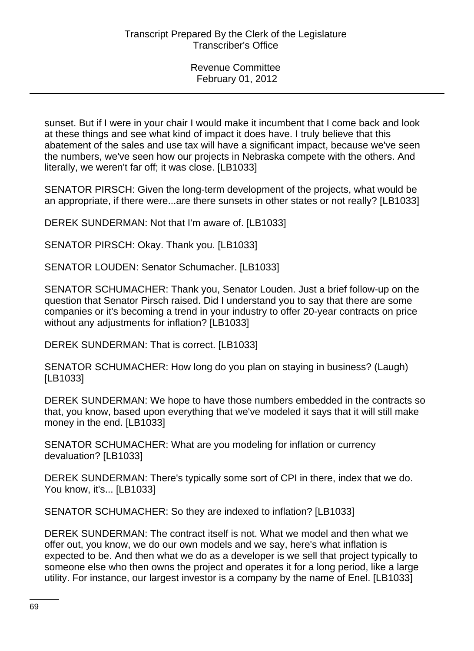sunset. But if I were in your chair I would make it incumbent that I come back and look at these things and see what kind of impact it does have. I truly believe that this abatement of the sales and use tax will have a significant impact, because we've seen the numbers, we've seen how our projects in Nebraska compete with the others. And literally, we weren't far off; it was close. [LB1033]

SENATOR PIRSCH: Given the long-term development of the projects, what would be an appropriate, if there were...are there sunsets in other states or not really? [LB1033]

DEREK SUNDERMAN: Not that I'm aware of. [LB1033]

SENATOR PIRSCH: Okay. Thank you. [LB1033]

SENATOR LOUDEN: Senator Schumacher. [LB1033]

SENATOR SCHUMACHER: Thank you, Senator Louden. Just a brief follow-up on the question that Senator Pirsch raised. Did I understand you to say that there are some companies or it's becoming a trend in your industry to offer 20-year contracts on price without any adjustments for inflation? [LB1033]

DEREK SUNDERMAN: That is correct. [LB1033]

SENATOR SCHUMACHER: How long do you plan on staying in business? (Laugh) [LB1033]

DEREK SUNDERMAN: We hope to have those numbers embedded in the contracts so that, you know, based upon everything that we've modeled it says that it will still make money in the end. [LB1033]

SENATOR SCHUMACHER: What are you modeling for inflation or currency devaluation? [LB1033]

DEREK SUNDERMAN: There's typically some sort of CPI in there, index that we do. You know, it's... [LB1033]

SENATOR SCHUMACHER: So they are indexed to inflation? [LB1033]

DEREK SUNDERMAN: The contract itself is not. What we model and then what we offer out, you know, we do our own models and we say, here's what inflation is expected to be. And then what we do as a developer is we sell that project typically to someone else who then owns the project and operates it for a long period, like a large utility. For instance, our largest investor is a company by the name of Enel. [LB1033]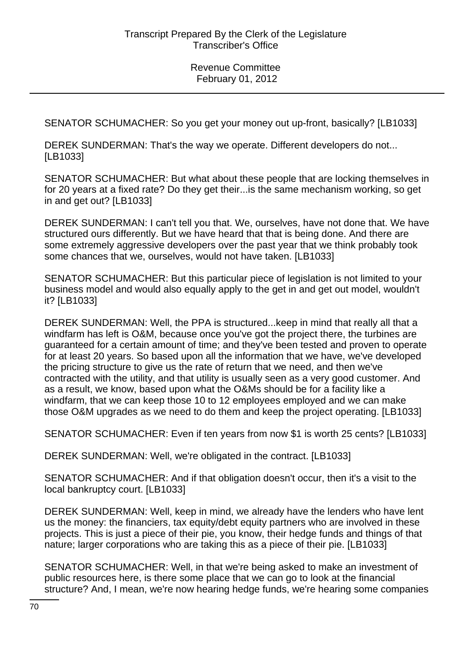SENATOR SCHUMACHER: So you get your money out up-front, basically? [LB1033]

DEREK SUNDERMAN: That's the way we operate. Different developers do not... [LB1033]

SENATOR SCHUMACHER: But what about these people that are locking themselves in for 20 years at a fixed rate? Do they get their...is the same mechanism working, so get in and get out? [LB1033]

DEREK SUNDERMAN: I can't tell you that. We, ourselves, have not done that. We have structured ours differently. But we have heard that that is being done. And there are some extremely aggressive developers over the past year that we think probably took some chances that we, ourselves, would not have taken. [LB1033]

SENATOR SCHUMACHER: But this particular piece of legislation is not limited to your business model and would also equally apply to the get in and get out model, wouldn't it? [LB1033]

DEREK SUNDERMAN: Well, the PPA is structured...keep in mind that really all that a windfarm has left is O&M, because once you've got the project there, the turbines are guaranteed for a certain amount of time; and they've been tested and proven to operate for at least 20 years. So based upon all the information that we have, we've developed the pricing structure to give us the rate of return that we need, and then we've contracted with the utility, and that utility is usually seen as a very good customer. And as a result, we know, based upon what the O&Ms should be for a facility like a windfarm, that we can keep those 10 to 12 employees employed and we can make those O&M upgrades as we need to do them and keep the project operating. [LB1033]

SENATOR SCHUMACHER: Even if ten years from now \$1 is worth 25 cents? [LB1033]

DEREK SUNDERMAN: Well, we're obligated in the contract. [LB1033]

SENATOR SCHUMACHER: And if that obligation doesn't occur, then it's a visit to the local bankruptcy court. [LB1033]

DEREK SUNDERMAN: Well, keep in mind, we already have the lenders who have lent us the money: the financiers, tax equity/debt equity partners who are involved in these projects. This is just a piece of their pie, you know, their hedge funds and things of that nature; larger corporations who are taking this as a piece of their pie. [LB1033]

SENATOR SCHUMACHER: Well, in that we're being asked to make an investment of public resources here, is there some place that we can go to look at the financial structure? And, I mean, we're now hearing hedge funds, we're hearing some companies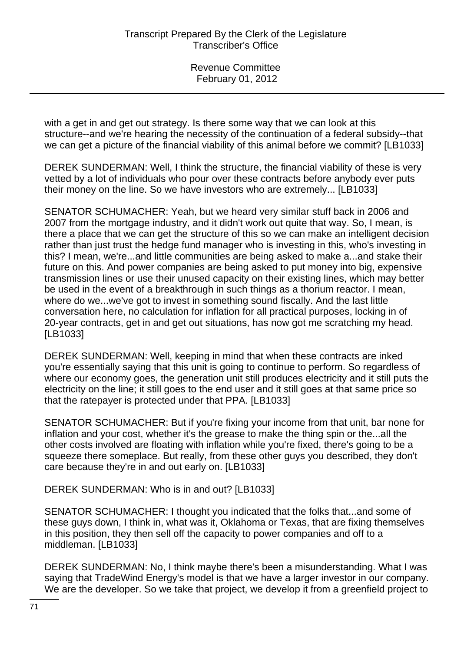with a get in and get out strategy. Is there some way that we can look at this structure--and we're hearing the necessity of the continuation of a federal subsidy--that we can get a picture of the financial viability of this animal before we commit? [LB1033]

DEREK SUNDERMAN: Well, I think the structure, the financial viability of these is very vetted by a lot of individuals who pour over these contracts before anybody ever puts their money on the line. So we have investors who are extremely... [LB1033]

SENATOR SCHUMACHER: Yeah, but we heard very similar stuff back in 2006 and 2007 from the mortgage industry, and it didn't work out quite that way. So, I mean, is there a place that we can get the structure of this so we can make an intelligent decision rather than just trust the hedge fund manager who is investing in this, who's investing in this? I mean, we're...and little communities are being asked to make a...and stake their future on this. And power companies are being asked to put money into big, expensive transmission lines or use their unused capacity on their existing lines, which may better be used in the event of a breakthrough in such things as a thorium reactor. I mean, where do we...we've got to invest in something sound fiscally. And the last little conversation here, no calculation for inflation for all practical purposes, locking in of 20-year contracts, get in and get out situations, has now got me scratching my head. [LB1033]

DEREK SUNDERMAN: Well, keeping in mind that when these contracts are inked you're essentially saying that this unit is going to continue to perform. So regardless of where our economy goes, the generation unit still produces electricity and it still puts the electricity on the line; it still goes to the end user and it still goes at that same price so that the ratepayer is protected under that PPA. [LB1033]

SENATOR SCHUMACHER: But if you're fixing your income from that unit, bar none for inflation and your cost, whether it's the grease to make the thing spin or the...all the other costs involved are floating with inflation while you're fixed, there's going to be a squeeze there someplace. But really, from these other guys you described, they don't care because they're in and out early on. [LB1033]

DEREK SUNDERMAN: Who is in and out? [LB1033]

SENATOR SCHUMACHER: I thought you indicated that the folks that...and some of these guys down, I think in, what was it, Oklahoma or Texas, that are fixing themselves in this position, they then sell off the capacity to power companies and off to a middleman. [LB1033]

DEREK SUNDERMAN: No, I think maybe there's been a misunderstanding. What I was saying that TradeWind Energy's model is that we have a larger investor in our company. We are the developer. So we take that project, we develop it from a greenfield project to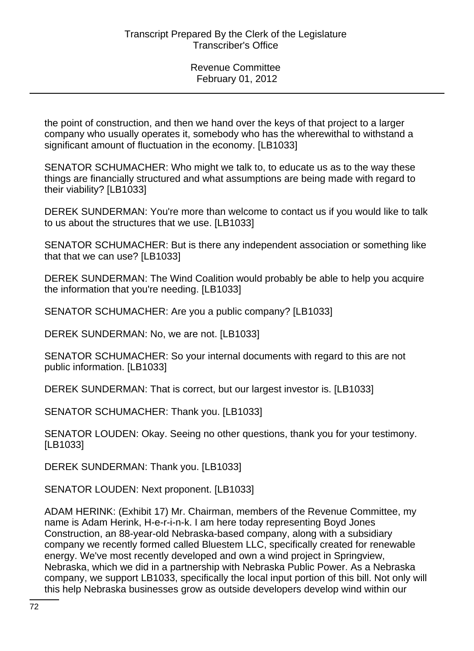the point of construction, and then we hand over the keys of that project to a larger company who usually operates it, somebody who has the wherewithal to withstand a significant amount of fluctuation in the economy. [LB1033]

SENATOR SCHUMACHER: Who might we talk to, to educate us as to the way these things are financially structured and what assumptions are being made with regard to their viability? [LB1033]

DEREK SUNDERMAN: You're more than welcome to contact us if you would like to talk to us about the structures that we use. [LB1033]

SENATOR SCHUMACHER: But is there any independent association or something like that that we can use? [LB1033]

DEREK SUNDERMAN: The Wind Coalition would probably be able to help you acquire the information that you're needing. [LB1033]

SENATOR SCHUMACHER: Are you a public company? [LB1033]

DEREK SUNDERMAN: No, we are not. [LB1033]

SENATOR SCHUMACHER: So your internal documents with regard to this are not public information. [LB1033]

DEREK SUNDERMAN: That is correct, but our largest investor is. [LB1033]

SENATOR SCHUMACHER: Thank you. [LB1033]

SENATOR LOUDEN: Okay. Seeing no other questions, thank you for your testimony. [LB1033]

DEREK SUNDERMAN: Thank you. [LB1033]

SENATOR LOUDEN: Next proponent. [LB1033]

ADAM HERINK: (Exhibit 17) Mr. Chairman, members of the Revenue Committee, my name is Adam Herink, H-e-r-i-n-k. I am here today representing Boyd Jones Construction, an 88-year-old Nebraska-based company, along with a subsidiary company we recently formed called Bluestem LLC, specifically created for renewable energy. We've most recently developed and own a wind project in Springview, Nebraska, which we did in a partnership with Nebraska Public Power. As a Nebraska company, we support LB1033, specifically the local input portion of this bill. Not only will this help Nebraska businesses grow as outside developers develop wind within our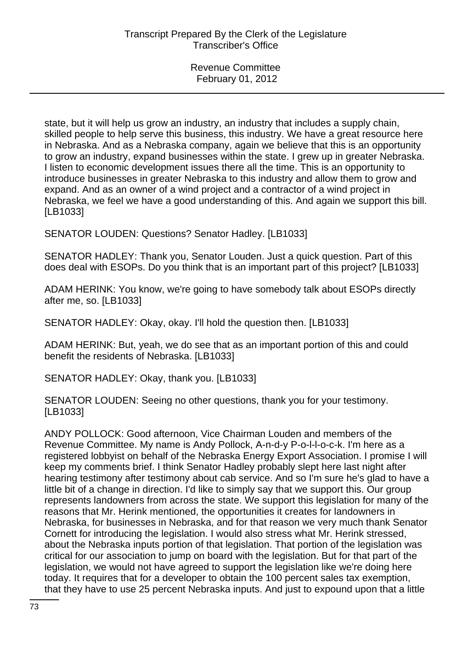state, but it will help us grow an industry, an industry that includes a supply chain, skilled people to help serve this business, this industry. We have a great resource here in Nebraska. And as a Nebraska company, again we believe that this is an opportunity to grow an industry, expand businesses within the state. I grew up in greater Nebraska. I listen to economic development issues there all the time. This is an opportunity to introduce businesses in greater Nebraska to this industry and allow them to grow and expand. And as an owner of a wind project and a contractor of a wind project in Nebraska, we feel we have a good understanding of this. And again we support this bill. [LB1033]

SENATOR LOUDEN: Questions? Senator Hadley. [LB1033]

SENATOR HADLEY: Thank you, Senator Louden. Just a quick question. Part of this does deal with ESOPs. Do you think that is an important part of this project? [LB1033]

ADAM HERINK: You know, we're going to have somebody talk about ESOPs directly after me, so. [LB1033]

SENATOR HADLEY: Okay, okay. I'll hold the question then. [LB1033]

ADAM HERINK: But, yeah, we do see that as an important portion of this and could benefit the residents of Nebraska. [LB1033]

SENATOR HADLEY: Okay, thank you. [LB1033]

SENATOR LOUDEN: Seeing no other questions, thank you for your testimony. [LB1033]

ANDY POLLOCK: Good afternoon, Vice Chairman Louden and members of the Revenue Committee. My name is Andy Pollock, A-n-d-y P-o-l-l-o-c-k. I'm here as a registered lobbyist on behalf of the Nebraska Energy Export Association. I promise I will keep my comments brief. I think Senator Hadley probably slept here last night after hearing testimony after testimony about cab service. And so I'm sure he's glad to have a little bit of a change in direction. I'd like to simply say that we support this. Our group represents landowners from across the state. We support this legislation for many of the reasons that Mr. Herink mentioned, the opportunities it creates for landowners in Nebraska, for businesses in Nebraska, and for that reason we very much thank Senator Cornett for introducing the legislation. I would also stress what Mr. Herink stressed, about the Nebraska inputs portion of that legislation. That portion of the legislation was critical for our association to jump on board with the legislation. But for that part of the legislation, we would not have agreed to support the legislation like we're doing here today. It requires that for a developer to obtain the 100 percent sales tax exemption, that they have to use 25 percent Nebraska inputs. And just to expound upon that a little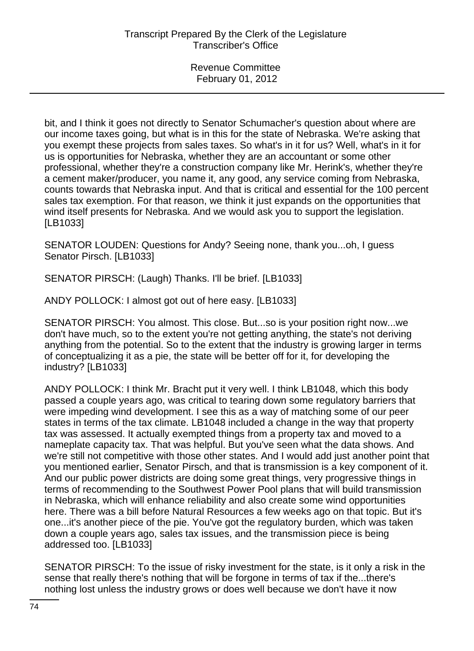bit, and I think it goes not directly to Senator Schumacher's question about where are our income taxes going, but what is in this for the state of Nebraska. We're asking that you exempt these projects from sales taxes. So what's in it for us? Well, what's in it for us is opportunities for Nebraska, whether they are an accountant or some other professional, whether they're a construction company like Mr. Herink's, whether they're a cement maker/producer, you name it, any good, any service coming from Nebraska, counts towards that Nebraska input. And that is critical and essential for the 100 percent sales tax exemption. For that reason, we think it just expands on the opportunities that wind itself presents for Nebraska. And we would ask you to support the legislation. [LB1033]

SENATOR LOUDEN: Questions for Andy? Seeing none, thank you...oh, I guess Senator Pirsch. [LB1033]

SENATOR PIRSCH: (Laugh) Thanks. I'll be brief. [LB1033]

ANDY POLLOCK: I almost got out of here easy. [LB1033]

SENATOR PIRSCH: You almost. This close. But...so is your position right now...we don't have much, so to the extent you're not getting anything, the state's not deriving anything from the potential. So to the extent that the industry is growing larger in terms of conceptualizing it as a pie, the state will be better off for it, for developing the industry? [LB1033]

ANDY POLLOCK: I think Mr. Bracht put it very well. I think LB1048, which this body passed a couple years ago, was critical to tearing down some regulatory barriers that were impeding wind development. I see this as a way of matching some of our peer states in terms of the tax climate. LB1048 included a change in the way that property tax was assessed. It actually exempted things from a property tax and moved to a nameplate capacity tax. That was helpful. But you've seen what the data shows. And we're still not competitive with those other states. And I would add just another point that you mentioned earlier, Senator Pirsch, and that is transmission is a key component of it. And our public power districts are doing some great things, very progressive things in terms of recommending to the Southwest Power Pool plans that will build transmission in Nebraska, which will enhance reliability and also create some wind opportunities here. There was a bill before Natural Resources a few weeks ago on that topic. But it's one...it's another piece of the pie. You've got the regulatory burden, which was taken down a couple years ago, sales tax issues, and the transmission piece is being addressed too. [LB1033]

SENATOR PIRSCH: To the issue of risky investment for the state, is it only a risk in the sense that really there's nothing that will be forgone in terms of tax if the...there's nothing lost unless the industry grows or does well because we don't have it now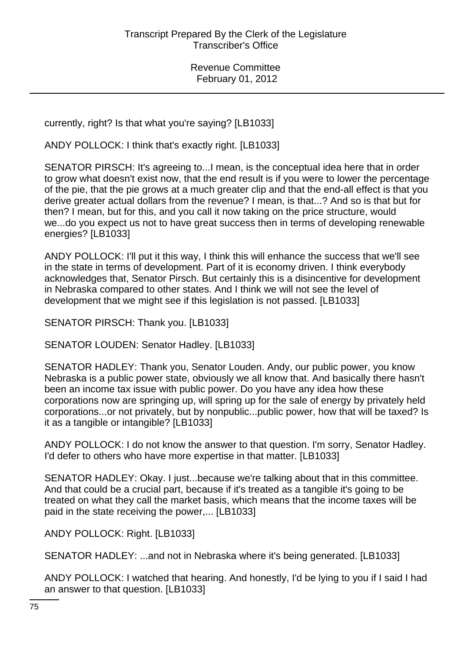currently, right? Is that what you're saying? [LB1033]

ANDY POLLOCK: I think that's exactly right. [LB1033]

SENATOR PIRSCH: It's agreeing to...I mean, is the conceptual idea here that in order to grow what doesn't exist now, that the end result is if you were to lower the percentage of the pie, that the pie grows at a much greater clip and that the end-all effect is that you derive greater actual dollars from the revenue? I mean, is that...? And so is that but for then? I mean, but for this, and you call it now taking on the price structure, would we...do you expect us not to have great success then in terms of developing renewable energies? [LB1033]

ANDY POLLOCK: I'll put it this way, I think this will enhance the success that we'll see in the state in terms of development. Part of it is economy driven. I think everybody acknowledges that, Senator Pirsch. But certainly this is a disincentive for development in Nebraska compared to other states. And I think we will not see the level of development that we might see if this legislation is not passed. [LB1033]

SENATOR PIRSCH: Thank you. [LB1033]

SENATOR LOUDEN: Senator Hadley. [LB1033]

SENATOR HADLEY: Thank you, Senator Louden. Andy, our public power, you know Nebraska is a public power state, obviously we all know that. And basically there hasn't been an income tax issue with public power. Do you have any idea how these corporations now are springing up, will spring up for the sale of energy by privately held corporations...or not privately, but by nonpublic...public power, how that will be taxed? Is it as a tangible or intangible? [LB1033]

ANDY POLLOCK: I do not know the answer to that question. I'm sorry, Senator Hadley. I'd defer to others who have more expertise in that matter. [LB1033]

SENATOR HADLEY: Okay. I just...because we're talking about that in this committee. And that could be a crucial part, because if it's treated as a tangible it's going to be treated on what they call the market basis, which means that the income taxes will be paid in the state receiving the power,... [LB1033]

ANDY POLLOCK: Right. [LB1033]

SENATOR HADLEY: ...and not in Nebraska where it's being generated. [LB1033]

ANDY POLLOCK: I watched that hearing. And honestly, I'd be lying to you if I said I had an answer to that question. [LB1033]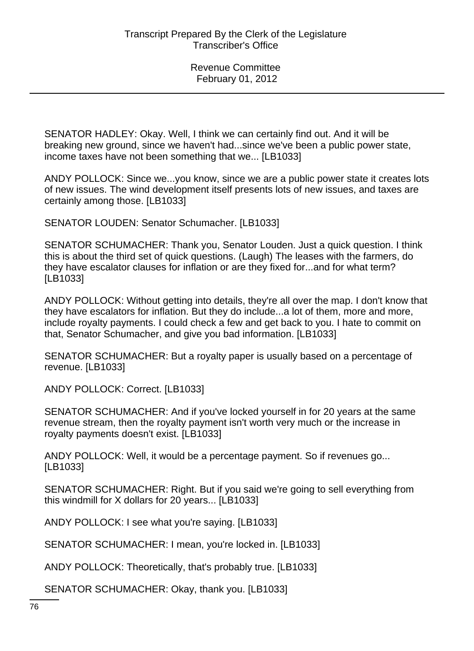SENATOR HADLEY: Okay. Well, I think we can certainly find out. And it will be breaking new ground, since we haven't had...since we've been a public power state, income taxes have not been something that we... [LB1033]

ANDY POLLOCK: Since we...you know, since we are a public power state it creates lots of new issues. The wind development itself presents lots of new issues, and taxes are certainly among those. [LB1033]

SENATOR LOUDEN: Senator Schumacher. [LB1033]

SENATOR SCHUMACHER: Thank you, Senator Louden. Just a quick question. I think this is about the third set of quick questions. (Laugh) The leases with the farmers, do they have escalator clauses for inflation or are they fixed for...and for what term? [LB1033]

ANDY POLLOCK: Without getting into details, they're all over the map. I don't know that they have escalators for inflation. But they do include...a lot of them, more and more, include royalty payments. I could check a few and get back to you. I hate to commit on that, Senator Schumacher, and give you bad information. [LB1033]

SENATOR SCHUMACHER: But a royalty paper is usually based on a percentage of revenue. [LB1033]

ANDY POLLOCK: Correct. [LB1033]

SENATOR SCHUMACHER: And if you've locked yourself in for 20 years at the same revenue stream, then the royalty payment isn't worth very much or the increase in royalty payments doesn't exist. [LB1033]

ANDY POLLOCK: Well, it would be a percentage payment. So if revenues go... [LB1033]

SENATOR SCHUMACHER: Right. But if you said we're going to sell everything from this windmill for X dollars for 20 years... [LB1033]

ANDY POLLOCK: I see what you're saying. [LB1033]

SENATOR SCHUMACHER: I mean, you're locked in. [LB1033]

ANDY POLLOCK: Theoretically, that's probably true. [LB1033]

SENATOR SCHUMACHER: Okay, thank you. [LB1033]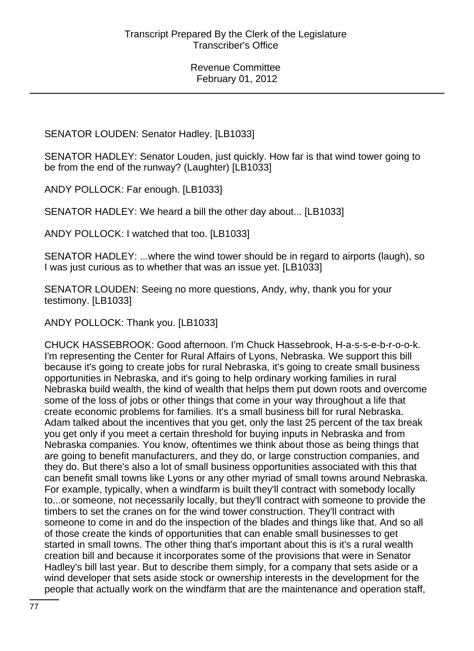SENATOR LOUDEN: Senator Hadley. [LB1033]

SENATOR HADLEY: Senator Louden, just quickly. How far is that wind tower going to be from the end of the runway? (Laughter) [LB1033]

ANDY POLLOCK: Far enough. [LB1033]

SENATOR HADLEY: We heard a bill the other day about... [LB1033]

ANDY POLLOCK: I watched that too. [LB1033]

SENATOR HADLEY: ...where the wind tower should be in regard to airports (laugh), so I was just curious as to whether that was an issue yet. [LB1033]

SENATOR LOUDEN: Seeing no more questions, Andy, why, thank you for your testimony. [LB1033]

ANDY POLLOCK: Thank you. [LB1033]

CHUCK HASSEBROOK: Good afternoon. I'm Chuck Hassebrook, H-a-s-s-e-b-r-o-o-k. I'm representing the Center for Rural Affairs of Lyons, Nebraska. We support this bill because it's going to create jobs for rural Nebraska, it's going to create small business opportunities in Nebraska, and it's going to help ordinary working families in rural Nebraska build wealth, the kind of wealth that helps them put down roots and overcome some of the loss of jobs or other things that come in your way throughout a life that create economic problems for families. It's a small business bill for rural Nebraska. Adam talked about the incentives that you get, only the last 25 percent of the tax break you get only if you meet a certain threshold for buying inputs in Nebraska and from Nebraska companies. You know, oftentimes we think about those as being things that are going to benefit manufacturers, and they do, or large construction companies, and they do. But there's also a lot of small business opportunities associated with this that can benefit small towns like Lyons or any other myriad of small towns around Nebraska. For example, typically, when a windfarm is built they'll contract with somebody locally to...or someone, not necessarily locally, but they'll contract with someone to provide the timbers to set the cranes on for the wind tower construction. They'll contract with someone to come in and do the inspection of the blades and things like that. And so all of those create the kinds of opportunities that can enable small businesses to get started in small towns. The other thing that's important about this is it's a rural wealth creation bill and because it incorporates some of the provisions that were in Senator Hadley's bill last year. But to describe them simply, for a company that sets aside or a wind developer that sets aside stock or ownership interests in the development for the people that actually work on the windfarm that are the maintenance and operation staff,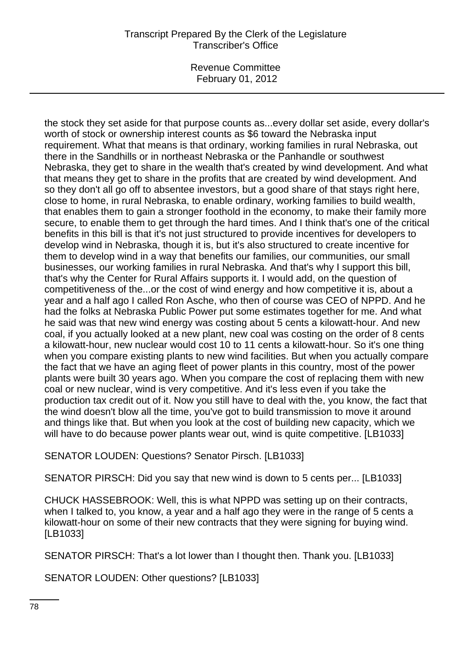Revenue Committee February 01, 2012

the stock they set aside for that purpose counts as...every dollar set aside, every dollar's worth of stock or ownership interest counts as \$6 toward the Nebraska input requirement. What that means is that ordinary, working families in rural Nebraska, out there in the Sandhills or in northeast Nebraska or the Panhandle or southwest Nebraska, they get to share in the wealth that's created by wind development. And what that means they get to share in the profits that are created by wind development. And so they don't all go off to absentee investors, but a good share of that stays right here, close to home, in rural Nebraska, to enable ordinary, working families to build wealth, that enables them to gain a stronger foothold in the economy, to make their family more secure, to enable them to get through the hard times. And I think that's one of the critical benefits in this bill is that it's not just structured to provide incentives for developers to develop wind in Nebraska, though it is, but it's also structured to create incentive for them to develop wind in a way that benefits our families, our communities, our small businesses, our working families in rural Nebraska. And that's why I support this bill, that's why the Center for Rural Affairs supports it. I would add, on the question of competitiveness of the...or the cost of wind energy and how competitive it is, about a year and a half ago I called Ron Asche, who then of course was CEO of NPPD. And he had the folks at Nebraska Public Power put some estimates together for me. And what he said was that new wind energy was costing about 5 cents a kilowatt-hour. And new coal, if you actually looked at a new plant, new coal was costing on the order of 8 cents a kilowatt-hour, new nuclear would cost 10 to 11 cents a kilowatt-hour. So it's one thing when you compare existing plants to new wind facilities. But when you actually compare the fact that we have an aging fleet of power plants in this country, most of the power plants were built 30 years ago. When you compare the cost of replacing them with new coal or new nuclear, wind is very competitive. And it's less even if you take the production tax credit out of it. Now you still have to deal with the, you know, the fact that the wind doesn't blow all the time, you've got to build transmission to move it around and things like that. But when you look at the cost of building new capacity, which we will have to do because power plants wear out, wind is quite competitive. [LB1033]

SENATOR LOUDEN: Questions? Senator Pirsch. [LB1033]

SENATOR PIRSCH: Did you say that new wind is down to 5 cents per... [LB1033]

CHUCK HASSEBROOK: Well, this is what NPPD was setting up on their contracts, when I talked to, you know, a year and a half ago they were in the range of 5 cents a kilowatt-hour on some of their new contracts that they were signing for buying wind. [LB1033]

SENATOR PIRSCH: That's a lot lower than I thought then. Thank you. [LB1033]

SENATOR LOUDEN: Other questions? [LB1033]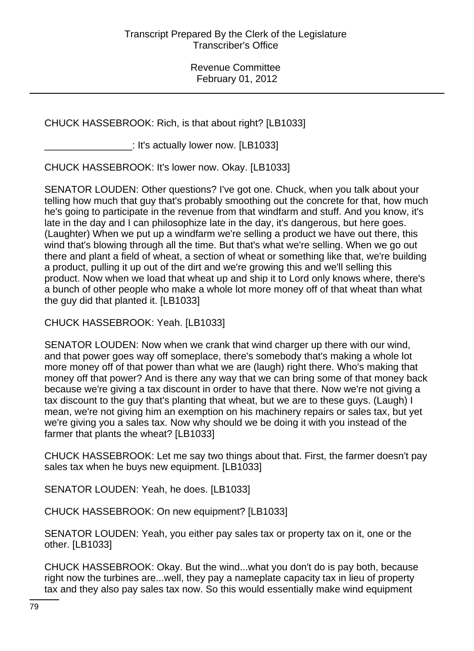# CHUCK HASSEBROOK: Rich, is that about right? [LB1033]

\_\_\_\_\_\_\_\_\_\_\_\_\_\_\_\_: It's actually lower now. [LB1033]

CHUCK HASSEBROOK: It's lower now. Okay. [LB1033]

SENATOR LOUDEN: Other questions? I've got one. Chuck, when you talk about your telling how much that guy that's probably smoothing out the concrete for that, how much he's going to participate in the revenue from that windfarm and stuff. And you know, it's late in the day and I can philosophize late in the day, it's dangerous, but here goes. (Laughter) When we put up a windfarm we're selling a product we have out there, this wind that's blowing through all the time. But that's what we're selling. When we go out there and plant a field of wheat, a section of wheat or something like that, we're building a product, pulling it up out of the dirt and we're growing this and we'll selling this product. Now when we load that wheat up and ship it to Lord only knows where, there's a bunch of other people who make a whole lot more money off of that wheat than what the guy did that planted it. [LB1033]

CHUCK HASSEBROOK: Yeah. [LB1033]

SENATOR LOUDEN: Now when we crank that wind charger up there with our wind, and that power goes way off someplace, there's somebody that's making a whole lot more money off of that power than what we are (laugh) right there. Who's making that money off that power? And is there any way that we can bring some of that money back because we're giving a tax discount in order to have that there. Now we're not giving a tax discount to the guy that's planting that wheat, but we are to these guys. (Laugh) I mean, we're not giving him an exemption on his machinery repairs or sales tax, but yet we're giving you a sales tax. Now why should we be doing it with you instead of the farmer that plants the wheat? [LB1033]

CHUCK HASSEBROOK: Let me say two things about that. First, the farmer doesn't pay sales tax when he buys new equipment. [LB1033]

SENATOR LOUDEN: Yeah, he does. [LB1033]

CHUCK HASSEBROOK: On new equipment? [LB1033]

SENATOR LOUDEN: Yeah, you either pay sales tax or property tax on it, one or the other. [LB1033]

CHUCK HASSEBROOK: Okay. But the wind...what you don't do is pay both, because right now the turbines are...well, they pay a nameplate capacity tax in lieu of property tax and they also pay sales tax now. So this would essentially make wind equipment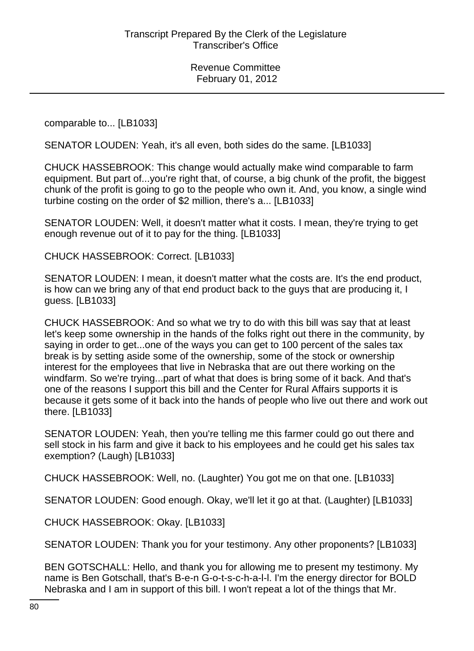comparable to... [LB1033]

SENATOR LOUDEN: Yeah, it's all even, both sides do the same. [LB1033]

CHUCK HASSEBROOK: This change would actually make wind comparable to farm equipment. But part of...you're right that, of course, a big chunk of the profit, the biggest chunk of the profit is going to go to the people who own it. And, you know, a single wind turbine costing on the order of \$2 million, there's a... [LB1033]

SENATOR LOUDEN: Well, it doesn't matter what it costs. I mean, they're trying to get enough revenue out of it to pay for the thing. [LB1033]

CHUCK HASSEBROOK: Correct. [LB1033]

SENATOR LOUDEN: I mean, it doesn't matter what the costs are. It's the end product, is how can we bring any of that end product back to the guys that are producing it, I guess. [LB1033]

CHUCK HASSEBROOK: And so what we try to do with this bill was say that at least let's keep some ownership in the hands of the folks right out there in the community, by saying in order to get...one of the ways you can get to 100 percent of the sales tax break is by setting aside some of the ownership, some of the stock or ownership interest for the employees that live in Nebraska that are out there working on the windfarm. So we're trying...part of what that does is bring some of it back. And that's one of the reasons I support this bill and the Center for Rural Affairs supports it is because it gets some of it back into the hands of people who live out there and work out there. [LB1033]

SENATOR LOUDEN: Yeah, then you're telling me this farmer could go out there and sell stock in his farm and give it back to his employees and he could get his sales tax exemption? (Laugh) [LB1033]

CHUCK HASSEBROOK: Well, no. (Laughter) You got me on that one. [LB1033]

SENATOR LOUDEN: Good enough. Okay, we'll let it go at that. (Laughter) [LB1033]

CHUCK HASSEBROOK: Okay. [LB1033]

SENATOR LOUDEN: Thank you for your testimony. Any other proponents? [LB1033]

BEN GOTSCHALL: Hello, and thank you for allowing me to present my testimony. My name is Ben Gotschall, that's B-e-n G-o-t-s-c-h-a-l-l. I'm the energy director for BOLD Nebraska and I am in support of this bill. I won't repeat a lot of the things that Mr.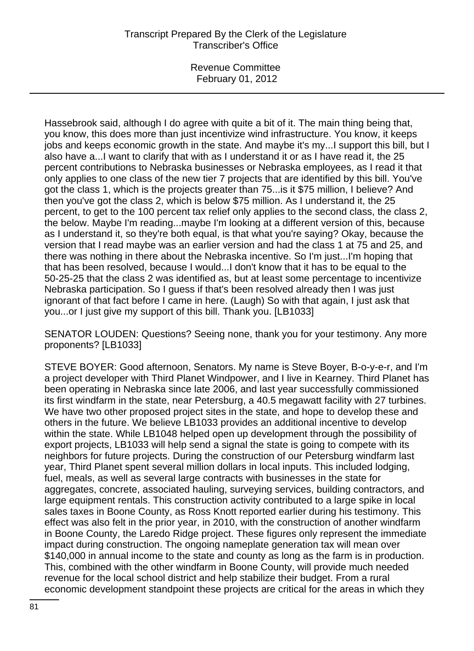Revenue Committee February 01, 2012

Hassebrook said, although I do agree with quite a bit of it. The main thing being that, you know, this does more than just incentivize wind infrastructure. You know, it keeps jobs and keeps economic growth in the state. And maybe it's my...I support this bill, but I also have a...I want to clarify that with as I understand it or as I have read it, the 25 percent contributions to Nebraska businesses or Nebraska employees, as I read it that only applies to one class of the new tier 7 projects that are identified by this bill. You've got the class 1, which is the projects greater than 75...is it \$75 million, I believe? And then you've got the class 2, which is below \$75 million. As I understand it, the 25 percent, to get to the 100 percent tax relief only applies to the second class, the class 2, the below. Maybe I'm reading...maybe I'm looking at a different version of this, because as I understand it, so they're both equal, is that what you're saying? Okay, because the version that I read maybe was an earlier version and had the class 1 at 75 and 25, and there was nothing in there about the Nebraska incentive. So I'm just...I'm hoping that that has been resolved, because I would...I don't know that it has to be equal to the 50-25-25 that the class 2 was identified as, but at least some percentage to incentivize Nebraska participation. So I guess if that's been resolved already then I was just ignorant of that fact before I came in here. (Laugh) So with that again, I just ask that you...or I just give my support of this bill. Thank you. [LB1033]

SENATOR LOUDEN: Questions? Seeing none, thank you for your testimony. Any more proponents? [LB1033]

STEVE BOYER: Good afternoon, Senators. My name is Steve Boyer, B-o-y-e-r, and I'm a project developer with Third Planet Windpower, and I live in Kearney. Third Planet has been operating in Nebraska since late 2006, and last year successfully commissioned its first windfarm in the state, near Petersburg, a 40.5 megawatt facility with 27 turbines. We have two other proposed project sites in the state, and hope to develop these and others in the future. We believe LB1033 provides an additional incentive to develop within the state. While LB1048 helped open up development through the possibility of export projects, LB1033 will help send a signal the state is going to compete with its neighbors for future projects. During the construction of our Petersburg windfarm last year, Third Planet spent several million dollars in local inputs. This included lodging, fuel, meals, as well as several large contracts with businesses in the state for aggregates, concrete, associated hauling, surveying services, building contractors, and large equipment rentals. This construction activity contributed to a large spike in local sales taxes in Boone County, as Ross Knott reported earlier during his testimony. This effect was also felt in the prior year, in 2010, with the construction of another windfarm in Boone County, the Laredo Ridge project. These figures only represent the immediate impact during construction. The ongoing nameplate generation tax will mean over \$140,000 in annual income to the state and county as long as the farm is in production. This, combined with the other windfarm in Boone County, will provide much needed revenue for the local school district and help stabilize their budget. From a rural economic development standpoint these projects are critical for the areas in which they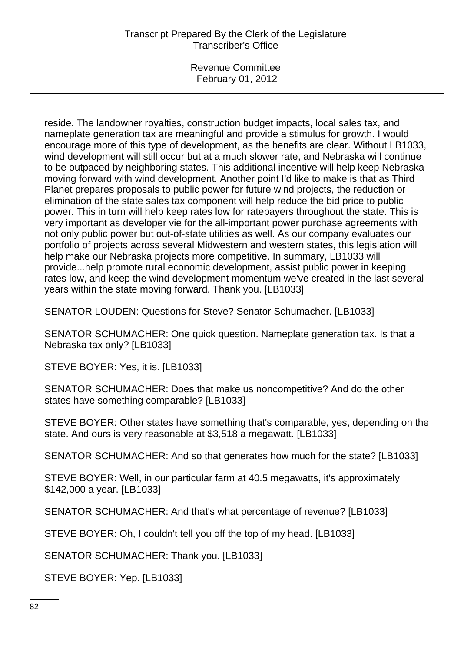Revenue Committee February 01, 2012

reside. The landowner royalties, construction budget impacts, local sales tax, and nameplate generation tax are meaningful and provide a stimulus for growth. I would encourage more of this type of development, as the benefits are clear. Without LB1033, wind development will still occur but at a much slower rate, and Nebraska will continue to be outpaced by neighboring states. This additional incentive will help keep Nebraska moving forward with wind development. Another point I'd like to make is that as Third Planet prepares proposals to public power for future wind projects, the reduction or elimination of the state sales tax component will help reduce the bid price to public power. This in turn will help keep rates low for ratepayers throughout the state. This is very important as developer vie for the all-important power purchase agreements with not only public power but out-of-state utilities as well. As our company evaluates our portfolio of projects across several Midwestern and western states, this legislation will help make our Nebraska projects more competitive. In summary, LB1033 will provide...help promote rural economic development, assist public power in keeping rates low, and keep the wind development momentum we've created in the last several years within the state moving forward. Thank you. [LB1033]

SENATOR LOUDEN: Questions for Steve? Senator Schumacher. [LB1033]

SENATOR SCHUMACHER: One quick question. Nameplate generation tax. Is that a Nebraska tax only? [LB1033]

STEVE BOYER: Yes, it is. [LB1033]

SENATOR SCHUMACHER: Does that make us noncompetitive? And do the other states have something comparable? [LB1033]

STEVE BOYER: Other states have something that's comparable, yes, depending on the state. And ours is very reasonable at \$3,518 a megawatt. [LB1033]

SENATOR SCHUMACHER: And so that generates how much for the state? [LB1033]

STEVE BOYER: Well, in our particular farm at 40.5 megawatts, it's approximately \$142,000 a year. [LB1033]

SENATOR SCHUMACHER: And that's what percentage of revenue? [LB1033]

STEVE BOYER: Oh, I couldn't tell you off the top of my head. [LB1033]

SENATOR SCHUMACHER: Thank you. [LB1033]

STEVE BOYER: Yep. [LB1033]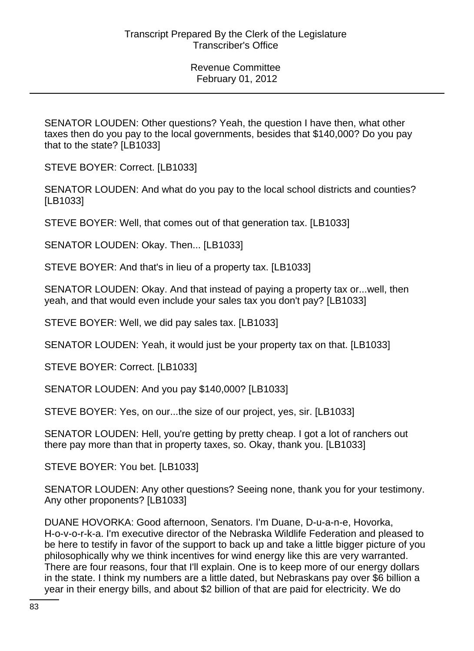SENATOR LOUDEN: Other questions? Yeah, the question I have then, what other taxes then do you pay to the local governments, besides that \$140,000? Do you pay that to the state? [LB1033]

STEVE BOYER: Correct. [LB1033]

SENATOR LOUDEN: And what do you pay to the local school districts and counties? [LB1033]

STEVE BOYER: Well, that comes out of that generation tax. [LB1033]

SENATOR LOUDEN: Okay. Then... [LB1033]

STEVE BOYER: And that's in lieu of a property tax. [LB1033]

SENATOR LOUDEN: Okay. And that instead of paying a property tax or...well, then yeah, and that would even include your sales tax you don't pay? [LB1033]

STEVE BOYER: Well, we did pay sales tax. [LB1033]

SENATOR LOUDEN: Yeah, it would just be your property tax on that. [LB1033]

STEVE BOYER: Correct. [LB1033]

SENATOR LOUDEN: And you pay \$140,000? [LB1033]

STEVE BOYER: Yes, on our...the size of our project, yes, sir. [LB1033]

SENATOR LOUDEN: Hell, you're getting by pretty cheap. I got a lot of ranchers out there pay more than that in property taxes, so. Okay, thank you. [LB1033]

STEVE BOYER: You bet. [LB1033]

SENATOR LOUDEN: Any other questions? Seeing none, thank you for your testimony. Any other proponents? [LB1033]

DUANE HOVORKA: Good afternoon, Senators. I'm Duane, D-u-a-n-e, Hovorka, H-o-v-o-r-k-a. I'm executive director of the Nebraska Wildlife Federation and pleased to be here to testify in favor of the support to back up and take a little bigger picture of you philosophically why we think incentives for wind energy like this are very warranted. There are four reasons, four that I'll explain. One is to keep more of our energy dollars in the state. I think my numbers are a little dated, but Nebraskans pay over \$6 billion a year in their energy bills, and about \$2 billion of that are paid for electricity. We do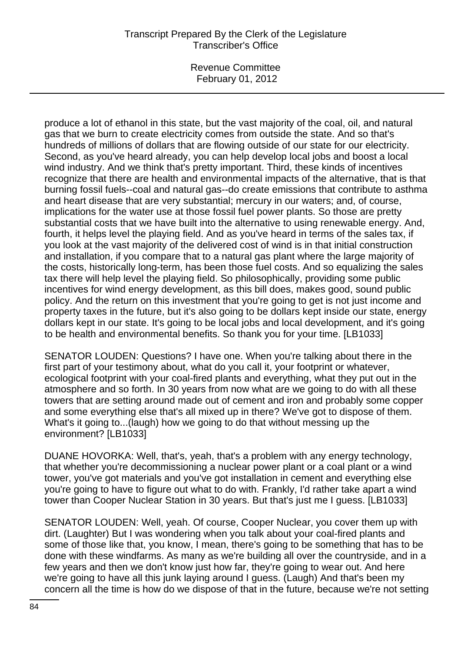Revenue Committee February 01, 2012

produce a lot of ethanol in this state, but the vast majority of the coal, oil, and natural gas that we burn to create electricity comes from outside the state. And so that's hundreds of millions of dollars that are flowing outside of our state for our electricity. Second, as you've heard already, you can help develop local jobs and boost a local wind industry. And we think that's pretty important. Third, these kinds of incentives recognize that there are health and environmental impacts of the alternative, that is that burning fossil fuels--coal and natural gas--do create emissions that contribute to asthma and heart disease that are very substantial; mercury in our waters; and, of course, implications for the water use at those fossil fuel power plants. So those are pretty substantial costs that we have built into the alternative to using renewable energy. And, fourth, it helps level the playing field. And as you've heard in terms of the sales tax, if you look at the vast majority of the delivered cost of wind is in that initial construction and installation, if you compare that to a natural gas plant where the large majority of the costs, historically long-term, has been those fuel costs. And so equalizing the sales tax there will help level the playing field. So philosophically, providing some public incentives for wind energy development, as this bill does, makes good, sound public policy. And the return on this investment that you're going to get is not just income and property taxes in the future, but it's also going to be dollars kept inside our state, energy dollars kept in our state. It's going to be local jobs and local development, and it's going to be health and environmental benefits. So thank you for your time. [LB1033]

SENATOR LOUDEN: Questions? I have one. When you're talking about there in the first part of your testimony about, what do you call it, your footprint or whatever, ecological footprint with your coal-fired plants and everything, what they put out in the atmosphere and so forth. In 30 years from now what are we going to do with all these towers that are setting around made out of cement and iron and probably some copper and some everything else that's all mixed up in there? We've got to dispose of them. What's it going to...(laugh) how we going to do that without messing up the environment? [LB1033]

DUANE HOVORKA: Well, that's, yeah, that's a problem with any energy technology, that whether you're decommissioning a nuclear power plant or a coal plant or a wind tower, you've got materials and you've got installation in cement and everything else you're going to have to figure out what to do with. Frankly, I'd rather take apart a wind tower than Cooper Nuclear Station in 30 years. But that's just me I guess. [LB1033]

SENATOR LOUDEN: Well, yeah. Of course, Cooper Nuclear, you cover them up with dirt. (Laughter) But I was wondering when you talk about your coal-fired plants and some of those like that, you know, I mean, there's going to be something that has to be done with these windfarms. As many as we're building all over the countryside, and in a few years and then we don't know just how far, they're going to wear out. And here we're going to have all this junk laying around I guess. (Laugh) And that's been my concern all the time is how do we dispose of that in the future, because we're not setting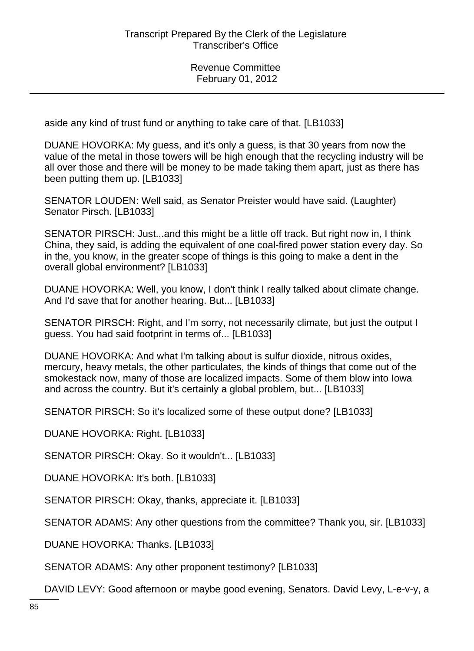aside any kind of trust fund or anything to take care of that. [LB1033]

DUANE HOVORKA: My guess, and it's only a guess, is that 30 years from now the value of the metal in those towers will be high enough that the recycling industry will be all over those and there will be money to be made taking them apart, just as there has been putting them up. [LB1033]

SENATOR LOUDEN: Well said, as Senator Preister would have said. (Laughter) Senator Pirsch. [LB1033]

SENATOR PIRSCH: Just...and this might be a little off track. But right now in, I think China, they said, is adding the equivalent of one coal-fired power station every day. So in the, you know, in the greater scope of things is this going to make a dent in the overall global environment? [LB1033]

DUANE HOVORKA: Well, you know, I don't think I really talked about climate change. And I'd save that for another hearing. But... [LB1033]

SENATOR PIRSCH: Right, and I'm sorry, not necessarily climate, but just the output I guess. You had said footprint in terms of... [LB1033]

DUANE HOVORKA: And what I'm talking about is sulfur dioxide, nitrous oxides, mercury, heavy metals, the other particulates, the kinds of things that come out of the smokestack now, many of those are localized impacts. Some of them blow into Iowa and across the country. But it's certainly a global problem, but... [LB1033]

SENATOR PIRSCH: So it's localized some of these output done? [LB1033]

DUANE HOVORKA: Right. [LB1033]

SENATOR PIRSCH: Okay. So it wouldn't... [LB1033]

DUANE HOVORKA: It's both. [LB1033]

SENATOR PIRSCH: Okay, thanks, appreciate it. [LB1033]

SENATOR ADAMS: Any other questions from the committee? Thank you, sir. [LB1033]

DUANE HOVORKA: Thanks. [LB1033]

SENATOR ADAMS: Any other proponent testimony? [LB1033]

DAVID LEVY: Good afternoon or maybe good evening, Senators. David Levy, L-e-v-y, a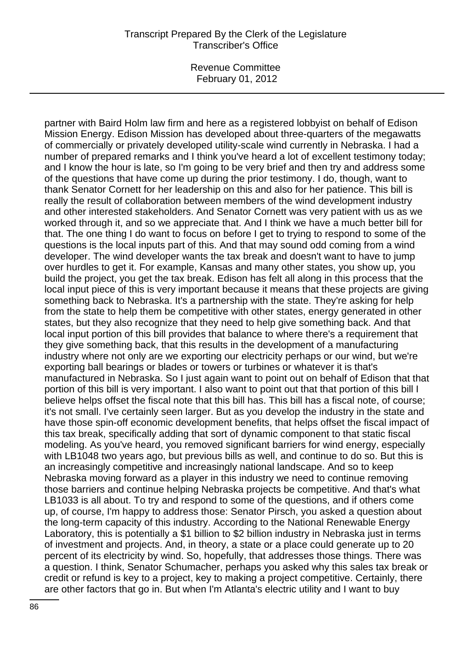Revenue Committee February 01, 2012

partner with Baird Holm law firm and here as a registered lobbyist on behalf of Edison Mission Energy. Edison Mission has developed about three-quarters of the megawatts of commercially or privately developed utility-scale wind currently in Nebraska. I had a number of prepared remarks and I think you've heard a lot of excellent testimony today; and I know the hour is late, so I'm going to be very brief and then try and address some of the questions that have come up during the prior testimony. I do, though, want to thank Senator Cornett for her leadership on this and also for her patience. This bill is really the result of collaboration between members of the wind development industry and other interested stakeholders. And Senator Cornett was very patient with us as we worked through it, and so we appreciate that. And I think we have a much better bill for that. The one thing I do want to focus on before I get to trying to respond to some of the questions is the local inputs part of this. And that may sound odd coming from a wind developer. The wind developer wants the tax break and doesn't want to have to jump over hurdles to get it. For example, Kansas and many other states, you show up, you build the project, you get the tax break. Edison has felt all along in this process that the local input piece of this is very important because it means that these projects are giving something back to Nebraska. It's a partnership with the state. They're asking for help from the state to help them be competitive with other states, energy generated in other states, but they also recognize that they need to help give something back. And that local input portion of this bill provides that balance to where there's a requirement that they give something back, that this results in the development of a manufacturing industry where not only are we exporting our electricity perhaps or our wind, but we're exporting ball bearings or blades or towers or turbines or whatever it is that's manufactured in Nebraska. So I just again want to point out on behalf of Edison that that portion of this bill is very important. I also want to point out that that portion of this bill I believe helps offset the fiscal note that this bill has. This bill has a fiscal note, of course; it's not small. I've certainly seen larger. But as you develop the industry in the state and have those spin-off economic development benefits, that helps offset the fiscal impact of this tax break, specifically adding that sort of dynamic component to that static fiscal modeling. As you've heard, you removed significant barriers for wind energy, especially with LB1048 two years ago, but previous bills as well, and continue to do so. But this is an increasingly competitive and increasingly national landscape. And so to keep Nebraska moving forward as a player in this industry we need to continue removing those barriers and continue helping Nebraska projects be competitive. And that's what LB1033 is all about. To try and respond to some of the questions, and if others come up, of course, I'm happy to address those: Senator Pirsch, you asked a question about the long-term capacity of this industry. According to the National Renewable Energy Laboratory, this is potentially a \$1 billion to \$2 billion industry in Nebraska just in terms of investment and projects. And, in theory, a state or a place could generate up to 20 percent of its electricity by wind. So, hopefully, that addresses those things. There was a question. I think, Senator Schumacher, perhaps you asked why this sales tax break or credit or refund is key to a project, key to making a project competitive. Certainly, there are other factors that go in. But when I'm Atlanta's electric utility and I want to buy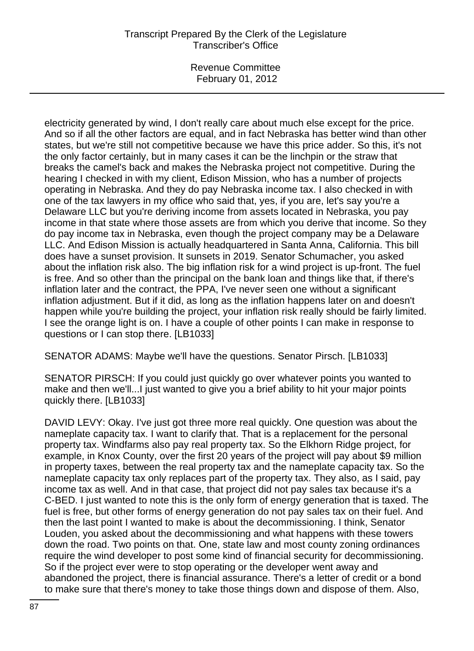Revenue Committee February 01, 2012

electricity generated by wind, I don't really care about much else except for the price. And so if all the other factors are equal, and in fact Nebraska has better wind than other states, but we're still not competitive because we have this price adder. So this, it's not the only factor certainly, but in many cases it can be the linchpin or the straw that breaks the camel's back and makes the Nebraska project not competitive. During the hearing I checked in with my client, Edison Mission, who has a number of projects operating in Nebraska. And they do pay Nebraska income tax. I also checked in with one of the tax lawyers in my office who said that, yes, if you are, let's say you're a Delaware LLC but you're deriving income from assets located in Nebraska, you pay income in that state where those assets are from which you derive that income. So they do pay income tax in Nebraska, even though the project company may be a Delaware LLC. And Edison Mission is actually headquartered in Santa Anna, California. This bill does have a sunset provision. It sunsets in 2019. Senator Schumacher, you asked about the inflation risk also. The big inflation risk for a wind project is up-front. The fuel is free. And so other than the principal on the bank loan and things like that, if there's inflation later and the contract, the PPA, I've never seen one without a significant inflation adjustment. But if it did, as long as the inflation happens later on and doesn't happen while you're building the project, your inflation risk really should be fairly limited. I see the orange light is on. I have a couple of other points I can make in response to questions or I can stop there. [LB1033]

SENATOR ADAMS: Maybe we'll have the questions. Senator Pirsch. [LB1033]

SENATOR PIRSCH: If you could just quickly go over whatever points you wanted to make and then we'll...I just wanted to give you a brief ability to hit your major points quickly there. [LB1033]

DAVID LEVY: Okay. I've just got three more real quickly. One question was about the nameplate capacity tax. I want to clarify that. That is a replacement for the personal property tax. Windfarms also pay real property tax. So the Elkhorn Ridge project, for example, in Knox County, over the first 20 years of the project will pay about \$9 million in property taxes, between the real property tax and the nameplate capacity tax. So the nameplate capacity tax only replaces part of the property tax. They also, as I said, pay income tax as well. And in that case, that project did not pay sales tax because it's a C-BED. I just wanted to note this is the only form of energy generation that is taxed. The fuel is free, but other forms of energy generation do not pay sales tax on their fuel. And then the last point I wanted to make is about the decommissioning. I think, Senator Louden, you asked about the decommissioning and what happens with these towers down the road. Two points on that. One, state law and most county zoning ordinances require the wind developer to post some kind of financial security for decommissioning. So if the project ever were to stop operating or the developer went away and abandoned the project, there is financial assurance. There's a letter of credit or a bond to make sure that there's money to take those things down and dispose of them. Also,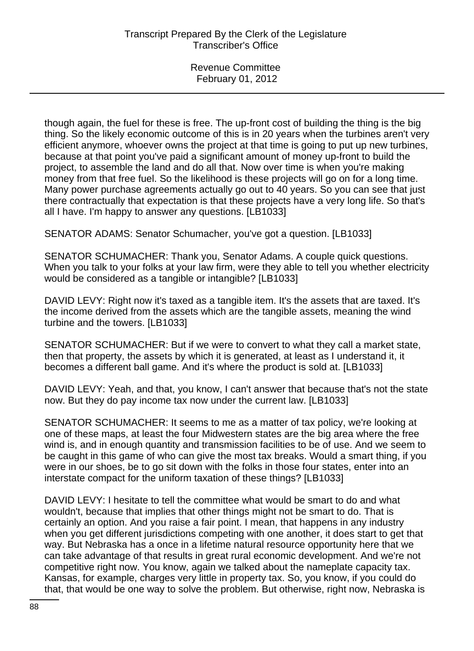though again, the fuel for these is free. The up-front cost of building the thing is the big thing. So the likely economic outcome of this is in 20 years when the turbines aren't very efficient anymore, whoever owns the project at that time is going to put up new turbines, because at that point you've paid a significant amount of money up-front to build the project, to assemble the land and do all that. Now over time is when you're making money from that free fuel. So the likelihood is these projects will go on for a long time. Many power purchase agreements actually go out to 40 years. So you can see that just there contractually that expectation is that these projects have a very long life. So that's all I have. I'm happy to answer any questions. [LB1033]

SENATOR ADAMS: Senator Schumacher, you've got a question. [LB1033]

SENATOR SCHUMACHER: Thank you, Senator Adams. A couple quick questions. When you talk to your folks at your law firm, were they able to tell you whether electricity would be considered as a tangible or intangible? [LB1033]

DAVID LEVY: Right now it's taxed as a tangible item. It's the assets that are taxed. It's the income derived from the assets which are the tangible assets, meaning the wind turbine and the towers. [LB1033]

SENATOR SCHUMACHER: But if we were to convert to what they call a market state, then that property, the assets by which it is generated, at least as I understand it, it becomes a different ball game. And it's where the product is sold at. [LB1033]

DAVID LEVY: Yeah, and that, you know, I can't answer that because that's not the state now. But they do pay income tax now under the current law. [LB1033]

SENATOR SCHUMACHER: It seems to me as a matter of tax policy, we're looking at one of these maps, at least the four Midwestern states are the big area where the free wind is, and in enough quantity and transmission facilities to be of use. And we seem to be caught in this game of who can give the most tax breaks. Would a smart thing, if you were in our shoes, be to go sit down with the folks in those four states, enter into an interstate compact for the uniform taxation of these things? [LB1033]

DAVID LEVY: I hesitate to tell the committee what would be smart to do and what wouldn't, because that implies that other things might not be smart to do. That is certainly an option. And you raise a fair point. I mean, that happens in any industry when you get different jurisdictions competing with one another, it does start to get that way. But Nebraska has a once in a lifetime natural resource opportunity here that we can take advantage of that results in great rural economic development. And we're not competitive right now. You know, again we talked about the nameplate capacity tax. Kansas, for example, charges very little in property tax. So, you know, if you could do that, that would be one way to solve the problem. But otherwise, right now, Nebraska is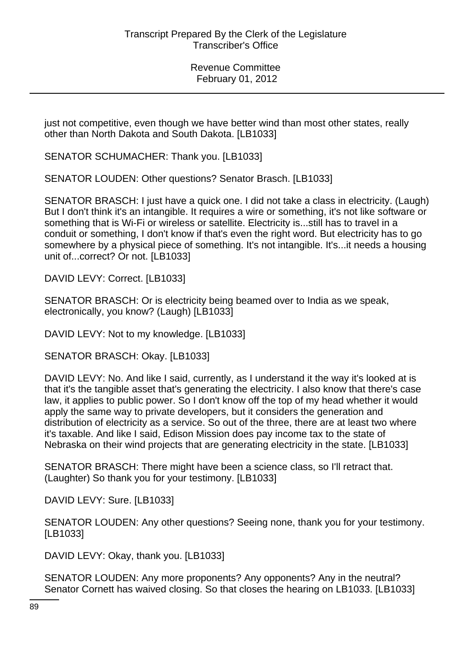just not competitive, even though we have better wind than most other states, really other than North Dakota and South Dakota. [LB1033]

SENATOR SCHUMACHER: Thank you. [LB1033]

SENATOR LOUDEN: Other questions? Senator Brasch. [LB1033]

SENATOR BRASCH: I just have a quick one. I did not take a class in electricity. (Laugh) But I don't think it's an intangible. It requires a wire or something, it's not like software or something that is Wi-Fi or wireless or satellite. Electricity is...still has to travel in a conduit or something, I don't know if that's even the right word. But electricity has to go somewhere by a physical piece of something. It's not intangible. It's...it needs a housing unit of...correct? Or not. [LB1033]

DAVID LEVY: Correct. [LB1033]

SENATOR BRASCH: Or is electricity being beamed over to India as we speak, electronically, you know? (Laugh) [LB1033]

DAVID LEVY: Not to my knowledge. [LB1033]

SENATOR BRASCH: Okay. [LB1033]

DAVID LEVY: No. And like I said, currently, as I understand it the way it's looked at is that it's the tangible asset that's generating the electricity. I also know that there's case law, it applies to public power. So I don't know off the top of my head whether it would apply the same way to private developers, but it considers the generation and distribution of electricity as a service. So out of the three, there are at least two where it's taxable. And like I said, Edison Mission does pay income tax to the state of Nebraska on their wind projects that are generating electricity in the state. [LB1033]

SENATOR BRASCH: There might have been a science class, so I'll retract that. (Laughter) So thank you for your testimony. [LB1033]

DAVID LEVY: Sure. [LB1033]

| SENATOR LOUDEN: Any other questions? Seeing none, thank you for your testimony. |  |  |  |
|---------------------------------------------------------------------------------|--|--|--|
| [LB1033]                                                                        |  |  |  |

DAVID LEVY: Okay, thank you. [LB1033]

SENATOR LOUDEN: Any more proponents? Any opponents? Any in the neutral? Senator Cornett has waived closing. So that closes the hearing on LB1033. [LB1033]